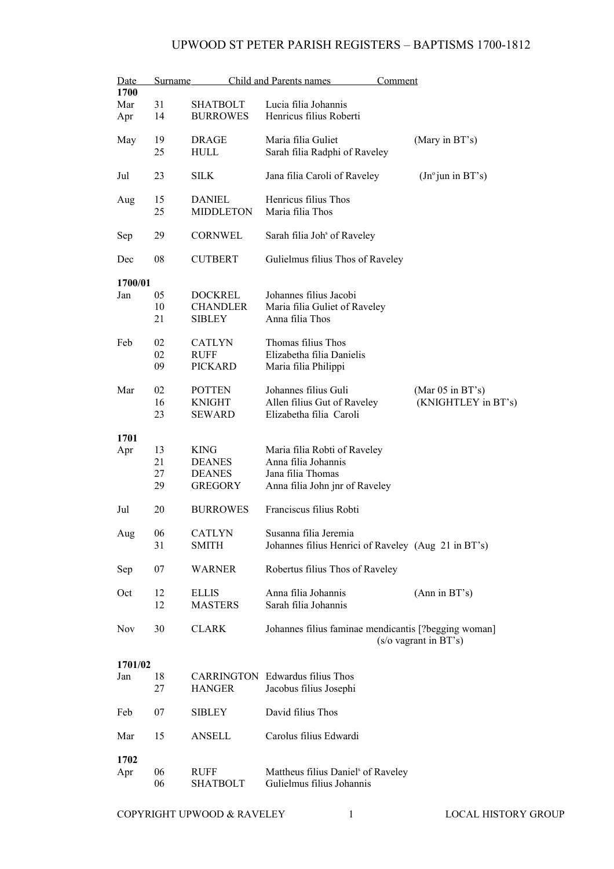| Date    | Surname  |                                   | Child and Parents names<br>Comment                   |                                                |
|---------|----------|-----------------------------------|------------------------------------------------------|------------------------------------------------|
| 1700    |          |                                   |                                                      |                                                |
| Mar     | 31       | <b>SHATBOLT</b>                   | Lucia filia Johannis                                 |                                                |
| Apr     | 14       | <b>BURROWES</b>                   | Henricus filius Roberti                              |                                                |
| May     | 19<br>25 | <b>DRAGE</b><br><b>HULL</b>       | Maria filia Guliet<br>Sarah filia Radphi of Raveley  | (Mary in BT's)                                 |
| Jul     | 23       | <b>SILK</b>                       | Jana filia Caroli of Raveley                         | (In <sup>o</sup> jun in BT's)                  |
| Aug     | 15<br>25 | <b>DANIEL</b><br><b>MIDDLETON</b> | Henricus filius Thos<br>Maria filia Thos             |                                                |
| Sep     | 29       | <b>CORNWEL</b>                    | Sarah filia Joh <sup>s</sup> of Raveley              |                                                |
| Dec     | 08       | <b>CUTBERT</b>                    | Gulielmus filius Thos of Raveley                     |                                                |
| 1700/01 |          |                                   |                                                      |                                                |
| Jan     | 05       | <b>DOCKREL</b>                    | Johannes filius Jacobi                               |                                                |
|         | 10       | <b>CHANDLER</b>                   | Maria filia Guliet of Raveley                        |                                                |
|         | 21       | <b>SIBLEY</b>                     | Anna filia Thos                                      |                                                |
|         |          |                                   |                                                      |                                                |
| Feb     | 02       | <b>CATLYN</b>                     | Thomas filius Thos                                   |                                                |
|         | 02       | RUFF                              | Elizabetha filia Danielis                            |                                                |
|         | 09       | <b>PICKARD</b>                    | Maria filia Philippi                                 |                                                |
|         |          |                                   |                                                      |                                                |
| Mar     | 02       | <b>POTTEN</b>                     | Johannes filius Guli                                 | (Mar $05$ in BT's)                             |
|         | 16       | <b>KNIGHT</b>                     | Allen filius Gut of Raveley                          | (KNIGHTLEY in BT's)                            |
|         | 23       | <b>SEWARD</b>                     | Elizabetha filia Caroli                              |                                                |
| 1701    |          |                                   |                                                      |                                                |
| Apr     | 13       | <b>KING</b>                       | Maria filia Robti of Raveley                         |                                                |
|         | 21       | <b>DEANES</b>                     | Anna filia Johannis                                  |                                                |
|         | 27       | <b>DEANES</b>                     | Jana filia Thomas                                    |                                                |
|         | 29       | <b>GREGORY</b>                    | Anna filia John jnr of Raveley                       |                                                |
|         |          |                                   |                                                      |                                                |
| Jul     | 20       | <b>BURROWES</b>                   | Franciscus filius Robti                              |                                                |
| Aug     | 06       | <b>CATLYN</b>                     | Susanna filia Jeremia                                |                                                |
|         | 31       | <b>SMITH</b>                      | Johannes filius Henrici of Raveley (Aug 21 in BT's)  |                                                |
| Sep     | 07       | <b>WARNER</b>                     | Robertus filius Thos of Raveley                      |                                                |
| Oct     | 12       | <b>ELLIS</b>                      | Anna filia Johannis                                  | (Ann in BT's)                                  |
|         | 12       | <b>MASTERS</b>                    | Sarah filia Johannis                                 |                                                |
|         |          |                                   |                                                      |                                                |
| Nov     | 30       | <b>CLARK</b>                      | Johannes filius faminae mendicantis [?begging woman] |                                                |
|         |          |                                   |                                                      | $(s/\text{o} \text{ vagram} \text{ in } BT's)$ |
|         |          |                                   |                                                      |                                                |
| 1701/02 |          |                                   |                                                      |                                                |
| Jan     | 18       |                                   | <b>CARRINGTON</b> Edwardus filius Thos               |                                                |
|         | 27       | <b>HANGER</b>                     | Jacobus filius Josephi                               |                                                |
| Feb     | 07       | <b>SIBLEY</b>                     | David filius Thos                                    |                                                |
|         |          |                                   |                                                      |                                                |
| Mar     | 15       | <b>ANSELL</b>                     | Carolus filius Edwardi                               |                                                |
|         |          |                                   |                                                      |                                                |
| 1702    |          |                                   |                                                      |                                                |
| Apr     | 06       | RUFF                              | Mattheus filius Daniel <sup>s</sup> of Raveley       |                                                |
|         | 06       | <b>SHATBOLT</b>                   | Gulielmus filius Johannis                            |                                                |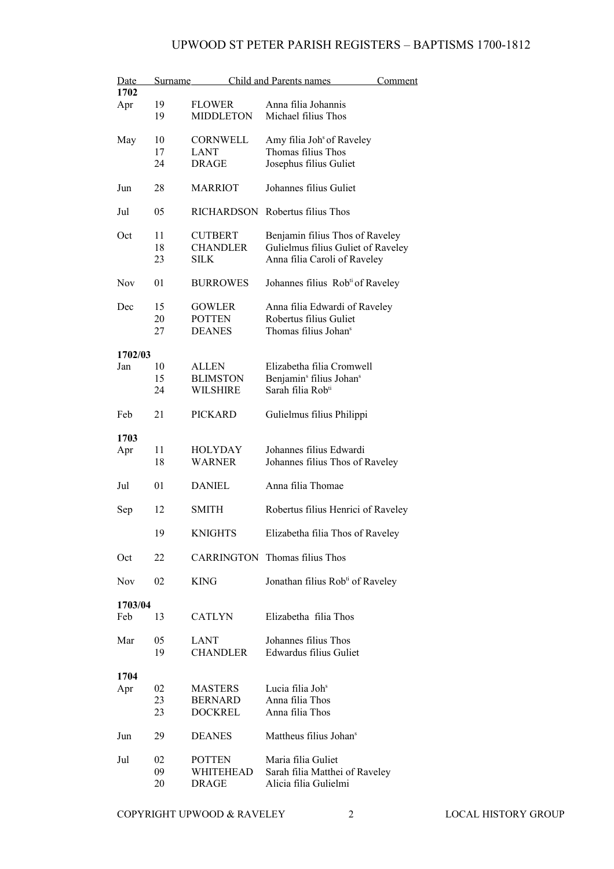| Date<br>1702 | Surname        |                                                    | Child and Parents names                                                                                       | Comment |
|--------------|----------------|----------------------------------------------------|---------------------------------------------------------------------------------------------------------------|---------|
| Apr          | 19<br>19       | <b>FLOWER</b><br><b>MIDDLETON</b>                  | Anna filia Johannis<br>Michael filius Thos                                                                    |         |
| May          | 10<br>17<br>24 | <b>CORNWELL</b><br><b>LANT</b><br><b>DRAGE</b>     | Amy filia Joh <sup>s</sup> of Raveley<br>Thomas filius Thos<br>Josephus filius Guliet                         |         |
| Jun          | 28             | <b>MARRIOT</b>                                     | Johannes filius Guliet                                                                                        |         |
| Jul          | 05             | <b>RICHARDSON</b>                                  | Robertus filius Thos                                                                                          |         |
| Oct          | 11<br>18<br>23 | <b>CUTBERT</b><br><b>CHANDLER</b><br><b>SILK</b>   | Benjamin filius Thos of Raveley<br>Gulielmus filius Guliet of Raveley<br>Anna filia Caroli of Raveley         |         |
| <b>Nov</b>   | 01             | <b>BURROWES</b>                                    | Johannes filius Rob <sup>ti</sup> of Raveley                                                                  |         |
| Dec          | 15<br>20<br>27 | <b>GOWLER</b><br><b>POTTEN</b><br><b>DEANES</b>    | Anna filia Edwardi of Raveley<br>Robertus filius Guliet<br>Thomas filius Johan <sup>s</sup>                   |         |
| 1702/03      |                |                                                    |                                                                                                               |         |
| Jan          | 10<br>15<br>24 | <b>ALLEN</b><br><b>BLIMSTON</b><br><b>WILSHIRE</b> | Elizabetha filia Cromwell<br>Benjamin <sup>s</sup> filius Johan <sup>s</sup><br>Sarah filia Rob <sup>ti</sup> |         |
| Feb          | 21             | <b>PICKARD</b>                                     | Gulielmus filius Philippi                                                                                     |         |
| 1703         |                |                                                    |                                                                                                               |         |
| Apr          | 11<br>18       | HOLYDAY<br>WARNER                                  | Johannes filius Edwardi<br>Johannes filius Thos of Raveley                                                    |         |
| Jul          | 01             | <b>DANIEL</b>                                      | Anna filia Thomae                                                                                             |         |
| Sep          | 12             | SMITH                                              | Robertus filius Henrici of Raveley                                                                            |         |
|              | 19             | <b>KNIGHTS</b>                                     | Elizabetha filia Thos of Raveley                                                                              |         |
| Oct          | 22             |                                                    | <b>CARRINGTON</b> Thomas filius Thos                                                                          |         |
| Nov          | 02             | <b>KING</b>                                        | Jonathan filius Rob <sup>ti</sup> of Raveley                                                                  |         |
| 1703/04      |                |                                                    |                                                                                                               |         |
| Feb          | 13             | <b>CATLYN</b>                                      | Elizabetha filia Thos                                                                                         |         |
| Mar          | 05<br>19       | LANT<br><b>CHANDLER</b>                            | Johannes filius Thos<br>Edwardus filius Guliet                                                                |         |
| 1704         |                |                                                    |                                                                                                               |         |
| Apr          | 02             | <b>MASTERS</b>                                     | Lucia filia Joh <sup>s</sup>                                                                                  |         |
|              | 23<br>23       | <b>BERNARD</b><br><b>DOCKREL</b>                   | Anna filia Thos<br>Anna filia Thos                                                                            |         |
| Jun          | 29             | <b>DEANES</b>                                      | Mattheus filius Johan <sup>s</sup>                                                                            |         |
| Jul          | 02             | <b>POTTEN</b>                                      | Maria filia Guliet                                                                                            |         |
|              | 09             | WHITEHEAD                                          | Sarah filia Matthei of Raveley                                                                                |         |
|              | 20             | DRAGE                                              | Alicia filia Gulielmi                                                                                         |         |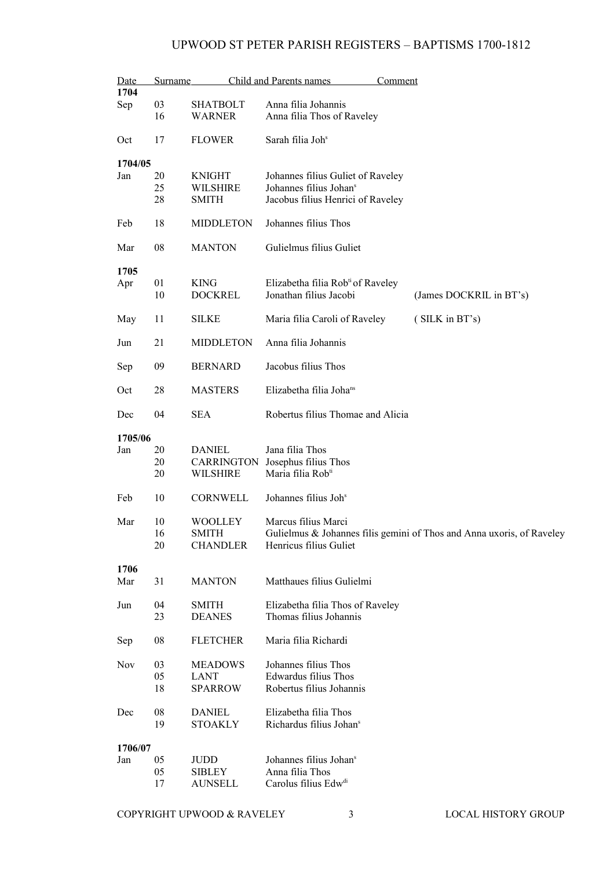| Date       | <b>Surname</b> |                              | Child and Parents names<br>Comment            |                                                                       |
|------------|----------------|------------------------------|-----------------------------------------------|-----------------------------------------------------------------------|
| 1704       |                |                              |                                               |                                                                       |
| Sep        | 03             | SHATBOLT                     | Anna filia Johannis                           |                                                                       |
|            | 16             | <b>WARNER</b>                | Anna filia Thos of Raveley                    |                                                                       |
| Oct        | 17             | <b>FLOWER</b>                | Sarah filia Joh <sup>s</sup>                  |                                                                       |
| 1704/05    |                |                              |                                               |                                                                       |
| Jan        | 20             | <b>KNIGHT</b>                | Johannes filius Guliet of Raveley             |                                                                       |
|            | 25             | <b>WILSHIRE</b>              | Johannes filius Johan <sup>s</sup>            |                                                                       |
|            | 28             | <b>SMITH</b>                 | Jacobus filius Henrici of Raveley             |                                                                       |
| Feb        | 18             | <b>MIDDLETON</b>             | Johannes filius Thos                          |                                                                       |
| Mar        | 08             | <b>MANTON</b>                | Gulielmus filius Guliet                       |                                                                       |
| 1705       |                |                              |                                               |                                                                       |
| Apr        | 01             | <b>KING</b>                  | Elizabetha filia Rob <sup>ti</sup> of Raveley |                                                                       |
|            | 10             | <b>DOCKREL</b>               | Jonathan filius Jacobi                        | (James DOCKRIL in BT's)                                               |
| May        | 11             | SILKE                        | Maria filia Caroli of Raveley                 | (SILK in BT's)                                                        |
| Jun        | 21             | <b>MIDDLETON</b>             | Anna filia Johannis                           |                                                                       |
|            |                |                              |                                               |                                                                       |
| Sep        | 09             | <b>BERNARD</b>               | Jacobus filius Thos                           |                                                                       |
| Oct        | 28             | <b>MASTERS</b>               | Elizabetha filia Joha <sup>ns</sup>           |                                                                       |
| Dec        | 04             | <b>SEA</b>                   | Robertus filius Thomae and Alicia             |                                                                       |
| 1705/06    |                |                              |                                               |                                                                       |
| Jan        | 20             | <b>DANIEL</b>                | Jana filia Thos                               |                                                                       |
|            | 20             |                              | CARRINGTON Josephus filius Thos               |                                                                       |
|            | 20             | <b>WILSHIRE</b>              | Maria filia Rob <sup>ti</sup>                 |                                                                       |
| Feb        | 10             | <b>CORNWELL</b>              | Johannes filius Joh <sup>s</sup>              |                                                                       |
| Mar        | 10             | WOOLLEY                      | Marcus filius Marci                           |                                                                       |
|            |                |                              |                                               |                                                                       |
|            | 16             | SMITH                        |                                               | Gulielmus & Johannes filis gemini of Thos and Anna uxoris, of Raveley |
|            | 20             | <b>CHANDLER</b>              | Henricus filius Guliet                        |                                                                       |
| 1706       |                |                              |                                               |                                                                       |
| Mar        | 31             | <b>MANTON</b>                | Matthaues filius Gulielmi                     |                                                                       |
| Jun        | 04             | <b>SMITH</b>                 | Elizabetha filia Thos of Raveley              |                                                                       |
|            | 23             | <b>DEANES</b>                | Thomas filius Johannis                        |                                                                       |
|            |                |                              |                                               |                                                                       |
| Sep        | 08             | <b>FLETCHER</b>              | Maria filia Richardi                          |                                                                       |
| <b>Nov</b> | 03             | <b>MEADOWS</b>               | Johannes filius Thos                          |                                                                       |
|            | 05             | LANT                         | Edwardus filius Thos                          |                                                                       |
|            | 18             | <b>SPARROW</b>               | Robertus filius Johannis                      |                                                                       |
| Dec        | 08             | <b>DANIEL</b>                | Elizabetha filia Thos                         |                                                                       |
|            | 19             | <b>STOAKLY</b>               | Richardus filius Johan <sup>s</sup>           |                                                                       |
| 1706/07    |                |                              |                                               |                                                                       |
| Jan        | 05             | $\mathop{\rm JUDD}\nolimits$ | Johannes filius Johan <sup>s</sup>            |                                                                       |
|            | 05             | <b>SIBLEY</b>                | Anna filia Thos                               |                                                                       |
|            | 17             | <b>AUNSELL</b>               | Carolus filius Edw <sup>di</sup>              |                                                                       |
|            |                |                              |                                               |                                                                       |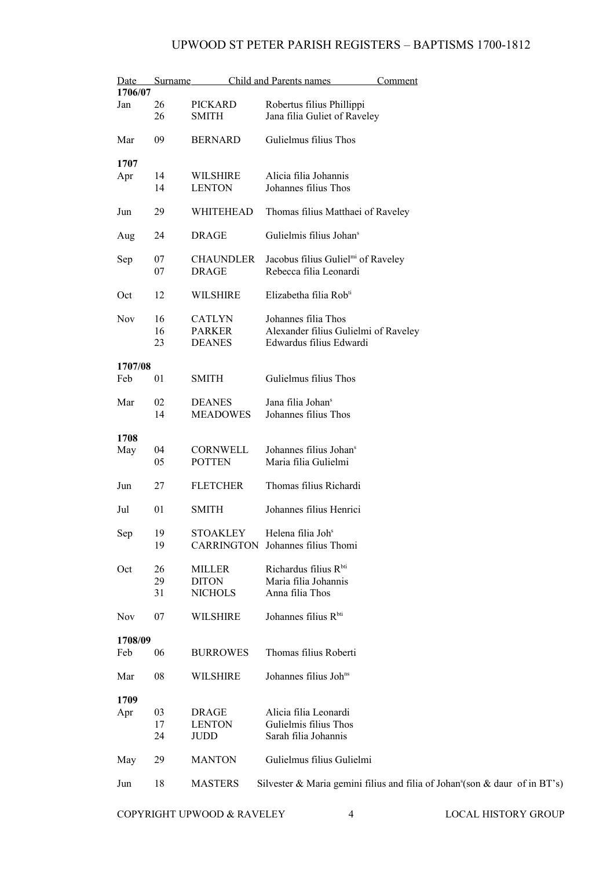| <b>Date</b> | Surname  |                                  | Child and Parents names<br>Comment                                                      |
|-------------|----------|----------------------------------|-----------------------------------------------------------------------------------------|
| 1706/07     |          |                                  |                                                                                         |
| Jan         | 26<br>26 | <b>PICKARD</b><br><b>SMITH</b>   | Robertus filius Phillippi<br>Jana filia Guliet of Raveley                               |
| Mar         | 09       | <b>BERNARD</b>                   | Gulielmus filius Thos                                                                   |
| 1707        |          |                                  |                                                                                         |
| Apr         | 14<br>14 | <b>WILSHIRE</b><br><b>LENTON</b> | Alicia filia Johannis<br>Johannes filius Thos                                           |
| Jun         | 29       | WHITEHEAD                        | Thomas filius Matthaei of Raveley                                                       |
| Aug         | 24       | <b>DRAGE</b>                     | Gulielmis filius Johan <sup>s</sup>                                                     |
| Sep         | 07<br>07 | <b>CHAUNDLER</b><br><b>DRAGE</b> | Jacobus filius Guliel <sup>mi</sup> of Raveley<br>Rebecca filia Leonardi                |
| Oct         | 12       | WILSHIRE                         | Elizabetha filia Rob <sup>ti</sup>                                                      |
|             |          |                                  |                                                                                         |
| <b>Nov</b>  | 16       | <b>CATLYN</b>                    | Johannes filia Thos                                                                     |
|             | 16       | <b>PARKER</b>                    | Alexander filius Gulielmi of Raveley                                                    |
|             | 23       | <b>DEANES</b>                    | Edwardus filius Edwardi                                                                 |
| 1707/08     |          |                                  |                                                                                         |
| Feb         | 01       | <b>SMITH</b>                     | Gulielmus filius Thos                                                                   |
| Mar         | 02       | <b>DEANES</b>                    | Jana filia Johan <sup>s</sup>                                                           |
|             | 14       | <b>MEADOWES</b>                  | Johannes filius Thos                                                                    |
|             |          |                                  |                                                                                         |
| 1708<br>May | 04       | CORNWELL                         | Johannes filius Johan <sup>s</sup>                                                      |
|             | 05       | <b>POTTEN</b>                    | Maria filia Gulielmi                                                                    |
| Jun         | 27       | <b>FLETCHER</b>                  | Thomas filius Richardi                                                                  |
| Jul         | 01       | <b>SMITH</b>                     | Johannes filius Henrici                                                                 |
| Sep         | 19       | <b>STOAKLEY</b>                  | Helena filia Joh <sup>s</sup>                                                           |
|             | 19       |                                  | CARRINGTON Johannes filius Thomi                                                        |
| Oct         | 26       | <b>MILLER</b>                    | Richardus filius Rbti                                                                   |
|             | 29       | <b>DITON</b>                     | Maria filia Johannis                                                                    |
|             | 31       | <b>NICHOLS</b>                   | Anna filia Thos                                                                         |
| Nov         | 07       | <b>WILSHIRE</b>                  | Johannes filius Rbti                                                                    |
| 1708/09     |          |                                  |                                                                                         |
| Feb         | 06       | <b>BURROWES</b>                  | Thomas filius Roberti                                                                   |
| Mar         | 08       | <b>WILSHIRE</b>                  | Johannes filius Johns                                                                   |
| 1709        |          |                                  |                                                                                         |
| Apr         | 03       | <b>DRAGE</b>                     | Alicia filia Leonardi                                                                   |
|             | 17       | <b>LENTON</b>                    | Gulielmis filius Thos                                                                   |
|             | 24       | JUDD                             | Sarah filia Johannis                                                                    |
| May         | 29       | <b>MANTON</b>                    | Gulielmus filius Gulielmi                                                               |
| Jun         | 18       | <b>MASTERS</b>                   | Silvester & Maria gemini filius and filia of Johan <sup>s</sup> (son & daur of in BT's) |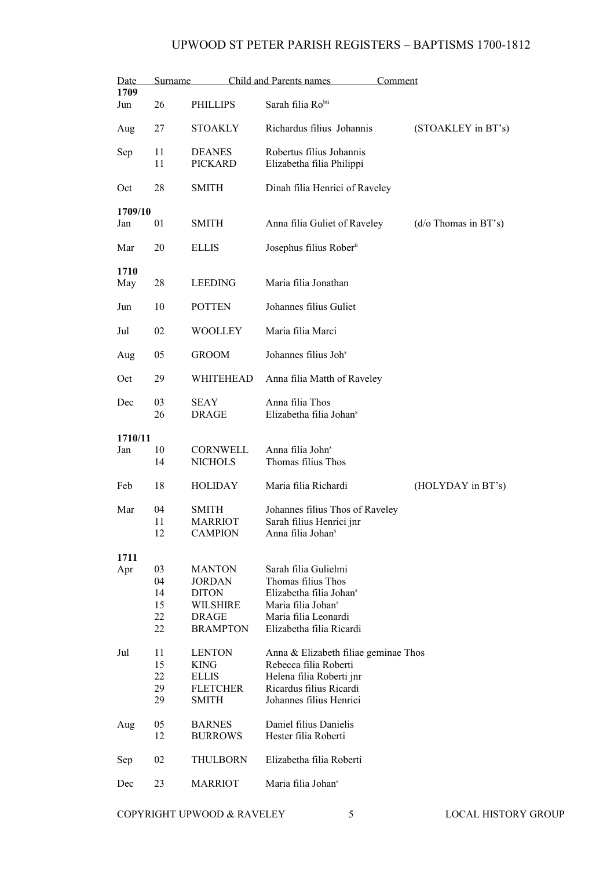| Date           | Surname                          |                                                                                                      | Child and Parents names<br>Comment                                                                                                                                      |                              |  |
|----------------|----------------------------------|------------------------------------------------------------------------------------------------------|-------------------------------------------------------------------------------------------------------------------------------------------------------------------------|------------------------------|--|
| 1709<br>Jun    | 26                               | <b>PHILLIPS</b>                                                                                      | Sarah filia Ro <sup>bti</sup>                                                                                                                                           |                              |  |
| Aug            | 27                               | <b>STOAKLY</b>                                                                                       | Richardus filius Johannis                                                                                                                                               | (STOAKLEY in BT's)           |  |
| Sep            | 11<br>11                         | <b>DEANES</b><br><b>PICKARD</b>                                                                      | Robertus filius Johannis<br>Elizabetha filia Philippi                                                                                                                   |                              |  |
| Oct            | 28                               | <b>SMITH</b>                                                                                         | Dinah filia Henrici of Raveley                                                                                                                                          |                              |  |
| 1709/10<br>Jan | 01                               | <b>SMITH</b>                                                                                         | Anna filia Guliet of Raveley                                                                                                                                            | $(d/\sigma)$ Thomas in BT's) |  |
| Mar            | 20                               | <b>ELLIS</b>                                                                                         | Josephus filius Rober <sup>ti</sup>                                                                                                                                     |                              |  |
| 1710<br>May    | 28                               | <b>LEEDING</b>                                                                                       | Maria filia Jonathan                                                                                                                                                    |                              |  |
| Jun            | 10                               | <b>POTTEN</b>                                                                                        | Johannes filius Guliet                                                                                                                                                  |                              |  |
| Jul            | 02                               | <b>WOOLLEY</b>                                                                                       | Maria filia Marci                                                                                                                                                       |                              |  |
| Aug            | 05                               | <b>GROOM</b>                                                                                         | Johannes filius Joh <sup>s</sup>                                                                                                                                        |                              |  |
| Oct            | 29                               | WHITEHEAD                                                                                            | Anna filia Matth of Raveley                                                                                                                                             |                              |  |
| Dec            | 03<br>26                         | <b>SEAY</b><br><b>DRAGE</b>                                                                          | Anna filia Thos<br>Elizabetha filia Johan <sup>s</sup>                                                                                                                  |                              |  |
| 1710/11        |                                  |                                                                                                      |                                                                                                                                                                         |                              |  |
| Jan            | 10<br>14                         | CORNWELL<br><b>NICHOLS</b>                                                                           | Anna filia John <sup>s</sup><br>Thomas filius Thos                                                                                                                      |                              |  |
| Feb            | 18                               | HOLIDAY                                                                                              | Maria filia Richardi                                                                                                                                                    | (HOLYDAY in BT's)            |  |
| Mar            | 04<br>11<br>12                   | <b>SMITH</b><br><b>MARRIOT</b><br><b>CAMPION</b>                                                     | Johannes filius Thos of Raveley<br>Sarah filius Henrici jnr<br>Anna filia Johan <sup>s</sup>                                                                            |                              |  |
| 1711           |                                  |                                                                                                      |                                                                                                                                                                         |                              |  |
| Apr            | 03<br>04<br>14<br>15<br>22<br>22 | <b>MANTON</b><br><b>JORDAN</b><br><b>DITON</b><br><b>WILSHIRE</b><br><b>DRAGE</b><br><b>BRAMPTON</b> | Sarah filia Gulielmi<br>Thomas filius Thos<br>Elizabetha filia Johan <sup>s</sup><br>Maria filia Johan <sup>s</sup><br>Maria filia Leonardi<br>Elizabetha filia Ricardi |                              |  |
| Jul            | 11<br>15<br>22<br>29<br>29       | <b>LENTON</b><br><b>KING</b><br><b>ELLIS</b><br><b>FLETCHER</b><br><b>SMITH</b>                      | Anna & Elizabeth filiae geminae Thos<br>Rebecca filia Roberti<br>Helena filia Roberti jnr<br>Ricardus filius Ricardi<br>Johannes filius Henrici                         |                              |  |
| Aug            | 05<br>12                         | <b>BARNES</b><br><b>BURROWS</b>                                                                      | Daniel filius Danielis<br>Hester filia Roberti                                                                                                                          |                              |  |
| Sep            | 02                               | THULBORN                                                                                             | Elizabetha filia Roberti                                                                                                                                                |                              |  |
| Dec            | 23                               | <b>MARRIOT</b>                                                                                       | Maria filia Johan <sup>s</sup>                                                                                                                                          |                              |  |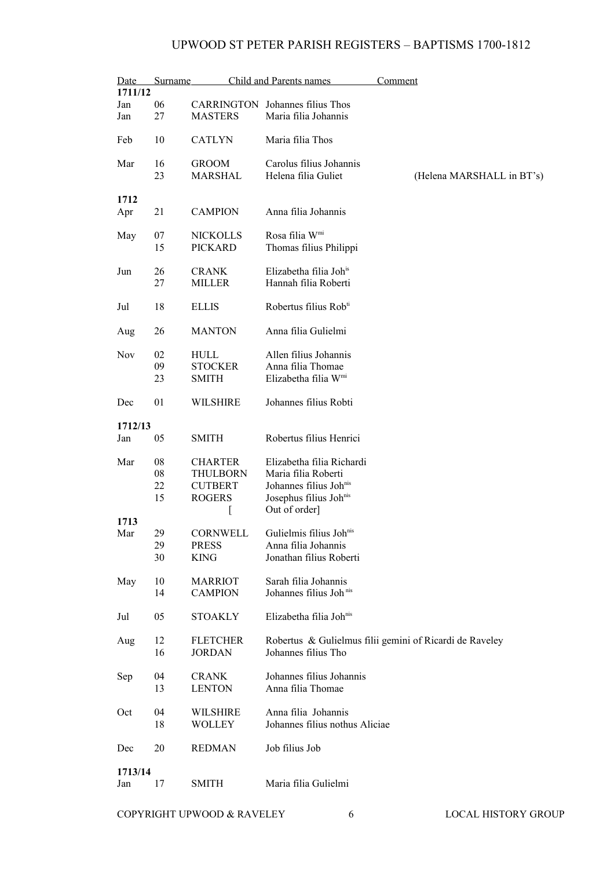| Date<br>1711/12 | Surname  |                                | Child and Parents names                        | Comment                                                 |
|-----------------|----------|--------------------------------|------------------------------------------------|---------------------------------------------------------|
| Jan             | 06       |                                | <b>CARRINGTON</b> Johannes filius Thos         |                                                         |
| Jan             | 27       | <b>MASTERS</b>                 | Maria filia Johannis                           |                                                         |
| Feb             | 10       | <b>CATLYN</b>                  | Maria filia Thos                               |                                                         |
| Mar             | 16<br>23 | <b>GROOM</b><br><b>MARSHAL</b> | Carolus filius Johannis<br>Helena filia Guliet | (Helena MARSHALL in BT's)                               |
| 1712            |          |                                |                                                |                                                         |
| Apr             | 21       | <b>CAMPION</b>                 | Anna filia Johannis                            |                                                         |
| May             | 07       | <b>NICKOLLS</b>                | Rosa filia W <sup>mi</sup>                     |                                                         |
|                 | 15       | <b>PICKARD</b>                 | Thomas filius Philippi                         |                                                         |
|                 |          |                                |                                                |                                                         |
| Jun             | 26       | <b>CRANK</b>                   | Elizabetha filia Joh <sup>is</sup>             |                                                         |
|                 | 27       | <b>MILLER</b>                  | Hannah filia Roberti                           |                                                         |
| Jul             | 18       | ELLIS                          | Robertus filius Rob <sup>ti</sup>              |                                                         |
| Aug             | 26       | <b>MANTON</b>                  | Anna filia Gulielmi                            |                                                         |
| Nov             | 02       | <b>HULL</b>                    | Allen filius Johannis                          |                                                         |
|                 | 09       | <b>STOCKER</b>                 | Anna filia Thomae                              |                                                         |
|                 | 23       | <b>SMITH</b>                   | Elizabetha filia W <sup>mi</sup>               |                                                         |
| Dec             | 01       | <b>WILSHIRE</b>                | Johannes filius Robti                          |                                                         |
| 1712/13         |          |                                |                                                |                                                         |
| Jan             | 05       | <b>SMITH</b>                   | Robertus filius Henrici                        |                                                         |
| Mar             | 08       | <b>CHARTER</b>                 | Elizabetha filia Richardi                      |                                                         |
|                 | 08       | <b>THULBORN</b>                | Maria filia Roberti                            |                                                         |
|                 | 22       | <b>CUTBERT</b>                 | Johannes filius Johnis                         |                                                         |
|                 | 15       | <b>ROGERS</b>                  | Josephus filius Johnis                         |                                                         |
|                 |          | t                              | Out of order]                                  |                                                         |
| 1713            |          |                                |                                                |                                                         |
| Mar             | 29       | CORNWELL                       | Gulielmis filius Johnis                        |                                                         |
|                 | 29<br>30 | <b>PRESS</b><br>KING           | Anna filia Johannis<br>Jonathan filius Roberti |                                                         |
|                 |          |                                |                                                |                                                         |
| May             | 10       | <b>MARRIOT</b>                 | Sarah filia Johannis                           |                                                         |
|                 | 14       | <b>CAMPION</b>                 | Johannes filius Joh <sup>nis</sup>             |                                                         |
| Jul             | 05       | <b>STOAKLY</b>                 | Elizabetha filia Johnis                        |                                                         |
|                 |          |                                |                                                |                                                         |
| Aug             | 12       | <b>FLETCHER</b>                |                                                | Robertus & Gulielmus filii gemini of Ricardi de Raveley |
|                 | 16       | <b>JORDAN</b>                  | Johannes filius Tho                            |                                                         |
|                 |          |                                |                                                |                                                         |
| Sep             | 04       | <b>CRANK</b>                   | Johannes filius Johannis                       |                                                         |
|                 | 13       | <b>LENTON</b>                  | Anna filia Thomae                              |                                                         |
| Oct             | 04       | <b>WILSHIRE</b>                | Anna filia Johannis                            |                                                         |
|                 | 18       | <b>WOLLEY</b>                  | Johannes filius nothus Aliciae                 |                                                         |
|                 |          |                                |                                                |                                                         |
| Dec             | 20       | <b>REDMAN</b>                  | Job filius Job                                 |                                                         |
|                 |          |                                |                                                |                                                         |
| 1713/14         |          |                                |                                                |                                                         |
| Jan             | 17       | <b>SMITH</b>                   | Maria filia Gulielmi                           |                                                         |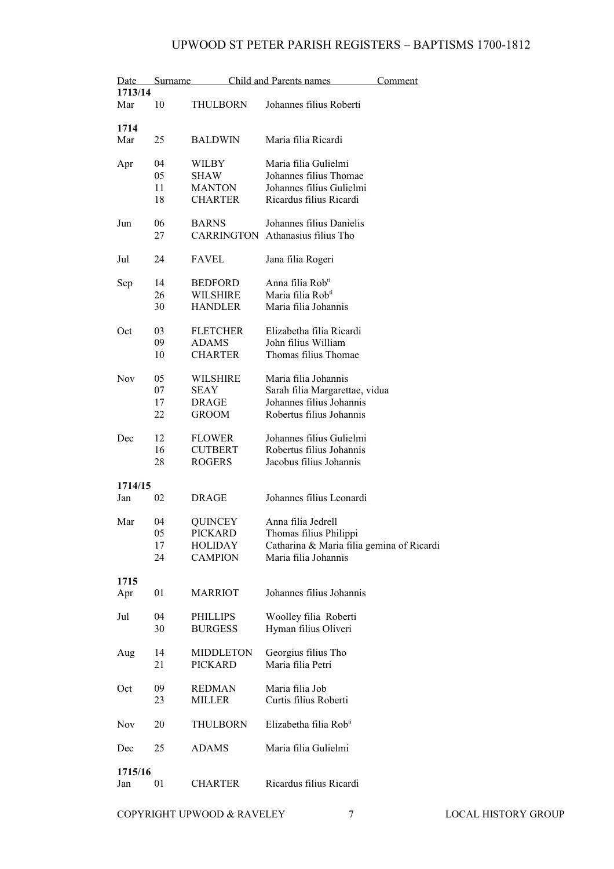| Date<br>1713/14 | Surname |                  | Child and Parents names                   | Comment |
|-----------------|---------|------------------|-------------------------------------------|---------|
| Mar             | 10      |                  | Johannes filius Roberti                   |         |
|                 |         | <b>THULBORN</b>  |                                           |         |
| 1714            |         |                  |                                           |         |
|                 |         |                  |                                           |         |
| Mar             | 25      | <b>BALDWIN</b>   | Maria filia Ricardi                       |         |
|                 |         |                  |                                           |         |
| Apr             | 04      | <b>WILBY</b>     | Maria filia Gulielmi                      |         |
|                 | 05      | SHAW             | Johannes filius Thomae                    |         |
|                 | 11      | <b>MANTON</b>    | Johannes filius Gulielmi                  |         |
|                 | 18      | <b>CHARTER</b>   | Ricardus filius Ricardi                   |         |
|                 |         |                  |                                           |         |
| Jun             | 06      | <b>BARNS</b>     | Johannes filius Danielis                  |         |
|                 | 27      |                  | <b>CARRINGTON</b> Athanasius filius Tho   |         |
|                 |         |                  |                                           |         |
| Jul             | 24      | <b>FAVEL</b>     | Jana filia Rogeri                         |         |
|                 |         |                  |                                           |         |
| Sep             | 14      | <b>BEDFORD</b>   | Anna filia Rob <sup>ti</sup>              |         |
|                 | 26      | <b>WILSHIRE</b>  | Maria filia Rob <sup>ti</sup>             |         |
|                 | 30      | <b>HANDLER</b>   | Maria filia Johannis                      |         |
|                 |         |                  |                                           |         |
| Oct             | 03      | <b>FLETCHER</b>  | Elizabetha filia Ricardi                  |         |
|                 | 09      | <b>ADAMS</b>     | John filius William                       |         |
|                 | 10      | <b>CHARTER</b>   | Thomas filius Thomae                      |         |
|                 |         |                  |                                           |         |
| <b>Nov</b>      | 05      | <b>WILSHIRE</b>  | Maria filia Johannis                      |         |
|                 | 07      | <b>SEAY</b>      | Sarah filia Margarettae, vidua            |         |
|                 | 17      | DRAGE            | Johannes filius Johannis                  |         |
|                 |         |                  |                                           |         |
|                 | 22      | <b>GROOM</b>     | Robertus filius Johannis                  |         |
| Dec             | 12      | <b>FLOWER</b>    | Johannes filius Gulielmi                  |         |
|                 | 16      | <b>CUTBERT</b>   | Robertus filius Johannis                  |         |
|                 |         |                  |                                           |         |
|                 | 28      | <b>ROGERS</b>    | Jacobus filius Johannis                   |         |
| 1714/15         |         |                  |                                           |         |
| Jan             | 02      | <b>DRAGE</b>     | Johannes filius Leonardi                  |         |
|                 |         |                  |                                           |         |
| Mar             | 04      | <b>QUINCEY</b>   | Anna filia Jedrell                        |         |
|                 |         |                  |                                           |         |
|                 | 05      | PICKARD          | Thomas filius Philippi                    |         |
|                 | 17      | <b>HOLIDAY</b>   | Catharina & Maria filia gemina of Ricardi |         |
|                 | 24      | <b>CAMPION</b>   | Maria filia Johannis                      |         |
|                 |         |                  |                                           |         |
| 1715            |         |                  |                                           |         |
| Apr             | 01      | <b>MARRIOT</b>   | Johannes filius Johannis                  |         |
|                 |         |                  |                                           |         |
| Jul             | 04      | PHILLIPS         | Woolley filia Roberti                     |         |
|                 | 30      | <b>BURGESS</b>   | Hyman filius Oliveri                      |         |
|                 |         |                  |                                           |         |
| Aug             | 14      | <b>MIDDLETON</b> | Georgius filius Tho                       |         |
|                 | 21      | <b>PICKARD</b>   | Maria filia Petri                         |         |
|                 |         |                  |                                           |         |
| Oct             | 09      | <b>REDMAN</b>    | Maria filia Job                           |         |
|                 | 23      | <b>MILLER</b>    | Curtis filius Roberti                     |         |
|                 |         |                  |                                           |         |
| Nov             | 20      | <b>THULBORN</b>  | Elizabetha filia Rob <sup>ti</sup>        |         |
|                 |         |                  |                                           |         |
| Dec             | 25      | <b>ADAMS</b>     | Maria filia Gulielmi                      |         |
|                 |         |                  |                                           |         |
| 1715/16         |         |                  |                                           |         |
| Jan             | 01      | <b>CHARTER</b>   | Ricardus filius Ricardi                   |         |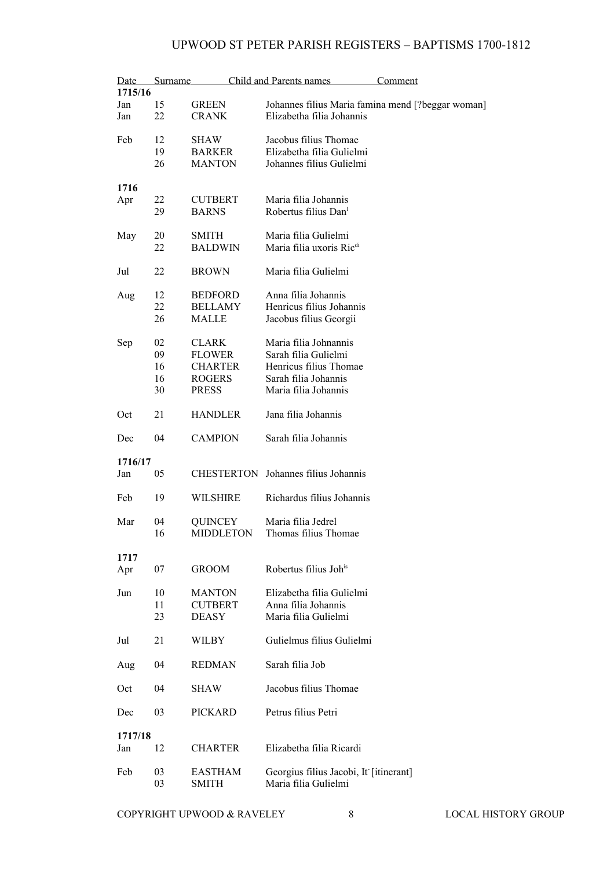| Date    | Surname |                 | Child and Parents names                | Comment                                           |
|---------|---------|-----------------|----------------------------------------|---------------------------------------------------|
| 1715/16 |         |                 |                                        |                                                   |
| Jan     | 15      | <b>GREEN</b>    |                                        | Johannes filius Maria famina mend [?beggar woman] |
| Jan     | 22      | <b>CRANK</b>    | Elizabetha filia Johannis              |                                                   |
|         |         |                 |                                        |                                                   |
| Feb     | 12      | SHAW            | Jacobus filius Thomae                  |                                                   |
|         | 19      | <b>BARKER</b>   | Elizabetha filia Gulielmi              |                                                   |
|         | 26      | <b>MANTON</b>   | Johannes filius Gulielmi               |                                                   |
|         |         |                 |                                        |                                                   |
| 1716    |         |                 |                                        |                                                   |
| Apr     | 22      | <b>CUTBERT</b>  | Maria filia Johannis                   |                                                   |
|         | 29      | <b>BARNS</b>    | Robertus filius Dan <sup>1</sup>       |                                                   |
|         |         |                 |                                        |                                                   |
| May     | 20      | SMITH           | Maria filia Gulielmi                   |                                                   |
|         | 22      | <b>BALDWIN</b>  | Maria filia uxoris Ric <sup>di</sup>   |                                                   |
|         |         |                 |                                        |                                                   |
| Jul     | 22      | <b>BROWN</b>    | Maria filia Gulielmi                   |                                                   |
|         |         |                 |                                        |                                                   |
|         | 12      |                 | Anna filia Johannis                    |                                                   |
| Aug     | 22      | <b>BEDFORD</b>  | Henricus filius Johannis               |                                                   |
|         |         | <b>BELLAMY</b>  |                                        |                                                   |
|         | 26      | MALLE           | Jacobus filius Georgii                 |                                                   |
|         |         |                 |                                        |                                                   |
| Sep     | 02      | <b>CLARK</b>    | Maria filia Johnannis                  |                                                   |
|         | 09      | <b>FLOWER</b>   | Sarah filia Gulielmi                   |                                                   |
|         | 16      | <b>CHARTER</b>  | Henricus filius Thomae                 |                                                   |
|         | 16      | <b>ROGERS</b>   | Sarah filia Johannis                   |                                                   |
|         | 30      | <b>PRESS</b>    | Maria filia Johannis                   |                                                   |
|         |         |                 |                                        |                                                   |
| Oct     | 21      | <b>HANDLER</b>  | Jana filia Johannis                    |                                                   |
|         |         |                 |                                        |                                                   |
| Dec     | 04      | <b>CAMPION</b>  | Sarah filia Johannis                   |                                                   |
|         |         |                 |                                        |                                                   |
| 1716/17 |         |                 |                                        |                                                   |
| Jan     | 05      |                 | CHESTERTON Johannes filius Johannis    |                                                   |
|         |         |                 |                                        |                                                   |
| Feb     | 19      | <b>WILSHIRE</b> | Richardus filius Johannis              |                                                   |
|         |         |                 |                                        |                                                   |
| Mar     | 04      | <b>QUINCEY</b>  | Maria filia Jedrel                     |                                                   |
|         | 16      | MIDDLETON       | Thomas filius Thomae                   |                                                   |
|         |         |                 |                                        |                                                   |
| 1717    |         |                 |                                        |                                                   |
| Apr     | 07      | <b>GROOM</b>    | Robertus filius Joh <sup>is</sup>      |                                                   |
|         |         |                 |                                        |                                                   |
| Jun     | 10      | <b>MANTON</b>   | Elizabetha filia Gulielmi              |                                                   |
|         | 11      | <b>CUTBERT</b>  | Anna filia Johannis                    |                                                   |
|         | 23      | <b>DEASY</b>    | Maria filia Gulielmi                   |                                                   |
|         |         |                 |                                        |                                                   |
| Jul     | 21      | WILBY           | Gulielmus filius Gulielmi              |                                                   |
|         |         |                 |                                        |                                                   |
| Aug     | 04      | <b>REDMAN</b>   | Sarah filia Job                        |                                                   |
|         |         |                 |                                        |                                                   |
| Oct     | 04      | SHAW            | Jacobus filius Thomae                  |                                                   |
|         |         |                 |                                        |                                                   |
| Dec     | 03      | PICKARD         | Petrus filius Petri                    |                                                   |
|         |         |                 |                                        |                                                   |
| 1717/18 |         |                 |                                        |                                                   |
| Jan     | 12      | <b>CHARTER</b>  | Elizabetha filia Ricardi               |                                                   |
|         |         |                 |                                        |                                                   |
| Feb     | 03      | <b>EASTHAM</b>  | Georgius filius Jacobi, It [itinerant] |                                                   |
|         | 03      | <b>SMITH</b>    | Maria filia Gulielmi                   |                                                   |
|         |         |                 |                                        |                                                   |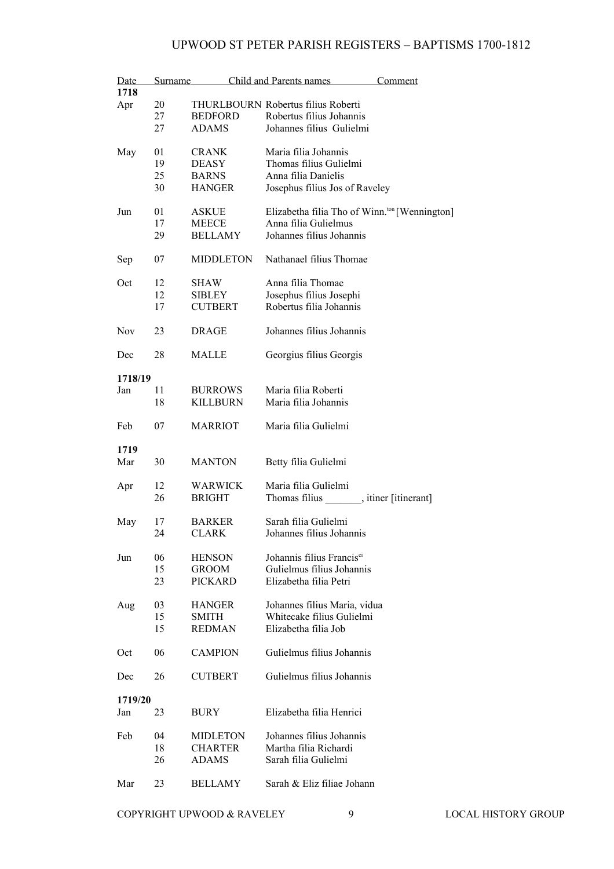| Date       | Surname |                  | Child and Parents names                                   | Comment |
|------------|---------|------------------|-----------------------------------------------------------|---------|
| 1718       |         |                  |                                                           |         |
| Apr        | 20      |                  | THURLBOURN Robertus filius Roberti                        |         |
|            | 27      | <b>BEDFORD</b>   | Robertus filius Johannis                                  |         |
|            | 27      | <b>ADAMS</b>     | Johannes filius Gulielmi                                  |         |
|            |         |                  |                                                           |         |
| May        | 01      | <b>CRANK</b>     | Maria filia Johannis                                      |         |
|            | 19      | <b>DEASY</b>     | Thomas filius Gulielmi                                    |         |
|            | 25      | <b>BARNS</b>     | Anna filia Danielis                                       |         |
|            | 30      | <b>HANGER</b>    | Josephus filius Jos of Raveley                            |         |
|            |         |                  |                                                           |         |
| Jun        | 01      | ASKUE            | Elizabetha filia Tho of Winn. <sup>ton</sup> [Wennington] |         |
|            | 17      | <b>MEECE</b>     | Anna filia Gulielmus                                      |         |
|            | 29      | <b>BELLAMY</b>   | Johannes filius Johannis                                  |         |
| Sep        | 07      | <b>MIDDLETON</b> | Nathanael filius Thomae                                   |         |
| Oct        | 12      | SHAW             | Anna filia Thomae                                         |         |
|            | 12      | <b>SIBLEY</b>    | Josephus filius Josephi                                   |         |
|            | 17      | <b>CUTBERT</b>   | Robertus filia Johannis                                   |         |
|            |         |                  |                                                           |         |
| <b>Nov</b> | 23      | DRAGE            | Johannes filius Johannis                                  |         |
| Dec        | 28      | <b>MALLE</b>     | Georgius filius Georgis                                   |         |
| 1718/19    |         |                  |                                                           |         |
| Jan        | 11      | <b>BURROWS</b>   | Maria filia Roberti                                       |         |
|            | 18      | <b>KILLBURN</b>  | Maria filia Johannis                                      |         |
|            |         |                  |                                                           |         |
| Feb        | 07      | <b>MARRIOT</b>   | Maria filia Gulielmi                                      |         |
| 1719       |         |                  |                                                           |         |
| Mar        | 30      | <b>MANTON</b>    | Betty filia Gulielmi                                      |         |
|            |         |                  |                                                           |         |
| Apr        | 12      | WARWICK          | Maria filia Gulielmi                                      |         |
|            | 26      | <b>BRIGHT</b>    | Thomas filius ________, itiner [itinerant]                |         |
|            |         |                  |                                                           |         |
| May        | 17      | <b>BARKER</b>    | Sarah filia Gulielmi                                      |         |
|            | 24      | <b>CLARK</b>     | Johannes filius Johannis                                  |         |
|            |         |                  |                                                           |         |
| Jun        | 06      | <b>HENSON</b>    | Johannis filius Francis <sup>ci</sup>                     |         |
|            | 15      | GROOM            | Gulielmus filius Johannis                                 |         |
|            | 23      | <b>PICKARD</b>   | Elizabetha filia Petri                                    |         |
|            |         |                  |                                                           |         |
| Aug        | 03      | <b>HANGER</b>    | Johannes filius Maria, vidua                              |         |
|            | 15      | SMITH            | Whitecake filius Gulielmi                                 |         |
|            | 15      | <b>REDMAN</b>    | Elizabetha filia Job                                      |         |
|            |         |                  |                                                           |         |
| Oct        | 06      | <b>CAMPION</b>   | Gulielmus filius Johannis                                 |         |
|            |         |                  |                                                           |         |
| Dec        | 26      | <b>CUTBERT</b>   | Gulielmus filius Johannis                                 |         |
|            |         |                  |                                                           |         |
| 1719/20    |         |                  |                                                           |         |
| Jan        | 23      | <b>BURY</b>      | Elizabetha filia Henrici                                  |         |
| Feb        | 04      | <b>MIDLETON</b>  | Johannes filius Johannis                                  |         |
|            |         |                  |                                                           |         |
|            | 18      | CHARTER          | Martha filia Richardi                                     |         |
|            | 26      | <b>ADAMS</b>     | Sarah filia Gulielmi                                      |         |
| Mar        | 23      | <b>BELLAMY</b>   | Sarah & Eliz filiae Johann                                |         |
|            |         |                  |                                                           |         |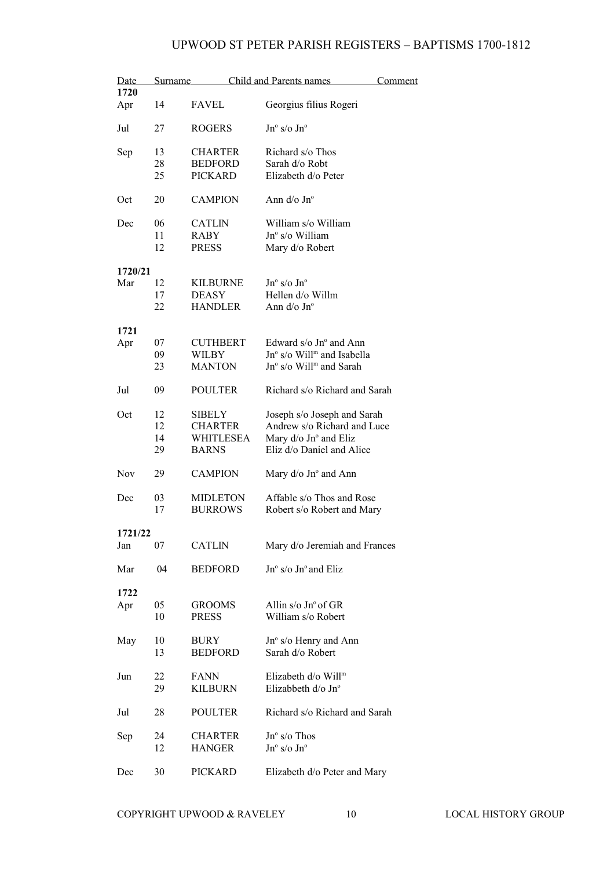| Date       | Surname |                  | Child and Parents names                | Comment |
|------------|---------|------------------|----------------------------------------|---------|
| 1720       |         |                  |                                        |         |
| Apr        | 14      | <b>FAVEL</b>     | Georgius filius Rogeri                 |         |
| Jul        | 27      | <b>ROGERS</b>    | $Jn^{\circ}$ s/o $Jn^{\circ}$          |         |
| Sep        | 13      | <b>CHARTER</b>   | Richard s/o Thos                       |         |
|            | 28      | <b>BEDFORD</b>   | Sarah d/o Robt                         |         |
|            |         |                  |                                        |         |
|            | 25      | <b>PICKARD</b>   | Elizabeth d/o Peter                    |         |
| Oct        | 20      | <b>CAMPION</b>   | Ann d/o Jn°                            |         |
| Dec        | 06      | <b>CATLIN</b>    | William s/o William                    |         |
|            | 11      | RABY             | Jn° s/o William                        |         |
|            | 12      | <b>PRESS</b>     | Mary d/o Robert                        |         |
| 1720/21    |         |                  |                                        |         |
| Mar        | 12      | <b>KILBURNE</b>  | $Jn^{\circ}$ s/o $Jn^{\circ}$          |         |
|            | 17      | <b>DEASY</b>     | Hellen d/o Willm                       |         |
|            | 22      |                  | Ann $d$ /o Jn $\degree$                |         |
|            |         | <b>HANDLER</b>   |                                        |         |
| 1721       |         |                  |                                        |         |
| Apr        | 07      | <b>CUTHBERT</b>  | Edward $s$ /o Jn $\degree$ and Ann     |         |
|            | 09      | <b>WILBY</b>     | Jn° s/o Will <sup>m</sup> and Isabella |         |
|            | 23      | <b>MANTON</b>    | Jn° s/o Will <sup>m</sup> and Sarah    |         |
|            |         |                  |                                        |         |
| Jul        | 09      | <b>POULTER</b>   | Richard s/o Richard and Sarah          |         |
| Oct        | 12      | <b>SIBELY</b>    | Joseph s/o Joseph and Sarah            |         |
|            | 12      | <b>CHARTER</b>   | Andrew s/o Richard and Luce            |         |
|            | 14      | <b>WHITLESEA</b> | Mary d/o Jn° and Eliz                  |         |
|            | 29      | <b>BARNS</b>     | Eliz d/o Daniel and Alice              |         |
|            |         |                  |                                        |         |
| <b>Nov</b> | 29      | <b>CAMPION</b>   | Mary $d$ /o Jn $\degree$ and Ann       |         |
| Dec        | 03      | <b>MIDLETON</b>  | Affable s/o Thos and Rose              |         |
|            | 17      | <b>BURROWS</b>   | Robert s/o Robert and Mary             |         |
|            |         |                  |                                        |         |
| 1721/22    |         |                  |                                        |         |
| Jan        | 07      | <b>CATLIN</b>    | Mary d/o Jeremiah and Frances          |         |
| Mar        | 04      | <b>BEDFORD</b>   | Jn° s/o Jn° and Eliz                   |         |
|            |         |                  |                                        |         |
| 1722       |         |                  |                                        |         |
| Apr        | 05      | <b>GROOMS</b>    | Allin $s/\sigma$ Jn° of GR             |         |
|            | 10      | <b>PRESS</b>     | William s/o Robert                     |         |
|            |         |                  |                                        |         |
| May        | 10      | <b>BURY</b>      | Jn° s/o Henry and Ann                  |         |
|            | 13      | <b>BEDFORD</b>   | Sarah d/o Robert                       |         |
|            |         |                  |                                        |         |
| Jun        | 22      | <b>FANN</b>      | Elizabeth d/o Will <sup>m</sup>        |         |
|            | 29      | <b>KILBURN</b>   | Elizabbeth d/o Jnº                     |         |
|            |         |                  |                                        |         |
| Jul        | 28      | <b>POULTER</b>   | Richard s/o Richard and Sarah          |         |
|            |         |                  |                                        |         |
| Sep        | 24      | <b>CHARTER</b>   | $Jn^{\circ}$ s/o Thos                  |         |
|            | 12      | <b>HANGER</b>    | $Jn^{\circ}$ s/o $Jn^{\circ}$          |         |
|            |         |                  |                                        |         |
| Dec        | 30      | <b>PICKARD</b>   | Elizabeth d/o Peter and Mary           |         |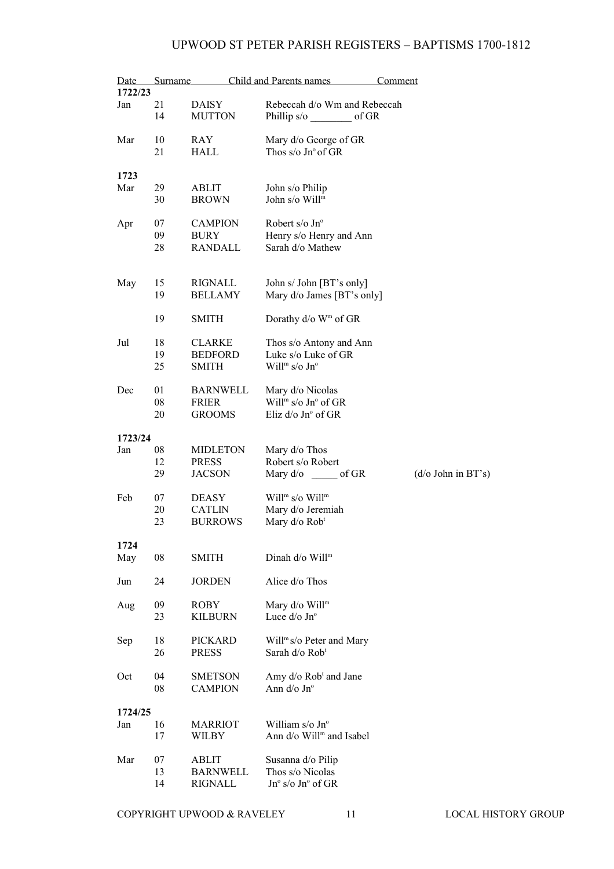| Date<br>1722/23 | Surname                |                                                  | Child and Parents names                                                                        | Comment                    |
|-----------------|------------------------|--------------------------------------------------|------------------------------------------------------------------------------------------------|----------------------------|
| Jan             | 21<br>14               | <b>DAISY</b><br><b>MUTTON</b>                    | Rebeccah d/o Wm and Rebeccah<br>Phillip s/o of GR                                              |                            |
| Mar             | 10<br>21               | <b>RAY</b><br><b>HALL</b>                        | Mary d/o George of GR<br>Thos $s$ /o Jn $\degree$ of GR                                        |                            |
| 1723            |                        |                                                  |                                                                                                |                            |
| Mar             | 29<br>30               | <b>ABLIT</b><br><b>BROWN</b>                     | John s/o Philip<br>John s/o Will <sup>m</sup>                                                  |                            |
| Apr             | 07<br>09<br>28         | <b>CAMPION</b><br><b>BURY</b><br>RANDALL         | Robert s/o $Jn^{\circ}$<br>Henry s/o Henry and Ann<br>Sarah d/o Mathew                         |                            |
| May             | 15<br>19               | RIGNALL<br><b>BELLAMY</b>                        | John s/ John [BT's only]<br>Mary d/o James [BT's only]                                         |                            |
|                 | 19                     | <b>SMITH</b>                                     | Dorathy d/o W <sup>m</sup> of GR                                                               |                            |
| Jul             | 18<br>19<br>25         | <b>CLARKE</b><br><b>BEDFORD</b><br><b>SMITH</b>  | Thos s/o Antony and Ann<br>Luke s/o Luke of GR<br>Will <sup>m</sup> s/o Jn°                    |                            |
| Dec             | 01<br>${\bf 08}$<br>20 | <b>BARNWELL</b><br><b>FRIER</b><br><b>GROOMS</b> | Mary d/o Nicolas<br>Will <sup>m</sup> s/o $Jn^{\circ}$ of GR<br>Eliz $d$ /o Jn $\degree$ of GR |                            |
| 1723/24         |                        |                                                  |                                                                                                |                            |
| Jan             | ${\bf 08}$             | <b>MIDLETON</b>                                  | Mary d/o Thos                                                                                  |                            |
|                 | 12<br>29               | <b>PRESS</b><br><b>JACSON</b>                    | Robert s/o Robert<br>Mary $d$ / $\circ$ of GR                                                  | $(d/\sigma)$ John in BT's) |
| Feb             | 07<br>20<br>23         | <b>DEASY</b><br><b>CATLIN</b><br><b>BURROWS</b>  | Will <sup>m</sup> s/o Will <sup>m</sup><br>Mary d/o Jeremiah<br>Mary d/o Rob <sup>t</sup>      |                            |
| 1724            |                        |                                                  |                                                                                                |                            |
| May             | 08                     | <b>SMITH</b>                                     | Dinah d/o Will <sup>m</sup>                                                                    |                            |
| Jun             | 24                     | <b>JORDEN</b>                                    | Alice d/o Thos                                                                                 |                            |
| Aug             | 09<br>23               | <b>ROBY</b><br><b>KILBURN</b>                    | Mary d/o Will <sup>m</sup><br>Luce d/o Jn°                                                     |                            |
| Sep             | 18<br>26               | <b>PICKARD</b><br><b>PRESS</b>                   | Will <sup>m</sup> s/o Peter and Mary<br>Sarah d/o Rob <sup>t</sup>                             |                            |
| Oct             | 04<br>08               | <b>SMETSON</b><br><b>CAMPION</b>                 | Amy d/o Rob <sup>t</sup> and Jane<br>Ann $d$ / $\circ$ Jn $\circ$                              |                            |
| 1724/25         |                        |                                                  |                                                                                                |                            |
| Jan             | 16<br>17               | <b>MARRIOT</b><br>WILBY                          | William $s/\sigma$ Jn <sup>o</sup><br>Ann d/o Will <sup>m</sup> and Isabel                     |                            |
| Mar             | 07<br>13<br>14         | ABLIT<br><b>BARNWELL</b><br>RIGNALL              | Susanna d/o Pilip<br>Thos s/o Nicolas<br>$Jn^{\circ}$ s/o $Jn^{\circ}$ of GR                   |                            |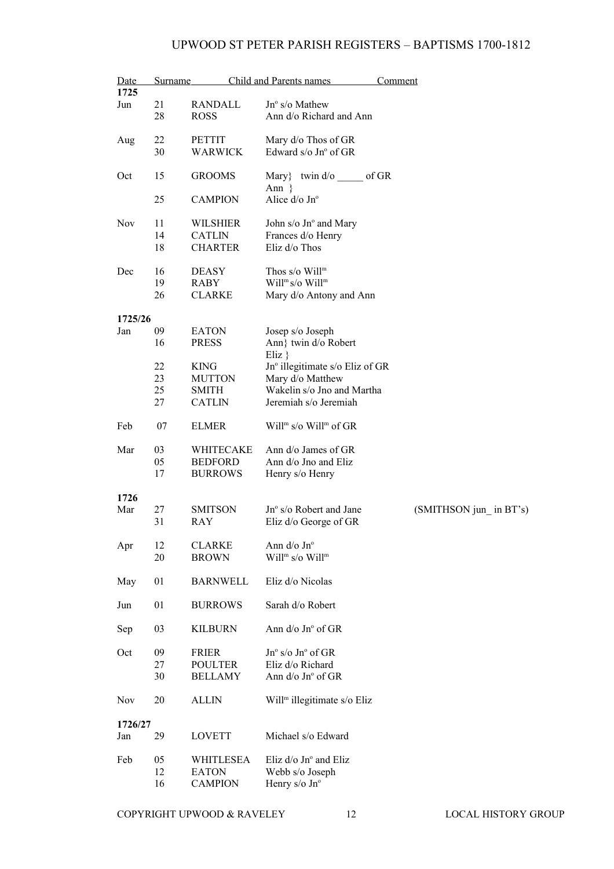| Date<br>1725   | Surname              |                                                        | Child and Parents names                                                                                    | Comment |                        |
|----------------|----------------------|--------------------------------------------------------|------------------------------------------------------------------------------------------------------------|---------|------------------------|
| Jun            | 21<br>28             | RANDALL<br><b>ROSS</b>                                 | $Jn^{\circ}$ s/o Mathew<br>Ann d/o Richard and Ann                                                         |         |                        |
| Aug            | 22<br>30             | <b>PETTIT</b><br>WARWICK                               | Mary d/o Thos of GR<br>Edward s/o Jn° of GR                                                                |         |                        |
| Oct            | 15                   | <b>GROOMS</b>                                          | Mary} twin $d$ /o of GR<br>Ann $\}$                                                                        |         |                        |
|                | 25                   | <b>CAMPION</b>                                         | Alice d/o Jnº                                                                                              |         |                        |
| <b>Nov</b>     | 11<br>14<br>18       | <b>WILSHIER</b><br><b>CATLIN</b><br><b>CHARTER</b>     | John s/o Jn° and Mary<br>Frances d/o Henry<br>Eliz d/o Thos                                                |         |                        |
| Dec            | 16<br>19<br>26       | <b>DEASY</b><br>RABY<br><b>CLARKE</b>                  | Thos $s$ /o Will <sup>m</sup><br>Will <sup>m</sup> s/o Will <sup>m</sup><br>Mary d/o Antony and Ann        |         |                        |
| 1725/26        |                      |                                                        |                                                                                                            |         |                        |
| Jan            | 09<br>16             | <b>EATON</b><br><b>PRESS</b>                           | Josep s/o Joseph<br>Ann} twin d/o Robert<br>$E$ liz $\}$                                                   |         |                        |
|                | 22<br>23<br>25<br>27 | <b>KING</b><br><b>MUTTON</b><br>SMITH<br><b>CATLIN</b> | Jn° illegitimate s/o Eliz of GR<br>Mary d/o Matthew<br>Wakelin s/o Jno and Martha<br>Jeremiah s/o Jeremiah |         |                        |
| Feb            | 07                   | <b>ELMER</b>                                           | Will <sup>m</sup> s/o Will <sup>m</sup> of GR                                                              |         |                        |
| Mar            | 03<br>05<br>17       | WHITECAKE<br><b>BEDFORD</b><br><b>BURROWS</b>          | Ann d/o James of GR<br>Ann d/o Jno and Eliz<br>Henry s/o Henry                                             |         |                        |
| 1726           |                      |                                                        |                                                                                                            |         |                        |
| Mar            | 27<br>31             | <b>SMITSON</b><br>RAY                                  | Jn° s/o Robert and Jane<br>Eliz d/o George of GR                                                           |         | (SMITHSON jun in BT's) |
| Apr            | 12<br>20             | <b>CLARKE</b><br><b>BROWN</b>                          | Ann $d$ /o Jn $\degree$<br>Will <sup>m</sup> s/o Will <sup>m</sup>                                         |         |                        |
| May            | 01                   | <b>BARNWELL</b>                                        | Eliz d/o Nicolas                                                                                           |         |                        |
| Jun            | 01                   | <b>BURROWS</b>                                         | Sarah d/o Robert                                                                                           |         |                        |
| Sep            | 03                   | <b>KILBURN</b>                                         | Ann $d$ /o Jn $\degree$ of GR                                                                              |         |                        |
| Oct            | 09<br>27<br>30       | <b>FRIER</b><br><b>POULTER</b><br><b>BELLAMY</b>       | $Jn^{\circ}$ s/o $Jn^{\circ}$ of GR<br>Eliz d/o Richard<br>Ann d/o Jn° of GR                               |         |                        |
| Nov            | 20                   | <b>ALLIN</b>                                           | Will <sup>m</sup> illegitimate s/o Eliz                                                                    |         |                        |
| 1726/27<br>Jan | 29                   | <b>LOVETT</b>                                          | Michael s/o Edward                                                                                         |         |                        |
| Feb            | 05<br>12<br>16       | WHITLESEA<br><b>EATON</b><br><b>CAMPION</b>            | Eliz $d$ /o Jn $\degree$ and Eliz<br>Webb s/o Joseph<br>Henry $s$ /o Jn $\degree$                          |         |                        |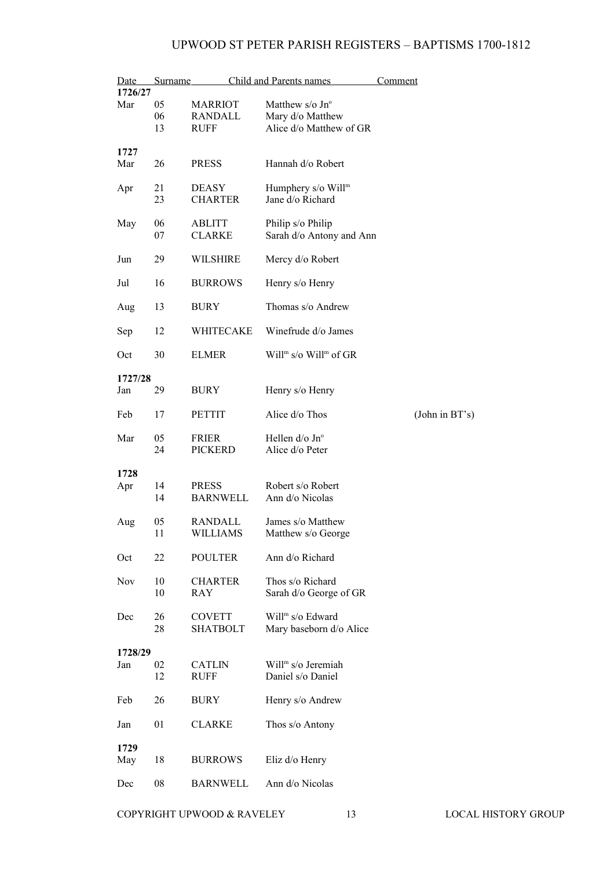| Date       | Surname  |                                 | Child and Parents names                       | Comment        |
|------------|----------|---------------------------------|-----------------------------------------------|----------------|
| 1726/27    |          |                                 |                                               |                |
| Mar        | 05       | <b>MARRIOT</b>                  | Matthew $s$ /o Jn <sup>o</sup>                |                |
|            | 06       | RANDALL                         | Mary d/o Matthew                              |                |
|            | 13       | RUFF                            | Alice d/o Matthew of GR                       |                |
| 1727       |          |                                 |                                               |                |
| Mar        | 26       | <b>PRESS</b>                    | Hannah d/o Robert                             |                |
|            |          |                                 |                                               |                |
| Apr        | 21       | <b>DEASY</b>                    | Humphery s/o Will <sup>m</sup>                |                |
|            | 23       | <b>CHARTER</b>                  | Jane d/o Richard                              |                |
|            |          |                                 |                                               |                |
| May        | 06       | ABLITT                          | Philip s/o Philip                             |                |
|            | 07       | <b>CLARKE</b>                   | Sarah d/o Antony and Ann                      |                |
| Jun        | 29       | <b>WILSHIRE</b>                 | Mercy d/o Robert                              |                |
|            |          |                                 |                                               |                |
| Jul        | 16       | <b>BURROWS</b>                  | Henry s/o Henry                               |                |
| Aug        | 13       | <b>BURY</b>                     | Thomas s/o Andrew                             |                |
| Sep        | 12       | WHITECAKE                       | Winefrude d/o James                           |                |
| Oct        | 30       | <b>ELMER</b>                    | Will <sup>m</sup> s/o Will <sup>m</sup> of GR |                |
|            |          |                                 |                                               |                |
| 1727/28    |          |                                 |                                               |                |
| Jan        | 29       | BURY                            | Henry s/o Henry                               |                |
|            |          |                                 |                                               |                |
| Feb        | 17       | <b>PETTIT</b>                   | Alice d/o Thos                                | (John in BT's) |
| Mar        | 05       | <b>FRIER</b>                    | Hellen $d$ /o Jn $\degree$                    |                |
|            | 24       | <b>PICKERD</b>                  | Alice d/o Peter                               |                |
|            |          |                                 |                                               |                |
| 1728       |          |                                 |                                               |                |
| Apr        | 14<br>14 | <b>PRESS</b><br><b>BARNWELL</b> | Robert s/o Robert<br>Ann d/o Nicolas          |                |
|            |          |                                 |                                               |                |
| Aug        | 05       | RANDALL                         | James s/o Matthew                             |                |
|            | 11       | WILLIAMS                        | Matthew s/o George                            |                |
|            |          |                                 |                                               |                |
| Oct        | 22       | <b>POULTER</b>                  | Ann d/o Richard                               |                |
| <b>Nov</b> | 10       | <b>CHARTER</b>                  | Thos s/o Richard                              |                |
|            | 10       | <b>RAY</b>                      | Sarah d/o George of GR                        |                |
|            |          |                                 |                                               |                |
| Dec        | 26       | <b>COVETT</b>                   | Will <sup>m</sup> s/o Edward                  |                |
|            | 28       | <b>SHATBOLT</b>                 | Mary baseborn d/o Alice                       |                |
| 1728/29    |          |                                 |                                               |                |
| Jan        | 02       | <b>CATLIN</b>                   | Will <sup>m</sup> s/o Jeremiah                |                |
|            | 12       | <b>RUFF</b>                     | Daniel s/o Daniel                             |                |
|            |          |                                 |                                               |                |
| Feb        | 26       | <b>BURY</b>                     | Henry s/o Andrew                              |                |
| Jan        | 01       | <b>CLARKE</b>                   | Thos s/o Antony                               |                |
|            |          |                                 |                                               |                |
| 1729       |          |                                 |                                               |                |
| May        | 18       | <b>BURROWS</b>                  | Eliz d/o Henry                                |                |
| Dec        | 08       | <b>BARNWELL</b>                 | Ann d/o Nicolas                               |                |
|            |          |                                 |                                               |                |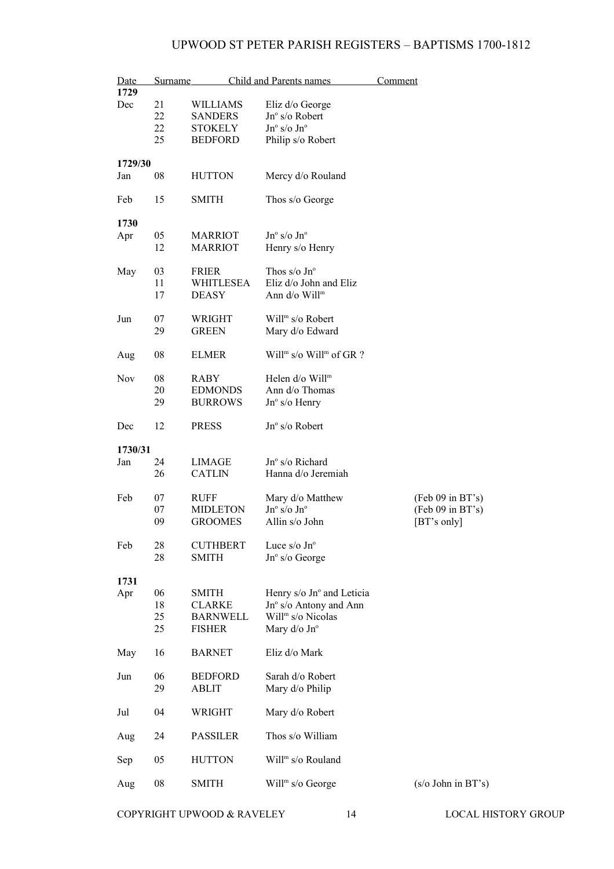| Date<br>1729 | Surname  |                         | Child and Parents names                                      | Comment                    |
|--------------|----------|-------------------------|--------------------------------------------------------------|----------------------------|
| Dec          | 21       | <b>WILLIAMS</b>         | Eliz d/o George                                              |                            |
|              | 22       | <b>SANDERS</b>          | Jnº s/o Robert                                               |                            |
|              | 22       | <b>STOKELY</b>          | $Jn^{\circ}$ s/o $Jn^{\circ}$                                |                            |
|              | 25       | <b>BEDFORD</b>          | Philip s/o Robert                                            |                            |
|              |          |                         |                                                              |                            |
| 1729/30      |          |                         |                                                              |                            |
| Jan          | 08       | <b>HUTTON</b>           | Mercy d/o Rouland                                            |                            |
| Feb          | 15       | <b>SMITH</b>            | Thos s/o George                                              |                            |
|              |          |                         |                                                              |                            |
| 1730         | 05       | <b>MARRIOT</b>          | $Jn^{\circ}$ s/o $Jn^{\circ}$                                |                            |
| Apr          | 12       | <b>MARRIOT</b>          | Henry s/o Henry                                              |                            |
|              |          |                         |                                                              |                            |
| May          | 03       | <b>FRIER</b>            | Thos $s/o$ Jn <sup>o</sup>                                   |                            |
|              | 11       | <b>WHITLESEA</b>        | Eliz d/o John and Eliz                                       |                            |
|              | 17       | <b>DEASY</b>            | Ann d/o Will <sup>m</sup>                                    |                            |
| Jun          | 07       | WRIGHT                  | Will <sup>m</sup> s/o Robert                                 |                            |
|              | 29       | <b>GREEN</b>            | Mary d/o Edward                                              |                            |
|              |          |                         |                                                              |                            |
| Aug          | 08       | <b>ELMER</b>            | Will <sup>m</sup> s/o Will <sup>m</sup> of GR?               |                            |
| <b>Nov</b>   | 08       | RABY                    | Helen d/o Will <sup>m</sup>                                  |                            |
|              | 20       | <b>EDMONDS</b>          | Ann d/o Thomas                                               |                            |
|              | 29       | <b>BURROWS</b>          | $Jn^{\circ}$ s/o Henry                                       |                            |
|              |          |                         |                                                              |                            |
| Dec          | 12       | <b>PRESS</b>            | Jnº s/o Robert                                               |                            |
| 1730/31      |          |                         |                                                              |                            |
| Jan          | 24       | LIMAGE                  | $Jno$ s/o Richard                                            |                            |
|              | 26       | <b>CATLIN</b>           | Hanna d/o Jeremiah                                           |                            |
|              |          |                         |                                                              |                            |
| Feb          | 07       | <b>RUFF</b>             | Mary d/o Matthew                                             | $(Feb 09$ in BT's)         |
|              | 07       | <b>MIDLETON</b>         | $Jn^{\rm o}$ s/o $Jn^{\rm o}$                                | (Feb 09 in BT's)           |
|              | 09       | <b>GROOMES</b>          | Allin s/o John                                               | [BT's only]                |
| Feb          | 28       | <b>CUTHBERT</b>         | Luce $s$ /o Jn $\degree$                                     |                            |
|              | 28       | <b>SMITH</b>            | Jnº s/o George                                               |                            |
|              |          |                         |                                                              |                            |
| 1731         |          |                         |                                                              |                            |
| Apr          | 06<br>18 | SMITH<br><b>CLARKE</b>  | Henry s/o Jn° and Leticia<br>$Jn^{\circ}$ s/o Antony and Ann |                            |
|              | 25       | <b>BARNWELL</b>         | Will <sup>m</sup> s/o Nicolas                                |                            |
|              | 25       | <b>FISHER</b>           | Mary d/o Jn°                                                 |                            |
|              |          |                         |                                                              |                            |
| May          | 16       | <b>BARNET</b>           | Eliz d/o Mark                                                |                            |
| Jun          | 06       |                         | Sarah d/o Robert                                             |                            |
|              | 29       | <b>BEDFORD</b><br>ABLIT |                                                              |                            |
|              |          |                         | Mary d/o Philip                                              |                            |
| Jul          | 04       | WRIGHT                  | Mary d/o Robert                                              |                            |
|              |          |                         |                                                              |                            |
| Aug          | 24       | <b>PASSILER</b>         | Thos s/o William                                             |                            |
| Sep          | 05       | <b>HUTTON</b>           | Will <sup>m</sup> s/o Rouland                                |                            |
|              |          |                         |                                                              |                            |
| Aug          | 08       | SMITH                   | Will <sup>m</sup> s/o George                                 | $(s/\sigma)$ John in BT's) |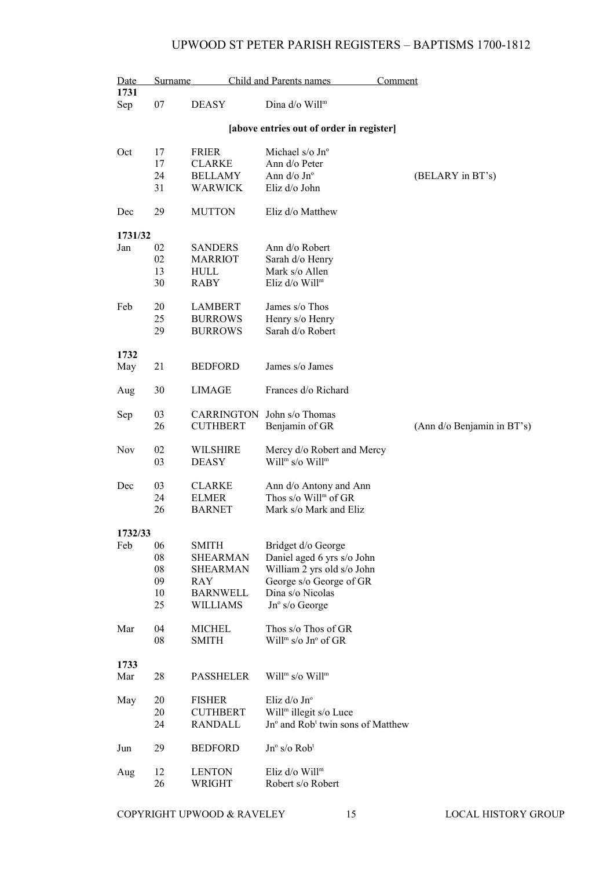| Date<br>1731 | Surname |                   | <b>Child and Parents names</b>                | Comment                    |
|--------------|---------|-------------------|-----------------------------------------------|----------------------------|
| Sep          | 07      | <b>DEASY</b>      | Dina d/o Will <sup>m</sup>                    |                            |
|              |         |                   | [above entries out of order in register]      |                            |
| Oct          | 17      | <b>FRIER</b>      | Michael $s$ /o Jn <sup>o</sup>                |                            |
|              | 17      | <b>CLARKE</b>     | Ann d/o Peter                                 |                            |
|              | 24      | <b>BELLAMY</b>    | Ann d/o Jn°                                   | (BELARY in BT's)           |
|              | 31      | WARWICK           | Eliz d/o John                                 |                            |
| Dec          | 29      | <b>MUTTON</b>     | Eliz d/o Matthew                              |                            |
| 1731/32      |         |                   |                                               |                            |
| Jan          | 02      | <b>SANDERS</b>    | Ann d/o Robert                                |                            |
|              | 02      | <b>MARRIOT</b>    | Sarah d/o Henry                               |                            |
|              | 13      | <b>HULL</b>       | Mark s/o Allen                                |                            |
|              | 30      | <b>RABY</b>       | Eliz d/o Will <sup>m</sup>                    |                            |
| Feb          | 20      | LAMBERT           | James s/o Thos                                |                            |
|              | 25      | <b>BURROWS</b>    | Henry s/o Henry                               |                            |
|              | 29      | <b>BURROWS</b>    | Sarah d/o Robert                              |                            |
|              |         |                   |                                               |                            |
| 1732         |         |                   |                                               |                            |
| May          | 21      | <b>BEDFORD</b>    | James s/o James                               |                            |
| Aug          | 30      | LIMAGE            | Frances d/o Richard                           |                            |
| Sep          | 03      | <b>CARRINGTON</b> | John s/o Thomas                               |                            |
|              | 26      | <b>CUTHBERT</b>   | Benjamin of GR                                | (Ann d/o Benjamin in BT's) |
| <b>Nov</b>   | 02      | <b>WILSHIRE</b>   | Mercy d/o Robert and Mercy                    |                            |
|              | 03      | <b>DEASY</b>      | Will <sup>m</sup> s/o Will <sup>m</sup>       |                            |
| Dec          | 03      | <b>CLARKE</b>     | Ann d/o Antony and Ann                        |                            |
|              | 24      | <b>ELMER</b>      | Thos s/o Will <sup>m</sup> of GR              |                            |
|              | 26      | <b>BARNET</b>     | Mark s/o Mark and Eliz                        |                            |
| 1732/33      |         |                   |                                               |                            |
| Feb          | 06      | <b>SMITH</b>      | Bridget d/o George                            |                            |
|              | 08      | <b>SHEARMAN</b>   | Daniel aged 6 yrs s/o John                    |                            |
|              | 08      | SHEARMAN          | William 2 yrs old s/o John                    |                            |
|              | 09      | RAY               | George s/o George of GR                       |                            |
|              | 10      | <b>BARNWELL</b>   | Dina s/o Nicolas                              |                            |
|              | 25      | <b>WILLIAMS</b>   | $Jn^{\circ}$ s/o George                       |                            |
| Mar          | 04      | <b>MICHEL</b>     | Thos s/o Thos of GR                           |                            |
|              | 08      | <b>SMITH</b>      | Will <sup>m</sup> s/o Jn° of GR               |                            |
|              |         |                   |                                               |                            |
| 1733         |         |                   |                                               |                            |
| Mar          | 28      | <b>PASSHELER</b>  | Will <sup>m</sup> s/o Will <sup>m</sup>       |                            |
| May          | 20      | <b>FISHER</b>     | Eliz d/o Jnº                                  |                            |
|              | 20      | <b>CUTHBERT</b>   | Will <sup>m</sup> illegit s/o Luce            |                            |
|              | 24      | <b>RANDALL</b>    | Jn° and Rob <sup>t</sup> twin sons of Matthew |                            |
| Jun          | 29      | <b>BEDFORD</b>    | Jnº s/o Rob <sup>t</sup>                      |                            |
| Aug          | 12      | <b>LENTON</b>     | Eliz d/o Will <sup>m</sup>                    |                            |
|              | 26      | WRIGHT            | Robert s/o Robert                             |                            |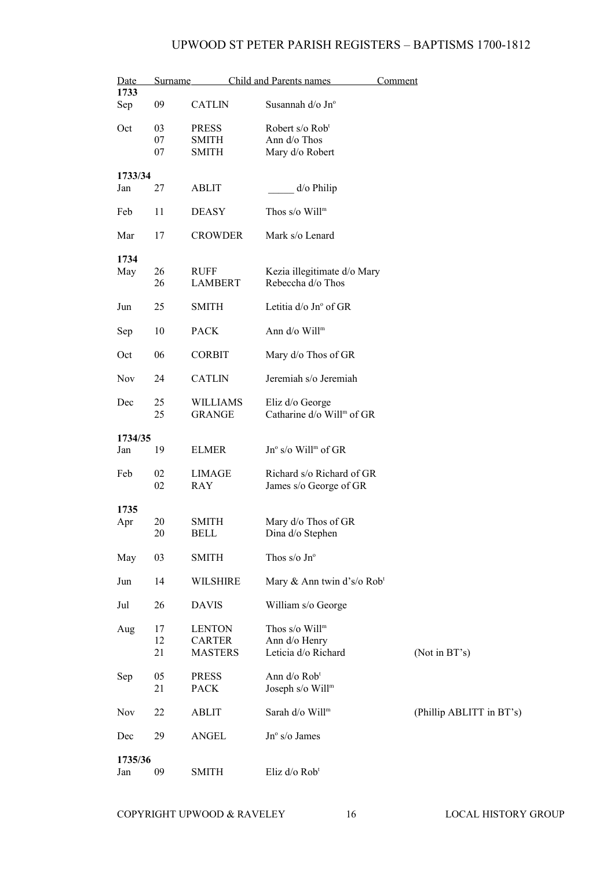| Date           |                | Surname                                          | Child and Parents names                                            | Comment                  |
|----------------|----------------|--------------------------------------------------|--------------------------------------------------------------------|--------------------------|
| 1733<br>Sep    | 09             | <b>CATLIN</b>                                    | Susannah d/o Jn°                                                   |                          |
| Oct            | 03<br>07<br>07 | <b>PRESS</b><br>SMITH<br>SMITH                   | Robert s/o Rob <sup>t</sup><br>Ann d/o Thos<br>Mary d/o Robert     |                          |
| 1733/34<br>Jan | 27             | <b>ABLIT</b>                                     | $d$ /o Philip                                                      |                          |
| Feb            | 11             | <b>DEASY</b>                                     | Thos $s$ /o Will <sup>m</sup>                                      |                          |
| Mar            | 17             | <b>CROWDER</b>                                   | Mark s/o Lenard                                                    |                          |
| 1734<br>May    | 26<br>26       | <b>RUFF</b><br><b>LAMBERT</b>                    | Kezia illegitimate d/o Mary<br>Rebeccha d/o Thos                   |                          |
| Jun            | 25             | <b>SMITH</b>                                     | Letitia d/o Jn° of GR                                              |                          |
| Sep            | 10             | <b>PACK</b>                                      | Ann d/o Will <sup>m</sup>                                          |                          |
| Oct            | 06             | <b>CORBIT</b>                                    | Mary d/o Thos of GR                                                |                          |
| Nov            | 24             | <b>CATLIN</b>                                    | Jeremiah s/o Jeremiah                                              |                          |
| Dec            | 25<br>25       | <b>WILLIAMS</b><br><b>GRANGE</b>                 | Eliz d/o George<br>Catharine d/o Will <sup>m</sup> of GR           |                          |
| 1734/35        |                |                                                  |                                                                    |                          |
| Jan            | 19             | <b>ELMER</b>                                     | Jn° s/o Will <sup>m</sup> of GR                                    |                          |
| Feb            | 02<br>02       | LIMAGE<br>RAY                                    | Richard s/o Richard of GR<br>James s/o George of GR                |                          |
| 1735           |                |                                                  |                                                                    |                          |
| Apr            | 20<br>20       | SMITH<br><b>BELL</b>                             | Mary d/o Thos of GR<br>Dina d/o Stephen                            |                          |
| May            | 03             | <b>SMITH</b>                                     | Thos s/o $Jn^{\circ}$                                              |                          |
| Jun            | 14             | <b>WILSHIRE</b>                                  | Mary & Ann twin d's/o Rob <sup>t</sup>                             |                          |
| Jul            | 26             | <b>DAVIS</b>                                     | William s/o George                                                 |                          |
| Aug            | 17<br>12<br>21 | <b>LENTON</b><br><b>CARTER</b><br><b>MASTERS</b> | Thos s/o Will <sup>m</sup><br>Ann d/o Henry<br>Leticia d/o Richard | (Not in BT's)            |
| Sep            | 05<br>21       | <b>PRESS</b><br><b>PACK</b>                      | Ann d/o Rob <sup>t</sup><br>Joseph s/o Will <sup>m</sup>           |                          |
| <b>Nov</b>     | 22             | <b>ABLIT</b>                                     | Sarah d/o Will <sup>m</sup>                                        | (Phillip ABLITT in BT's) |
| Dec            | 29             | <b>ANGEL</b>                                     | Jn° s/o James                                                      |                          |
| 1735/36<br>Jan | 09             | <b>SMITH</b>                                     | Eliz d/o Rob <sup>t</sup>                                          |                          |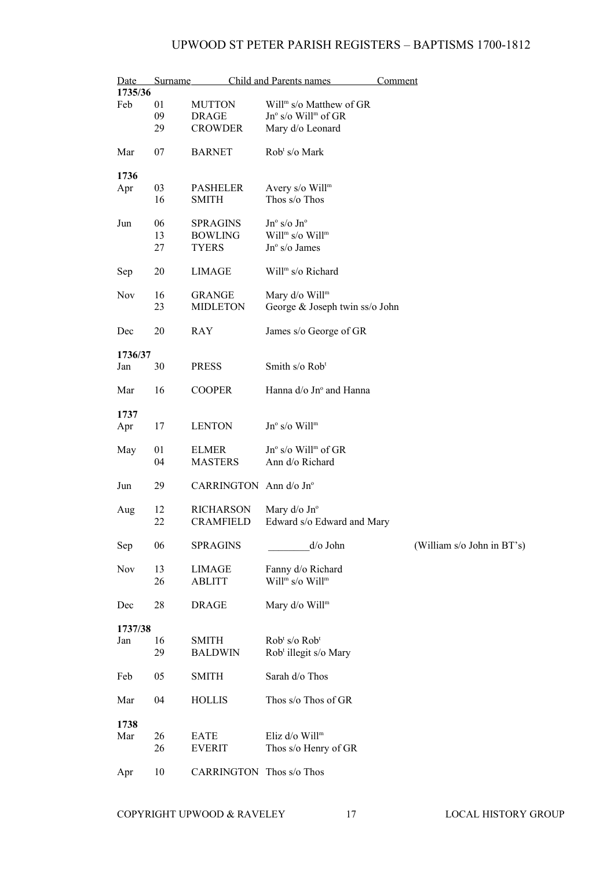| Date<br>1735/36 | Surname |                                 | Child and Parents names                                      | Comment                    |
|-----------------|---------|---------------------------------|--------------------------------------------------------------|----------------------------|
|                 |         |                                 |                                                              |                            |
| Feb             | 01      | <b>MUTTON</b>                   | Will <sup>m</sup> s/o Matthew of GR                          |                            |
|                 | 09      | <b>DRAGE</b>                    | Jn° s/o Will <sup>m</sup> of GR                              |                            |
|                 | 29      | <b>CROWDER</b>                  | Mary d/o Leonard                                             |                            |
| Mar             | 07      | <b>BARNET</b>                   | Rob <sup>t</sup> s/o Mark                                    |                            |
| 1736            |         |                                 |                                                              |                            |
| Apr             | 03      | <b>PASHELER</b>                 | Avery s/o Will <sup>m</sup>                                  |                            |
|                 | 16      | <b>SMITH</b>                    | Thos s/o Thos                                                |                            |
| Jun             | 06      | <b>SPRAGINS</b>                 | $Jn^{\circ}$ s/o $Jn^{\circ}$                                |                            |
|                 | 13      | <b>BOWLING</b>                  | Will <sup>m</sup> s/o Will <sup>m</sup>                      |                            |
|                 | 27      | <b>TYERS</b>                    | $Jn^{\circ}$ s/o James                                       |                            |
| Sep             | 20      | LIMAGE                          | Will <sup>m</sup> s/o Richard                                |                            |
| Nov             | 16      | <b>GRANGE</b>                   | Mary d/o Will <sup>m</sup>                                   |                            |
|                 | 23      | <b>MIDLETON</b>                 | George & Joseph twin ss/o John                               |                            |
|                 |         |                                 |                                                              |                            |
| Dec             | 20      | RAY                             | James s/o George of GR                                       |                            |
| 1736/37         |         |                                 |                                                              |                            |
| Jan             | 30      | <b>PRESS</b>                    | Smith s/o Rob <sup>t</sup>                                   |                            |
|                 |         |                                 |                                                              |                            |
| Mar             | 16      | <b>COOPER</b>                   | Hanna $d$ /o Jn <sup>o</sup> and Hanna                       |                            |
| 1737            |         |                                 |                                                              |                            |
| Apr             | 17      | <b>LENTON</b>                   | $Jn^{\circ}$ s/o Will <sup>m</sup>                           |                            |
|                 |         |                                 |                                                              |                            |
| May             | 01      | <b>ELMER</b>                    | $Jn^{\circ}$ s/o Will <sup>m</sup> of GR                     |                            |
|                 | 04      | <b>MASTERS</b>                  | Ann d/o Richard                                              |                            |
|                 |         |                                 |                                                              |                            |
| Jun             | 29      | CARRINGTON Ann d/o Jn°          |                                                              |                            |
|                 |         |                                 |                                                              |                            |
| Aug             | 12      | <b>RICHARSON</b>                | Mary d/o Jn°                                                 |                            |
|                 | 22      | <b>CRAMFIELD</b>                | Edward s/o Edward and Mary                                   |                            |
|                 |         |                                 |                                                              |                            |
| Sep             | 06      | <b>SPRAGINS</b>                 | d/o John                                                     | (William s/o John in BT's) |
| Nov             | 13      |                                 |                                                              |                            |
|                 |         | LIMAGE                          | Fanny d/o Richard<br>Will <sup>m</sup> s/o Will <sup>m</sup> |                            |
|                 | 26      | <b>ABLITT</b>                   |                                                              |                            |
| Dec             | 28      | <b>DRAGE</b>                    | Mary d/o Will <sup>m</sup>                                   |                            |
|                 |         |                                 |                                                              |                            |
| 1737/38         |         |                                 |                                                              |                            |
| Jan             | 16      | <b>SMITH</b>                    | Rob <sup>t</sup> s/o Rob <sup>t</sup>                        |                            |
|                 | 29      | <b>BALDWIN</b>                  | Rob <sup>t</sup> illegit s/o Mary                            |                            |
| Feb             | 05      | <b>SMITH</b>                    | Sarah d/o Thos                                               |                            |
|                 |         |                                 |                                                              |                            |
| Mar             | 04      | <b>HOLLIS</b>                   | Thos s/o Thos of GR                                          |                            |
|                 |         |                                 |                                                              |                            |
| 1738            |         |                                 |                                                              |                            |
| Mar             | 26      | EATE                            | Eliz d/o Will <sup>m</sup>                                   |                            |
|                 | 26      | <b>EVERIT</b>                   | Thos s/o Henry of GR                                         |                            |
| Apr             | 10      | <b>CARRINGTON</b> Thos s/o Thos |                                                              |                            |
|                 |         |                                 |                                                              |                            |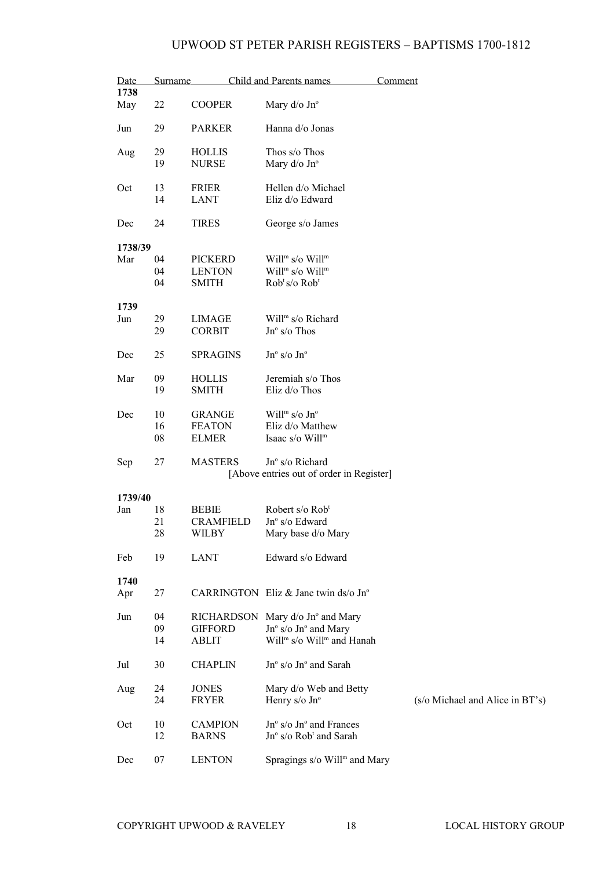| Date<br>1738 | Surname        |                                                 | Child and Parents names                                                                                                         | Comment                         |
|--------------|----------------|-------------------------------------------------|---------------------------------------------------------------------------------------------------------------------------------|---------------------------------|
| May          | 22             | <b>COOPER</b>                                   | Mary $d$ /o Jn $\degree$                                                                                                        |                                 |
| Jun          | 29             | <b>PARKER</b>                                   | Hanna d/o Jonas                                                                                                                 |                                 |
| Aug          | 29<br>19       | <b>HOLLIS</b><br><b>NURSE</b>                   | Thos s/o Thos<br>Mary d/o Jn°                                                                                                   |                                 |
| Oct          | 13<br>14       | <b>FRIER</b><br><b>LANT</b>                     | Hellen d/o Michael<br>Eliz d/o Edward                                                                                           |                                 |
| Dec          | 24             | <b>TIRES</b>                                    | George s/o James                                                                                                                |                                 |
| 1738/39      |                |                                                 |                                                                                                                                 |                                 |
| Mar          | 04<br>04<br>04 | <b>PICKERD</b><br><b>LENTON</b><br><b>SMITH</b> | Will <sup>m</sup> s/o Will <sup>m</sup><br>Will <sup>m</sup> s/o Will <sup>m</sup><br>Rob <sup>t</sup> s/o Rob <sup>t</sup>     |                                 |
| 1739         |                |                                                 |                                                                                                                                 |                                 |
| Jun          | 29<br>29       | LIMAGE<br><b>CORBIT</b>                         | Will <sup>m</sup> s/o Richard<br>$Jn^{\circ}$ s/o Thos                                                                          |                                 |
| Dec          | 25             | <b>SPRAGINS</b>                                 | $Jn^{\circ}$ s/o $Jn^{\circ}$                                                                                                   |                                 |
| Mar          | 09<br>19       | <b>HOLLIS</b><br><b>SMITH</b>                   | Jeremiah s/o Thos<br>Eliz d/o Thos                                                                                              |                                 |
| Dec          | 10<br>16<br>08 | <b>GRANGE</b><br><b>FEATON</b><br><b>ELMER</b>  | Will <sup>m</sup> s/o $Jn^{\circ}$<br>Eliz d/o Matthew<br>Isaac s/o Will <sup>m</sup>                                           |                                 |
| Sep          | 27             | <b>MASTERS</b>                                  | Jnº s/o Richard<br>[Above entries out of order in Register]                                                                     |                                 |
| 1739/40      |                |                                                 |                                                                                                                                 |                                 |
| Jan          | 18<br>21<br>28 | <b>BEBIE</b><br><b>CRAMFIELD</b><br>WILBY       | Robert s/o Rob <sup>t</sup><br>$Jn^{\circ}$ s/o Edward<br>Mary base d/o Mary                                                    |                                 |
| Feb          | 19             | LANT                                            | Edward s/o Edward                                                                                                               |                                 |
| 1740         |                |                                                 |                                                                                                                                 |                                 |
| Apr          | 27             |                                                 | CARRINGTON Eliz & Jane twin ds/o $Jn^{\circ}$                                                                                   |                                 |
| Jun          | 04<br>09<br>14 | <b>GIFFORD</b><br><b>ABLIT</b>                  | RICHARDSON Mary d/o Jn° and Mary<br>$Jn^{\circ}$ s/o $Jn^{\circ}$ and Mary<br>Will <sup>m</sup> s/o Will <sup>m</sup> and Hanah |                                 |
| Jul          | 30             | <b>CHAPLIN</b>                                  | Jn° s/o Jn° and Sarah                                                                                                           |                                 |
| Aug          | 24<br>24       | <b>JONES</b><br><b>FRYER</b>                    | Mary d/o Web and Betty<br>Henry s/o Jn°                                                                                         | (s/o Michael and Alice in BT's) |
| Oct          | 10<br>12       | <b>CAMPION</b><br><b>BARNS</b>                  | $Jn^{\circ}$ s/o $Jn^{\circ}$ and Frances<br>Jn° s/o Rob <sup>t</sup> and Sarah                                                 |                                 |
| Dec          | 07             | <b>LENTON</b>                                   | Spragings s/o Will <sup>m</sup> and Mary                                                                                        |                                 |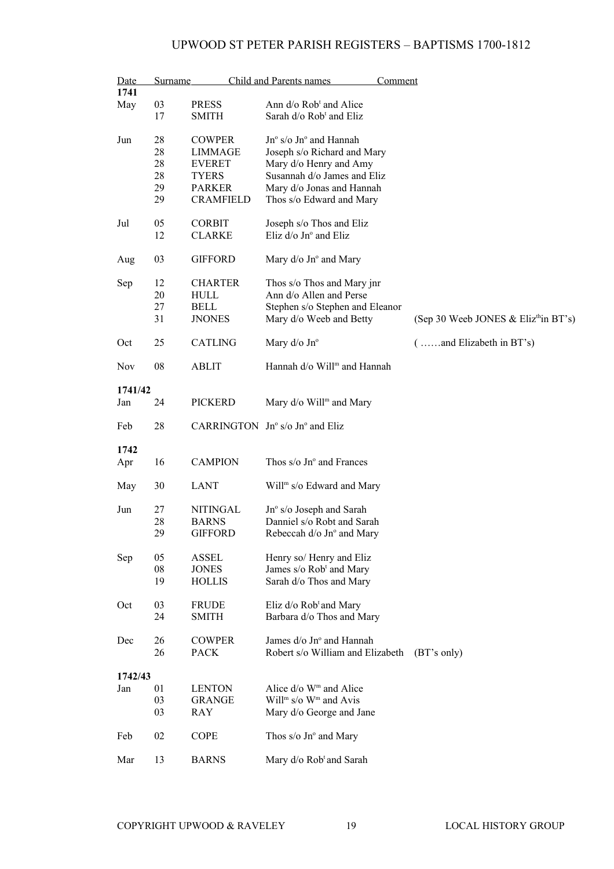| Date       | <b>Surname</b> |                  | Child and Parents names<br><b>Comment</b>            |                                                  |
|------------|----------------|------------------|------------------------------------------------------|--------------------------------------------------|
| 1741       |                |                  |                                                      |                                                  |
| May        | 03             | <b>PRESS</b>     | Ann d/o Rob <sup>t</sup> and Alice                   |                                                  |
|            | 17             | <b>SMITH</b>     | Sarah d/o Rob <sup>t</sup> and Eliz                  |                                                  |
|            |                |                  |                                                      |                                                  |
| Jun        | 28             | <b>COWPER</b>    | $Jn^{\circ}$ s/o $Jn^{\circ}$ and Hannah             |                                                  |
|            |                |                  |                                                      |                                                  |
|            | 28             | LIMMAGE          | Joseph s/o Richard and Mary                          |                                                  |
|            | 28             | <b>EVERET</b>    | Mary d/o Henry and Amy                               |                                                  |
|            | 28             | <b>TYERS</b>     | Susannah d/o James and Eliz                          |                                                  |
|            | 29             | <b>PARKER</b>    | Mary d/o Jonas and Hannah                            |                                                  |
|            | 29             | <b>CRAMFIELD</b> | Thos s/o Edward and Mary                             |                                                  |
|            |                |                  |                                                      |                                                  |
|            |                |                  |                                                      |                                                  |
| Jul        | 05             | <b>CORBIT</b>    | Joseph s/o Thos and Eliz                             |                                                  |
|            | 12             | <b>CLARKE</b>    | Eliz $d$ /o Jn $\degree$ and Eliz                    |                                                  |
|            |                |                  |                                                      |                                                  |
| Aug        | 03             | <b>GIFFORD</b>   | Mary d/o Jn° and Mary                                |                                                  |
|            |                |                  |                                                      |                                                  |
| Sep        | 12             | <b>CHARTER</b>   | Thos s/o Thos and Mary jnr                           |                                                  |
|            |                |                  | Ann d/o Allen and Perse                              |                                                  |
|            | 20             | <b>HULL</b>      |                                                      |                                                  |
|            | 27             | <b>BELL</b>      | Stephen s/o Stephen and Eleanor                      |                                                  |
|            | 31             | <b>JNONES</b>    | Mary d/o Weeb and Betty                              | (Sep 30 Weeb JONES & Eliz <sup>th</sup> in BT's) |
|            |                |                  |                                                      |                                                  |
| Oct        | 25             | <b>CATLING</b>   | Mary $d$ /o Jn $\degree$                             | $($ and Elizabeth in BT's)                       |
|            |                |                  |                                                      |                                                  |
| <b>Nov</b> | 08             | <b>ABLIT</b>     | Hannah d/o Will <sup>m</sup> and Hannah              |                                                  |
|            |                |                  |                                                      |                                                  |
|            |                |                  |                                                      |                                                  |
| 1741/42    |                |                  |                                                      |                                                  |
| Jan        | 24             | <b>PICKERD</b>   | Mary d/o Will <sup>m</sup> and Mary                  |                                                  |
|            |                |                  |                                                      |                                                  |
| Feb        | 28             |                  | CARRINGTON $Jn^{\circ} s/\sigma Jn^{\circ}$ and Eliz |                                                  |
|            |                |                  |                                                      |                                                  |
| 1742       |                |                  |                                                      |                                                  |
|            | 16             | <b>CAMPION</b>   | Thos s/o Jn° and Frances                             |                                                  |
| Apr        |                |                  |                                                      |                                                  |
|            |                |                  |                                                      |                                                  |
| May        | 30             | <b>LANT</b>      | Will <sup>m</sup> s/o Edward and Mary                |                                                  |
|            |                |                  |                                                      |                                                  |
| Jun        | 27             | <b>NITINGAL</b>  | Jn° s/o Joseph and Sarah                             |                                                  |
|            | 28             | <b>BARNS</b>     | Danniel s/o Robt and Sarah                           |                                                  |
|            | 29             | <b>GIFFORD</b>   | Rebeccah d/o Jn° and Mary                            |                                                  |
|            |                |                  |                                                      |                                                  |
|            |                |                  |                                                      |                                                  |
| Sep        | 05             | ASSEL            | Henry so/ Henry and Eliz                             |                                                  |
|            | 08             | <b>JONES</b>     | James s/o Rob <sup>t</sup> and Mary                  |                                                  |
|            | 19             | <b>HOLLIS</b>    | Sarah d/o Thos and Mary                              |                                                  |
|            |                |                  |                                                      |                                                  |
| Oct        | 03             | <b>FRUDE</b>     | Eliz d/o Rob <sup>t</sup> and Mary                   |                                                  |
|            | 24             | <b>SMITH</b>     | Barbara d/o Thos and Mary                            |                                                  |
|            |                |                  |                                                      |                                                  |
|            |                |                  |                                                      |                                                  |
| Dec        | 26             | <b>COWPER</b>    | James d/o Jn° and Hannah                             |                                                  |
|            | 26             | <b>PACK</b>      | Robert s/o William and Elizabeth                     | (BT's only)                                      |
|            |                |                  |                                                      |                                                  |
| 1742/43    |                |                  |                                                      |                                                  |
| Jan        | 01             | <b>LENTON</b>    | Alice d/o W <sup>m</sup> and Alice                   |                                                  |
|            | 03             | <b>GRANGE</b>    | Will <sup>m</sup> s/o $Wm$ and Avis                  |                                                  |
|            |                |                  |                                                      |                                                  |
|            | 03             | <b>RAY</b>       | Mary d/o George and Jane                             |                                                  |
|            |                |                  |                                                      |                                                  |
| Feb        | 02             | <b>COPE</b>      | Thos $s$ /o Jn $\degree$ and Mary                    |                                                  |
|            |                |                  |                                                      |                                                  |
| Mar        | 13             | <b>BARNS</b>     | Mary d/o Rob <sup>t</sup> and Sarah                  |                                                  |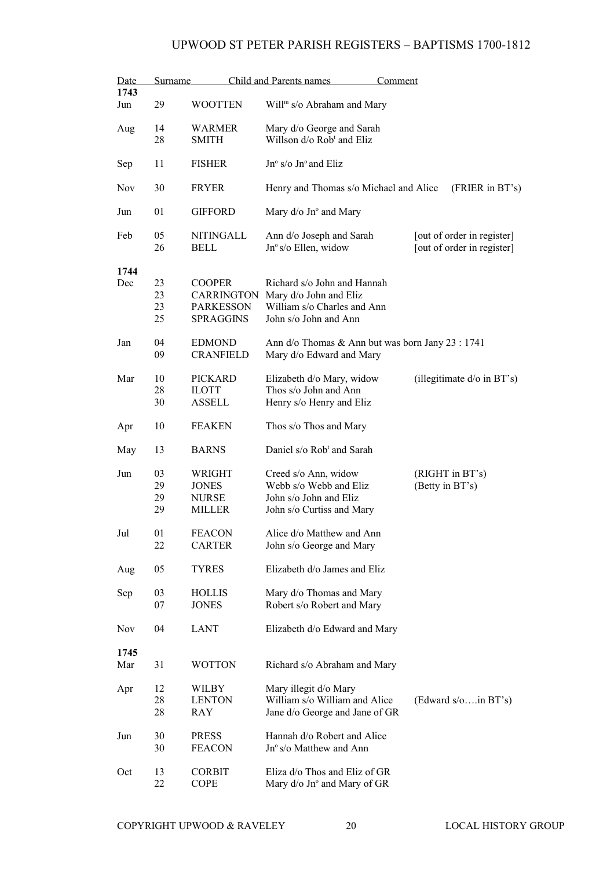| Date       | <b>Surname</b> |                   | Child and Parents names<br><u>Comment</u>        |                               |
|------------|----------------|-------------------|--------------------------------------------------|-------------------------------|
| 1743       |                |                   |                                                  |                               |
| Jun        | 29             | <b>WOOTTEN</b>    | Will <sup>m</sup> s/o Abraham and Mary           |                               |
| Aug        | 14             | <b>WARMER</b>     | Mary d/o George and Sarah                        |                               |
|            | 28             | <b>SMITH</b>      | Willson d/o Rob <sup>t</sup> and Eliz            |                               |
| Sep        | 11             | <b>FISHER</b>     | $Jn^{\circ}$ s/o $Jn^{\circ}$ and Eliz           |                               |
| <b>Nov</b> | 30             | <b>FRYER</b>      | Henry and Thomas s/o Michael and Alice           | (FRIER in BT's)               |
| Jun        | 01             | <b>GIFFORD</b>    | Mary $d$ /o Jn $\degree$ and Mary                |                               |
| Feb        | 05             | NITINGALL         | Ann d/o Joseph and Sarah                         | [out of order in register]    |
|            | 26             | <b>BELL</b>       | Jnº s/o Ellen, widow                             | [out of order in register]    |
|            |                |                   |                                                  |                               |
| 1744       |                |                   |                                                  |                               |
| Dec        | 23             | <b>COOPER</b>     | Richard s/o John and Hannah                      |                               |
|            | 23             | <b>CARRINGTON</b> | Mary d/o John and Eliz                           |                               |
|            | 23             | <b>PARKESSON</b>  | William s/o Charles and Ann                      |                               |
|            | 25             | <b>SPRAGGINS</b>  | John s/o John and Ann                            |                               |
|            |                |                   |                                                  |                               |
| Jan        | 04             | <b>EDMOND</b>     | Ann d/o Thomas & Ann but was born Jany 23 : 1741 |                               |
|            | 09             | <b>CRANFIELD</b>  | Mary d/o Edward and Mary                         |                               |
|            |                |                   |                                                  |                               |
| Mar        | 10             | <b>PICKARD</b>    | Elizabeth d/o Mary, widow                        | (illegitimate $d$ /o in BT's) |
|            | 28             | <b>ILOTT</b>      | Thos s/o John and Ann                            |                               |
|            | 30             | ASSELL            | Henry s/o Henry and Eliz                         |                               |
|            |                |                   |                                                  |                               |
| Apr        | 10             | <b>FEAKEN</b>     | Thos s/o Thos and Mary                           |                               |
|            |                |                   | Daniel s/o Rob <sup>t</sup> and Sarah            |                               |
| May        | 13             | <b>BARNS</b>      |                                                  |                               |
| Jun        | 03             | WRIGHT            | Creed s/o Ann, widow                             | (RIGHT in BT's)               |
|            | 29             | <b>JONES</b>      | Webb s/o Webb and Eliz                           | (Betty in BT's)               |
|            | 29             | <b>NURSE</b>      | John s/o John and Eliz                           |                               |
|            | 29             | <b>MILLER</b>     | John s/o Curtiss and Mary                        |                               |
|            |                |                   |                                                  |                               |
| Jul        | 01             | <b>FEACON</b>     | Alice d/o Matthew and Ann                        |                               |
|            | 22             | <b>CARTER</b>     | John s/o George and Mary                         |                               |
|            |                |                   |                                                  |                               |
| Aug        | 05             | <b>TYRES</b>      | Elizabeth d/o James and Eliz                     |                               |
|            |                |                   |                                                  |                               |
| Sep        | 03             | <b>HOLLIS</b>     | Mary d/o Thomas and Mary                         |                               |
|            | 07             | <b>JONES</b>      | Robert s/o Robert and Mary                       |                               |
| <b>Nov</b> | 04             | <b>LANT</b>       |                                                  |                               |
|            |                |                   | Elizabeth d/o Edward and Mary                    |                               |
| 1745       |                |                   |                                                  |                               |
| Mar        | 31             | <b>WOTTON</b>     | Richard s/o Abraham and Mary                     |                               |
|            |                |                   |                                                  |                               |
| Apr        | 12             | WILBY             | Mary illegit d/o Mary                            |                               |
|            | 28             | <b>LENTON</b>     | William s/o William and Alice                    | (Edward $s/\circ$ in BT's)    |
|            | 28             | RAY               | Jane d/o George and Jane of GR                   |                               |
|            |                |                   |                                                  |                               |
| Jun        | 30             | <b>PRESS</b>      | Hannah d/o Robert and Alice                      |                               |
|            | 30             | <b>FEACON</b>     | Jn° s/o Matthew and Ann                          |                               |
|            |                |                   |                                                  |                               |
| Oct        | 13             | <b>CORBIT</b>     | Eliza d/o Thos and Eliz of GR                    |                               |
|            | 22             | <b>COPE</b>       | Mary d/o Jn° and Mary of GR                      |                               |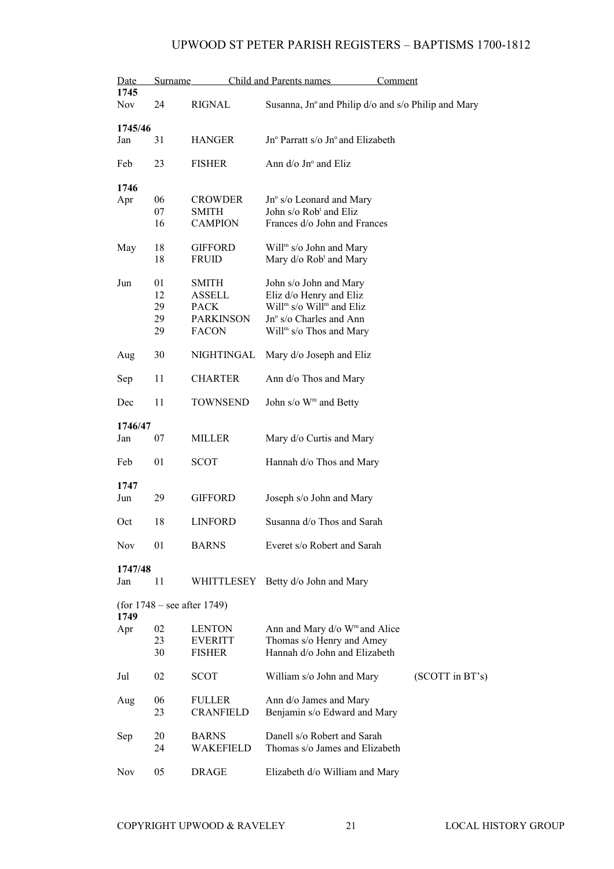| Date<br>1745   | <b>Surname</b> |                               | Child and Parents names<br><u>Comment</u>           |                 |
|----------------|----------------|-------------------------------|-----------------------------------------------------|-----------------|
| Nov            | 24             | RIGNAL                        | Susanna, Jn° and Philip d/o and s/o Philip and Mary |                 |
|                |                |                               |                                                     |                 |
| 1745/46        |                |                               |                                                     |                 |
| Jan            | 31             | <b>HANGER</b>                 | Jn° Parratt s/o Jn° and Elizabeth                   |                 |
| Feb            | 23             | <b>FISHER</b>                 | Ann $d$ /o Jn $\degree$ and Eliz                    |                 |
| 1746           |                |                               |                                                     |                 |
| Apr            | 06             | <b>CROWDER</b>                | Jn° s/o Leonard and Mary                            |                 |
|                | 07             | SMITH                         | John s/o Rob <sup>t</sup> and Eliz                  |                 |
|                | 16             | <b>CAMPION</b>                | Frances d/o John and Frances                        |                 |
|                |                |                               |                                                     |                 |
| May            | 18             | <b>GIFFORD</b>                | Will <sup>m</sup> s/o John and Mary                 |                 |
|                | 18             | <b>FRUID</b>                  | Mary d/o Rob <sup>t</sup> and Mary                  |                 |
| Jun            | 01             | <b>SMITH</b>                  | John s/o John and Mary                              |                 |
|                | 12             | <b>ASSELL</b>                 | Eliz d/o Henry and Eliz                             |                 |
|                | 29             | <b>PACK</b>                   | Will <sup>m</sup> s/o Will <sup>m</sup> and Eliz    |                 |
|                | 29             | <b>PARKINSON</b>              | Jn° s/o Charles and Ann                             |                 |
|                | 29             | <b>FACON</b>                  | Will <sup>m</sup> s/o Thos and Mary                 |                 |
| Aug            | 30             | NIGHTINGAL                    | Mary d/o Joseph and Eliz                            |                 |
| Sep            | 11             | <b>CHARTER</b>                | Ann d/o Thos and Mary                               |                 |
| Dec            | 11             | <b>TOWNSEND</b>               | John s/o W <sup>m</sup> and Betty                   |                 |
|                |                |                               |                                                     |                 |
| 1746/47<br>Jan | 07             | MILLER                        | Mary d/o Curtis and Mary                            |                 |
| Feb            | 01             | <b>SCOT</b>                   | Hannah d/o Thos and Mary                            |                 |
| 1747           |                |                               |                                                     |                 |
| Jun            | 29             | <b>GIFFORD</b>                | Joseph s/o John and Mary                            |                 |
|                |                |                               |                                                     |                 |
| Oct            | 18             | <b>LINFORD</b>                | Susanna d/o Thos and Sarah                          |                 |
| Nov            | 01             | <b>BARNS</b>                  | Everet s/o Robert and Sarah                         |                 |
| 1747/48        |                |                               |                                                     |                 |
| Jan            | 11             |                               | WHITTLESEY Betty d/o John and Mary                  |                 |
| 1749           |                | (for $1748$ – see after 1749) |                                                     |                 |
| Apr            | 02             | <b>LENTON</b>                 | Ann and Mary d/o W <sup>m</sup> and Alice           |                 |
|                | 23             | <b>EVERITT</b>                | Thomas s/o Henry and Amey                           |                 |
|                | 30             | <b>FISHER</b>                 | Hannah d/o John and Elizabeth                       |                 |
| Jul            | 02             | <b>SCOT</b>                   | William s/o John and Mary                           | (SCOTT in BT's) |
| Aug            | 06             | <b>FULLER</b>                 | Ann d/o James and Mary                              |                 |
|                | 23             | <b>CRANFIELD</b>              | Benjamin s/o Edward and Mary                        |                 |
| Sep            | 20             | <b>BARNS</b>                  | Danell s/o Robert and Sarah                         |                 |
|                | 24             | WAKEFIELD                     | Thomas s/o James and Elizabeth                      |                 |
| <b>Nov</b>     | 05             | <b>DRAGE</b>                  | Elizabeth d/o William and Mary                      |                 |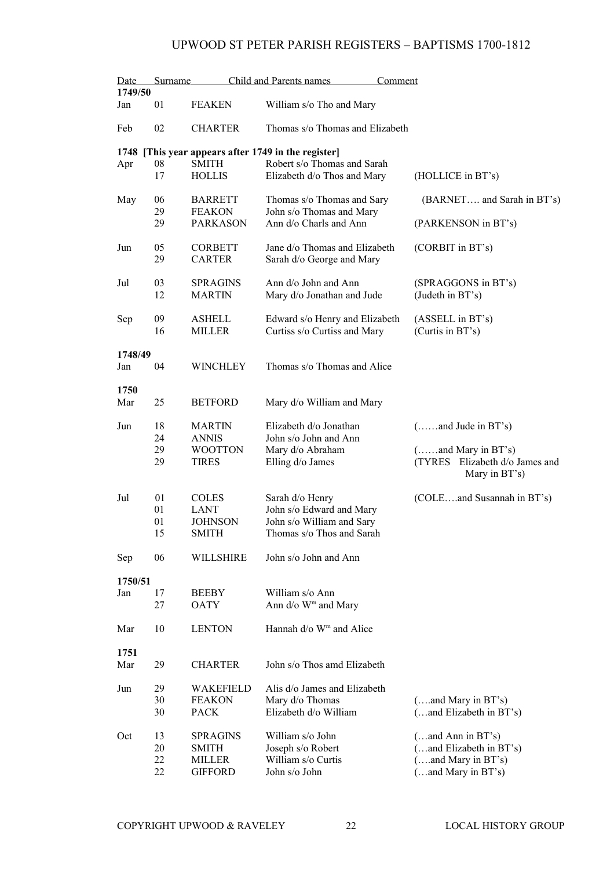| Date<br>1749/50 | Surname  |                                  | Child and Parents names<br>Comment                             |                                                 |  |  |
|-----------------|----------|----------------------------------|----------------------------------------------------------------|-------------------------------------------------|--|--|
| Jan             | 01       | <b>FEAKEN</b>                    | William s/o Tho and Mary                                       |                                                 |  |  |
| Feb             | 02       | <b>CHARTER</b>                   | Thomas s/o Thomas and Elizabeth                                |                                                 |  |  |
| 1748            |          |                                  | [This year appears after 1749 in the register]                 |                                                 |  |  |
| Apr             | 08<br>17 | <b>SMITH</b><br><b>HOLLIS</b>    | Robert s/o Thomas and Sarah<br>Elizabeth d/o Thos and Mary     | (HOLLICE in BT's)                               |  |  |
| May             | 06<br>29 | <b>BARRETT</b><br><b>FEAKON</b>  | Thomas s/o Thomas and Sary<br>John s/o Thomas and Mary         | (BARNET and Sarah in BT's)                      |  |  |
|                 | 29       | <b>PARKASON</b>                  | Ann d/o Charls and Ann                                         | (PARKENSON in BT's)                             |  |  |
| Jun             | 05<br>29 | <b>CORBETT</b><br><b>CARTER</b>  | Jane d/o Thomas and Elizabeth<br>Sarah d/o George and Mary     | (CORBIT in BT's)                                |  |  |
| Jul             | 03<br>12 | <b>SPRAGINS</b><br><b>MARTIN</b> | Ann d/o John and Ann<br>Mary d/o Jonathan and Jude             | (SPRAGGONS in BT's)<br>(Judeth in BT's)         |  |  |
| Sep             | 09<br>16 | <b>ASHELL</b><br><b>MILLER</b>   | Edward s/o Henry and Elizabeth<br>Curtiss s/o Curtiss and Mary | (ASSELL in BT's)<br>(Curtis in BT's)            |  |  |
|                 | 1748/49  |                                  |                                                                |                                                 |  |  |
| Jan             | 04       | <b>WINCHLEY</b>                  | Thomas s/o Thomas and Alice                                    |                                                 |  |  |
| 1750            |          |                                  |                                                                |                                                 |  |  |
| Mar             | 25       | <b>BETFORD</b>                   | Mary d/o William and Mary                                      |                                                 |  |  |
| Jun             | 18       | <b>MARTIN</b>                    | Elizabeth d/o Jonathan                                         | $(\dots \dots$ and Jude in BT's)                |  |  |
|                 | 24<br>29 | <b>ANNIS</b><br><b>WOOTTON</b>   | John s/o John and Ann<br>Mary d/o Abraham                      | ( and Mary in BT's)                             |  |  |
|                 | 29       | <b>TIRES</b>                     | Elling d/o James                                               | (TYRES Elizabeth d/o James and<br>Mary in BT's) |  |  |
| Jul             | 01       | <b>COLES</b>                     | Sarah d/o Henry                                                | (COLEand Susannah in BT's)                      |  |  |
|                 | 01       | LANT                             | John s/o Edward and Mary                                       |                                                 |  |  |
|                 | 01<br>15 | <b>JOHNSON</b><br>SMITH          | John s/o William and Sary<br>Thomas s/o Thos and Sarah         |                                                 |  |  |
| Sep             | 06       | WILLSHIRE                        | John s/o John and Ann                                          |                                                 |  |  |
| 1750/51         |          |                                  |                                                                |                                                 |  |  |
| Jan             | 17<br>27 | <b>BEEBY</b><br><b>OATY</b>      | William s/o Ann<br>Ann $d$ /o W <sup>m</sup> and Mary          |                                                 |  |  |
| Mar             | 10       | <b>LENTON</b>                    | Hannah d/o W <sup>m</sup> and Alice                            |                                                 |  |  |
| 1751            |          |                                  |                                                                |                                                 |  |  |
| Mar             | 29       | <b>CHARTER</b>                   | John s/o Thos amd Elizabeth                                    |                                                 |  |  |
| Jun             | 29       | WAKEFIELD                        | Alis d/o James and Elizabeth                                   |                                                 |  |  |
|                 | 30<br>30 | <b>FEAKON</b><br><b>PACK</b>     | Mary d/o Thomas<br>Elizabeth d/o William                       | (and Mary in BT's)<br>(and Elizabeth in BT's)   |  |  |
| Oct             | 13       | <b>SPRAGINS</b>                  | William s/o John                                               | (and Ann in BT's)                               |  |  |
|                 | 20<br>22 | <b>SMITH</b>                     | Joseph s/o Robert<br>William s/o Curtis                        | (and Elizabeth in BT's)                         |  |  |
|                 | 22       | <b>MILLER</b><br><b>GIFFORD</b>  | John s/o John                                                  | (and Mary in BT's)<br>(and Mary in BT's)        |  |  |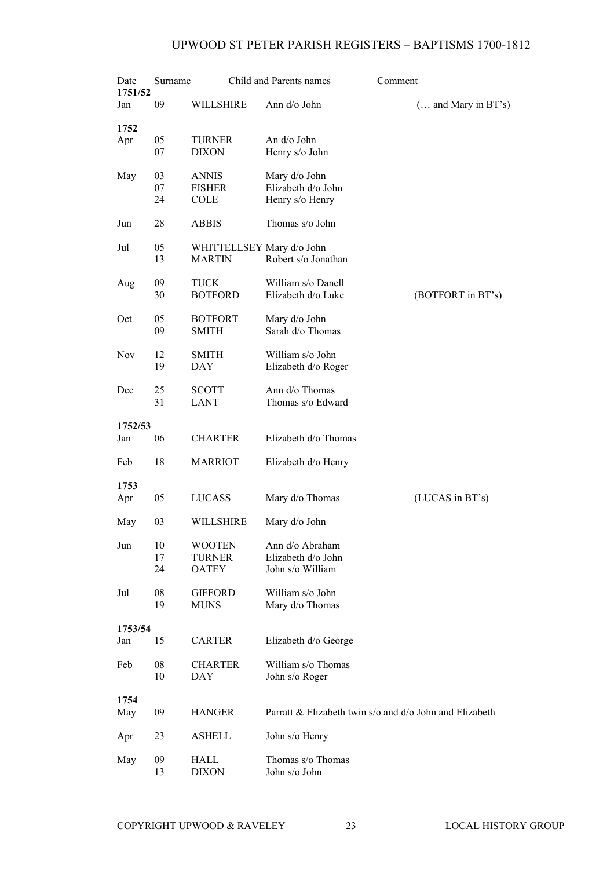| Date<br>1751/52 | Surname        |                                                | Child and Parents names                                   | Comment                                                 |
|-----------------|----------------|------------------------------------------------|-----------------------------------------------------------|---------------------------------------------------------|
| Jan             | 09             | WILLSHIRE                                      | Ann d/o John                                              | $($ and Mary in BT's)                                   |
| 1752<br>Apr     | 05<br>07       | <b>TURNER</b><br><b>DIXON</b>                  | An $d$ / $\circ$ John<br>Henry s/o John                   |                                                         |
| May             | 03<br>07<br>24 | <b>ANNIS</b><br><b>FISHER</b><br><b>COLE</b>   | Mary d/o John<br>Elizabeth d/o John<br>Henry s/o Henry    |                                                         |
| Jun             | 28             | <b>ABBIS</b>                                   | Thomas s/o John                                           |                                                         |
| Jul             | 05<br>13       | WHITTELLSEY Mary d/o John<br><b>MARTIN</b>     | Robert s/o Jonathan                                       |                                                         |
| Aug             | 09<br>30       | <b>TUCK</b><br><b>BOTFORD</b>                  | William s/o Danell<br>Elizabeth d/o Luke                  | (BOTFORT in BT's)                                       |
| Oct             | 05<br>09       | <b>BOTFORT</b><br><b>SMITH</b>                 | Mary d/o John<br>Sarah d/o Thomas                         |                                                         |
| <b>Nov</b>      | 12<br>19       | <b>SMITH</b><br><b>DAY</b>                     | William s/o John<br>Elizabeth d/o Roger                   |                                                         |
| Dec             | 25<br>31       | <b>SCOTT</b><br><b>LANT</b>                    | Ann d/o Thomas<br>Thomas s/o Edward                       |                                                         |
| 1752/53<br>Jan  | 06             | <b>CHARTER</b>                                 | Elizabeth d/o Thomas                                      |                                                         |
| Feb             | 18             | <b>MARRIOT</b>                                 | Elizabeth d/o Henry                                       |                                                         |
| 1753<br>Apr     | 05             | LUCASS                                         | Mary d/o Thomas                                           | (LUCAS in BT's)                                         |
| May             | 03             | WILLSHIRE                                      | Mary d/o John                                             |                                                         |
| Jun             | 10<br>17<br>24 | <b>WOOTEN</b><br><b>TURNER</b><br><b>OATEY</b> | Ann d/o Abraham<br>Elizabeth d/o John<br>John s/o William |                                                         |
| Jul             | 08<br>19       | <b>GIFFORD</b><br><b>MUNS</b>                  | William s/o John<br>Mary d/o Thomas                       |                                                         |
| 1753/54         |                |                                                |                                                           |                                                         |
| Jan             | 15             | <b>CARTER</b>                                  | Elizabeth d/o George                                      |                                                         |
| Feb             | 08<br>10       | <b>CHARTER</b><br>DAY                          | William s/o Thomas<br>John s/o Roger                      |                                                         |
| 1754<br>May     | 09             | <b>HANGER</b>                                  |                                                           | Parratt & Elizabeth twin s/o and d/o John and Elizabeth |
| Apr             | 23             | <b>ASHELL</b>                                  | John s/o Henry                                            |                                                         |
| May             | 09<br>13       | HALL<br><b>DIXON</b>                           | Thomas s/o Thomas<br>John s/o John                        |                                                         |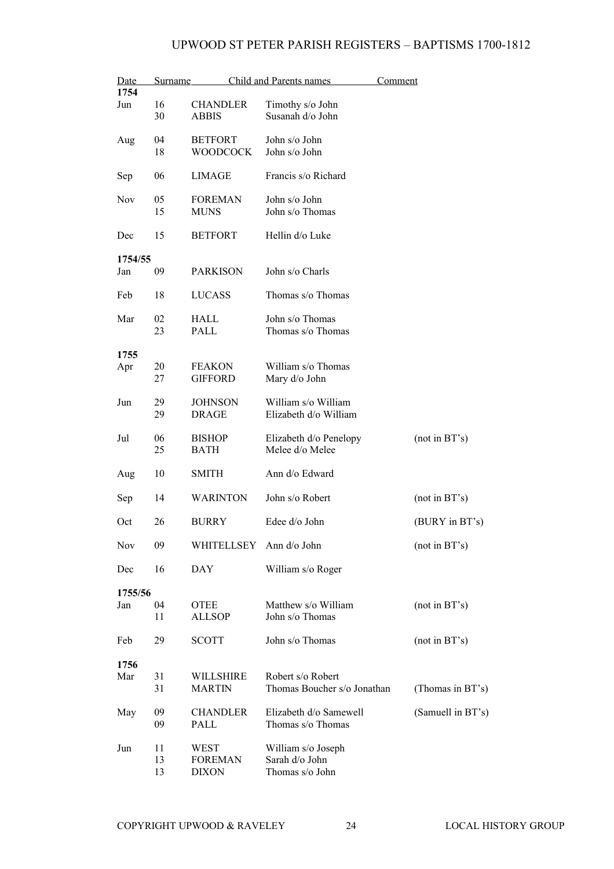| Date<br>1754 | Surname        |                                        | Child and Parents names                                 | <u>Comment</u>    |
|--------------|----------------|----------------------------------------|---------------------------------------------------------|-------------------|
| Jun          | 16<br>30       | <b>CHANDLER</b><br><b>ABBIS</b>        | Timothy s/o John<br>Susanah d/o John                    |                   |
| Aug          | 04<br>18       | <b>BETFORT</b><br><b>WOODCOCK</b>      | John s/o John<br>John s/o John                          |                   |
| Sep          | 06             | <b>LIMAGE</b>                          | Francis s/o Richard                                     |                   |
| <b>Nov</b>   | 05<br>15       | <b>FOREMAN</b><br><b>MUNS</b>          | John s/o John<br>John s/o Thomas                        |                   |
| Dec          | 15             | <b>BETFORT</b>                         | Hellin d/o Luke                                         |                   |
| 1754/55      |                |                                        |                                                         |                   |
| Jan          | 09             | <b>PARKISON</b>                        | John s/o Charls                                         |                   |
| Feb          | 18             | <b>LUCASS</b>                          | Thomas s/o Thomas                                       |                   |
| Mar          | 02<br>23       | HALL<br>PALL                           | John s/o Thomas<br>Thomas s/o Thomas                    |                   |
| 1755         |                |                                        |                                                         |                   |
| Apr          | 20<br>27       | <b>FEAKON</b><br><b>GIFFORD</b>        | William s/o Thomas<br>Mary d/o John                     |                   |
| Jun          | 29<br>29       | <b>JOHNSON</b><br><b>DRAGE</b>         | William s/o William<br>Elizabeth d/o William            |                   |
| Jul          | 06<br>25       | <b>BISHOP</b><br><b>BATH</b>           | Elizabeth d/o Penelopy<br>Melee d/o Melee               | (not in BT's)     |
| Aug          | 10             | <b>SMITH</b>                           | Ann d/o Edward                                          |                   |
| Sep          | 14             | <b>WARINTON</b>                        | John s/o Robert                                         | (not in BT's)     |
| Oct          | 26             | <b>BURRY</b>                           | Edee d/o John                                           | (BURY in BT's)    |
| Nov          | 09             | WHITELLSEY                             | Ann d/o John                                            | (not in BT's)     |
| Dec          | 16             | <b>DAY</b>                             | William s/o Roger                                       |                   |
| 1755/56      |                |                                        |                                                         |                   |
| Jan          | 04<br>11       | <b>OTEE</b><br><b>ALLSOP</b>           | Matthew s/o William<br>John s/o Thomas                  | (not in BT's)     |
| Feb          | 29             | <b>SCOTT</b>                           | John s/o Thomas                                         | (not in BT's)     |
| 1756         |                |                                        |                                                         |                   |
| Mar          | 31<br>31       | WILLSHIRE<br><b>MARTIN</b>             | Robert s/o Robert<br>Thomas Boucher s/o Jonathan        | (Thomas in BT's)  |
| May          | 09<br>09       | <b>CHANDLER</b><br>PALL                | Elizabeth d/o Samewell<br>Thomas s/o Thomas             | (Samuell in BT's) |
| Jun          | 11<br>13<br>13 | WEST<br><b>FOREMAN</b><br><b>DIXON</b> | William s/o Joseph<br>Sarah d/o John<br>Thomas s/o John |                   |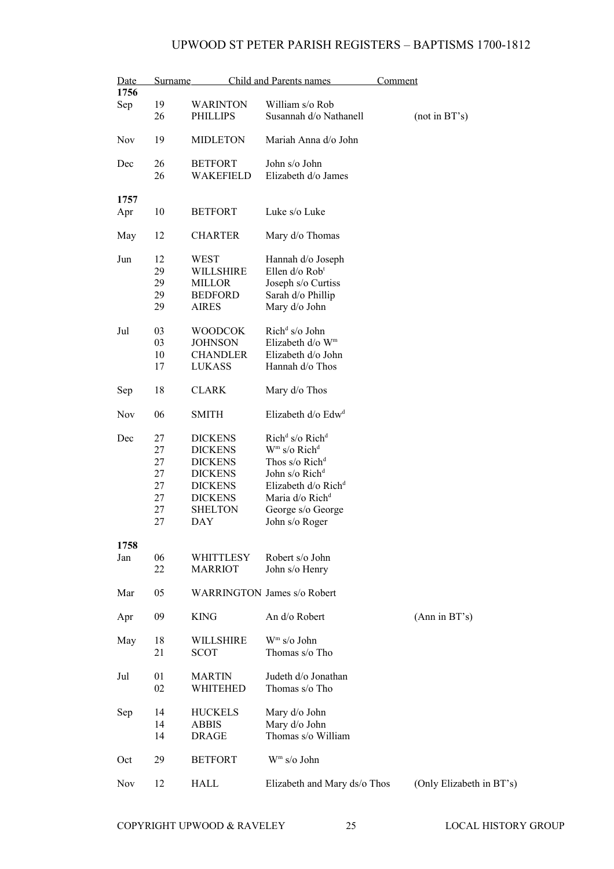| Date       | Surname |                  | Child and Parents names                 | Comment                  |
|------------|---------|------------------|-----------------------------------------|--------------------------|
| 1756       |         |                  |                                         |                          |
| Sep        | 19      | WARINTON         | William s/o Rob                         |                          |
|            | 26      | <b>PHILLIPS</b>  | Susannah d/o Nathanell                  | (not in BT's)            |
| <b>Nov</b> | 19      | <b>MIDLETON</b>  | Mariah Anna d/o John                    |                          |
| Dec        | 26      | <b>BETFORT</b>   | John s/o John                           |                          |
|            | 26      | WAKEFIELD        | Elizabeth d/o James                     |                          |
|            |         |                  |                                         |                          |
| 1757       |         |                  |                                         |                          |
| Apr        | 10      | <b>BETFORT</b>   | Luke s/o Luke                           |                          |
| May        | 12      | <b>CHARTER</b>   | Mary d/o Thomas                         |                          |
| Jun        | 12      | WEST             | Hannah d/o Joseph                       |                          |
|            | 29      | WILLSHIRE        | Ellen d/o Rob <sup>t</sup>              |                          |
|            | 29      | <b>MILLOR</b>    | Joseph s/o Curtiss                      |                          |
|            | 29      | <b>BEDFORD</b>   | Sarah d/o Phillip                       |                          |
|            | 29      | <b>AIRES</b>     | Mary d/o John                           |                          |
|            |         |                  |                                         |                          |
| Jul        | 03      | <b>WOODCOK</b>   | Rich <sup>d</sup> s/o John              |                          |
|            | 03      | <b>JOHNSON</b>   | Elizabeth d/o W <sup>m</sup>            |                          |
|            | 10      | <b>CHANDLER</b>  | Elizabeth d/o John                      |                          |
|            | 17      | <b>LUKASS</b>    | Hannah d/o Thos                         |                          |
|            |         |                  |                                         |                          |
| Sep        | 18      | <b>CLARK</b>     | Mary d/o Thos                           |                          |
| <b>Nov</b> | 06      | <b>SMITH</b>     | Elizabeth d/o Edw <sup>d</sup>          |                          |
| Dec        | 27      | <b>DICKENS</b>   | Rich <sup>d</sup> s/o Rich <sup>d</sup> |                          |
|            | 27      | <b>DICKENS</b>   | $Wm$ s/o Rich <sup>d</sup>              |                          |
|            | 27      | <b>DICKENS</b>   | Thos s/o Rich <sup>d</sup>              |                          |
|            | 27      | <b>DICKENS</b>   | John s/o Rich <sup>d</sup>              |                          |
|            | 27      | <b>DICKENS</b>   | Elizabeth $d$ /o Rich <sup>d</sup>      |                          |
|            | 27      | <b>DICKENS</b>   | Maria d/o Rich <sup>d</sup>             |                          |
|            |         | <b>SHELTON</b>   |                                         |                          |
|            | 27      |                  | George s/o George                       |                          |
|            | 27      | DAY              | John s/o Roger                          |                          |
| 1758       |         |                  |                                         |                          |
| Jan        | 06      | WHITTLESY        | Robert s/o John                         |                          |
|            | 22      | <b>MARRIOT</b>   | John s/o Henry                          |                          |
|            |         |                  |                                         |                          |
| Mar        | 05      |                  | <b>WARRINGTON James s/o Robert</b>      |                          |
| Apr        | 09      | <b>KING</b>      | An d/o Robert                           | (Ann in BT's)            |
|            |         |                  |                                         |                          |
| May        | 18      | <b>WILLSHIRE</b> | $Wm$ s/o John                           |                          |
|            | 21      | <b>SCOT</b>      | Thomas s/o Tho                          |                          |
|            |         |                  |                                         |                          |
| Jul        | 01      | <b>MARTIN</b>    | Judeth d/o Jonathan                     |                          |
|            | 02      | WHITEHED         | Thomas s/o Tho                          |                          |
|            |         |                  |                                         |                          |
|            | 14      | <b>HUCKELS</b>   | Mary d/o John                           |                          |
| Sep        | 14      | <b>ABBIS</b>     | Mary d/o John                           |                          |
|            |         |                  |                                         |                          |
|            | 14      | <b>DRAGE</b>     | Thomas s/o William                      |                          |
|            |         |                  | W <sup>m</sup> s/o John                 |                          |
| Oct        | 29      | <b>BETFORT</b>   |                                         |                          |
| Nov        | 12      | HALL             | Elizabeth and Mary ds/o Thos            | (Only Elizabeth in BT's) |
|            |         |                  |                                         |                          |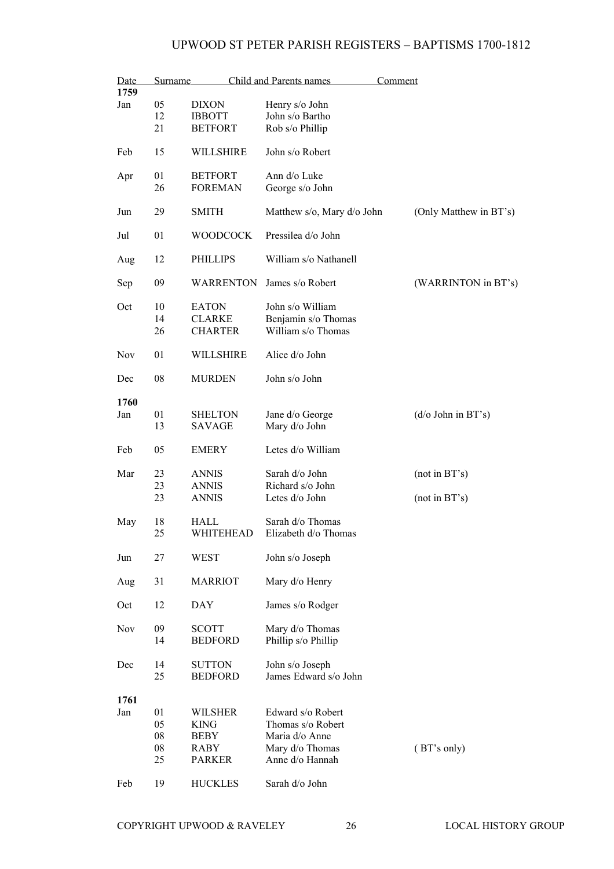| Date<br>Surname<br>1759 |    | Child and Parents names |                            | Comment                    |
|-------------------------|----|-------------------------|----------------------------|----------------------------|
| Jan                     | 05 | <b>DIXON</b>            | Henry s/o John             |                            |
|                         | 12 | <b>IBBOTT</b>           | John s/o Bartho            |                            |
|                         | 21 | <b>BETFORT</b>          | Rob s/o Phillip            |                            |
|                         |    |                         |                            |                            |
| Feb                     | 15 | WILLSHIRE               | John s/o Robert            |                            |
| Apr                     | 01 | <b>BETFORT</b>          | Ann d/o Luke               |                            |
|                         | 26 | <b>FOREMAN</b>          | George s/o John            |                            |
|                         |    |                         |                            |                            |
| Jun                     | 29 | <b>SMITH</b>            | Matthew s/o, Mary d/o John | (Only Matthew in BT's)     |
| Jul                     | 01 | <b>WOODCOCK</b>         | Pressilea d/o John         |                            |
| Aug                     | 12 | <b>PHILLIPS</b>         | William s/o Nathanell      |                            |
| Sep                     | 09 | <b>WARRENTON</b>        | James s/o Robert           | (WARRINTON in BT's)        |
| Oct                     | 10 | <b>EATON</b>            | John s/o William           |                            |
|                         | 14 | <b>CLARKE</b>           | Benjamin s/o Thomas        |                            |
|                         | 26 | <b>CHARTER</b>          | William s/o Thomas         |                            |
|                         |    |                         |                            |                            |
| <b>Nov</b>              | 01 | WILLSHIRE               | Alice d/o John             |                            |
| Dec                     | 08 | <b>MURDEN</b>           | John s/o John              |                            |
|                         |    |                         |                            |                            |
| 1760                    |    |                         |                            |                            |
| Jan                     | 01 | <b>SHELTON</b>          | Jane d/o George            | $(d/\sigma)$ John in BT's) |
|                         | 13 | SAVAGE                  | Mary d/o John              |                            |
|                         |    |                         |                            |                            |
| Feb                     | 05 | <b>EMERY</b>            | Letes d/o William          |                            |
|                         |    |                         |                            |                            |
| Mar                     | 23 | ANNIS                   | Sarah d/o John             | (not in BT's)              |
|                         | 23 | <b>ANNIS</b>            | Richard s/o John           |                            |
|                         | 23 | <b>ANNIS</b>            | Letes d/o John             | (not in BT's)              |
|                         |    |                         |                            |                            |
| May                     | 18 | HALL                    | Sarah d/o Thomas           |                            |
|                         | 25 | WHITEHEAD               | Elizabeth d/o Thomas       |                            |
|                         |    |                         |                            |                            |
| Jun                     | 27 | WEST                    | John s/o Joseph            |                            |
|                         |    |                         |                            |                            |
| Aug                     | 31 | <b>MARRIOT</b>          | Mary d/o Henry             |                            |
|                         |    |                         |                            |                            |
| Oct                     | 12 | <b>DAY</b>              | James s/o Rodger           |                            |
|                         |    |                         |                            |                            |
| <b>Nov</b>              | 09 | <b>SCOTT</b>            | Mary d/o Thomas            |                            |
|                         | 14 | <b>BEDFORD</b>          | Phillip s/o Phillip        |                            |
|                         |    |                         |                            |                            |
| Dec                     | 14 | <b>SUTTON</b>           | John s/o Joseph            |                            |
|                         | 25 | <b>BEDFORD</b>          | James Edward s/o John      |                            |
|                         |    |                         |                            |                            |
| 1761                    |    |                         |                            |                            |
| Jan                     | 01 | <b>WILSHER</b>          | Edward s/o Robert          |                            |
|                         | 05 | <b>KING</b>             | Thomas s/o Robert          |                            |
|                         | 08 | <b>BEBY</b>             | Maria d/o Anne             |                            |
|                         | 08 | <b>RABY</b>             | Mary d/o Thomas            | (BT's only)                |
|                         | 25 | <b>PARKER</b>           | Anne d/o Hannah            |                            |
|                         |    |                         |                            |                            |
| Feb                     | 19 | <b>HUCKLES</b>          | Sarah d/o John             |                            |
|                         |    |                         |                            |                            |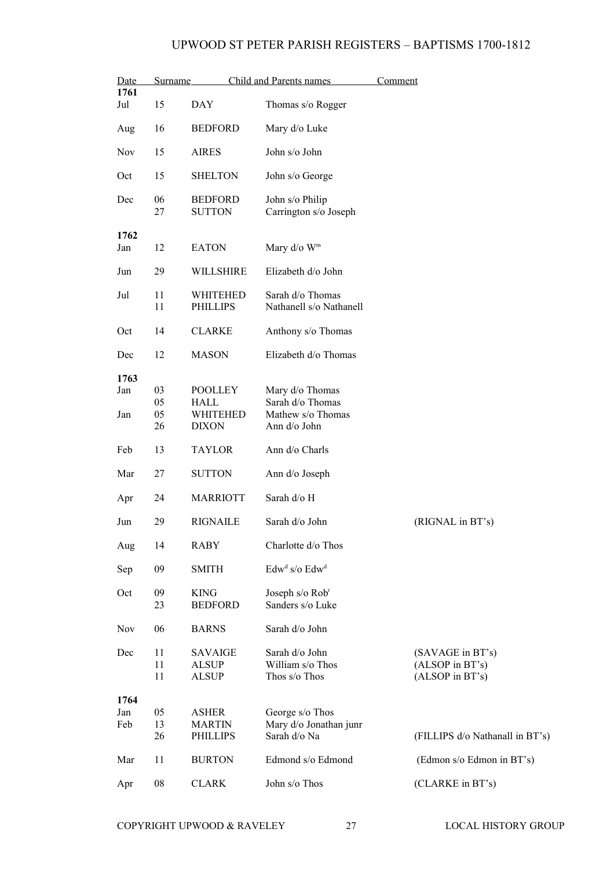| Date<br>1761       | <b>Surname</b>       |                                                           | <b>Child and Parents names</b>                                           | Comment |                                                        |  |
|--------------------|----------------------|-----------------------------------------------------------|--------------------------------------------------------------------------|---------|--------------------------------------------------------|--|
| Jul                | 15                   | <b>DAY</b>                                                | Thomas s/o Rogger                                                        |         |                                                        |  |
| Aug                | 16                   | <b>BEDFORD</b>                                            | Mary d/o Luke                                                            |         |                                                        |  |
| <b>Nov</b>         | 15                   | <b>AIRES</b>                                              | John s/o John                                                            |         |                                                        |  |
| Oct                | 15                   | <b>SHELTON</b>                                            | John s/o George                                                          |         |                                                        |  |
| Dec                | 06<br>27             | <b>BEDFORD</b><br><b>SUTTON</b>                           | John s/o Philip<br>Carrington s/o Joseph                                 |         |                                                        |  |
| 1762<br>Jan        | 12                   | <b>EATON</b>                                              | Mary d/o W <sup>m</sup>                                                  |         |                                                        |  |
| Jun                | 29                   | WILLSHIRE                                                 | Elizabeth d/o John                                                       |         |                                                        |  |
| Jul                | 11<br>11             | WHITEHED<br><b>PHILLIPS</b>                               | Sarah d/o Thomas<br>Nathanell s/o Nathanell                              |         |                                                        |  |
| Oct                | 14                   | <b>CLARKE</b>                                             | Anthony s/o Thomas                                                       |         |                                                        |  |
| Dec                | 12                   | <b>MASON</b>                                              | Elizabeth d/o Thomas                                                     |         |                                                        |  |
| 1763<br>Jan<br>Jan | 03<br>05<br>05<br>26 | <b>POOLLEY</b><br><b>HALL</b><br>WHITEHED<br><b>DIXON</b> | Mary d/o Thomas<br>Sarah d/o Thomas<br>Mathew s/o Thomas<br>Ann d/o John |         |                                                        |  |
| Feb                | 13                   | <b>TAYLOR</b>                                             | Ann d/o Charls                                                           |         |                                                        |  |
| Mar                | 27                   | <b>SUTTON</b>                                             | Ann d/o Joseph                                                           |         |                                                        |  |
| Apr                | 24                   | <b>MARRIOTT</b>                                           | Sarah d/o H                                                              |         |                                                        |  |
| Jun                | 29                   | <b>RIGNAILE</b>                                           | Sarah d/o John                                                           |         | (RIGNAL in BT's)                                       |  |
| Aug                | 14                   | <b>RABY</b>                                               | Charlotte d/o Thos                                                       |         |                                                        |  |
| Sep                | 09                   | <b>SMITH</b>                                              | Edw <sup>d</sup> s/o Edw <sup>d</sup>                                    |         |                                                        |  |
| Oct                | 09<br>23             | <b>KING</b><br><b>BEDFORD</b>                             | Joseph $s$ /o $Robt$<br>Sanders s/o Luke                                 |         |                                                        |  |
| <b>Nov</b>         | 06                   | <b>BARNS</b>                                              | Sarah d/o John                                                           |         |                                                        |  |
| Dec                | 11<br>11<br>11       | <b>SAVAIGE</b><br><b>ALSUP</b><br><b>ALSUP</b>            | Sarah d/o John<br>William s/o Thos<br>Thos s/o Thos                      |         | (SAVAGE in BT's)<br>(ALSOP in BT's)<br>(ALSOP in BT's) |  |
| 1764<br>Jan<br>Feb | 05<br>13<br>26       | <b>ASHER</b><br><b>MARTIN</b><br><b>PHILLIPS</b>          | George s/o Thos<br>Mary d/o Jonathan junr<br>Sarah d/o Na                |         | (FILLIPS d/o Nathanall in BT's)                        |  |
| Mar                | 11                   | <b>BURTON</b>                                             | Edmond s/o Edmond                                                        |         | (Edmon s/o Edmon in BT's)                              |  |
| Apr                | 08                   | <b>CLARK</b>                                              | John s/o Thos                                                            |         | (CLARKE in BT's)                                       |  |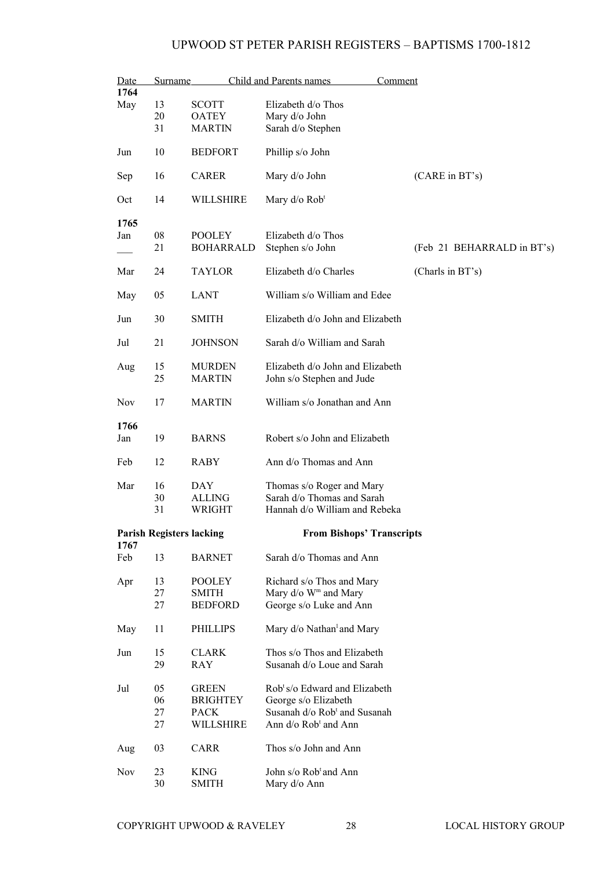| Date<br>Surname |          | <b>Child and Parents names</b>    |                                                                  | Comment                    |
|-----------------|----------|-----------------------------------|------------------------------------------------------------------|----------------------------|
| 1764<br>May     | 13       | <b>SCOTT</b>                      | Elizabeth d/o Thos                                               |                            |
|                 | 20       | <b>OATEY</b>                      | Mary d/o John                                                    |                            |
|                 | 31       | <b>MARTIN</b>                     | Sarah d/o Stephen                                                |                            |
| Jun             | 10       | <b>BEDFORT</b>                    | Phillip s/o John                                                 |                            |
| Sep             | 16       | <b>CARER</b>                      | Mary d/o John                                                    | (CARE in BT's)             |
| Oct             | 14       | WILLSHIRE                         | Mary d/o Rob <sup>t</sup>                                        |                            |
| 1765            |          |                                   |                                                                  |                            |
| Jan             | 08<br>21 | <b>POOLEY</b><br><b>BOHARRALD</b> | Elizabeth d/o Thos<br>Stephen s/o John                           | (Feb 21 BEHARRALD in BT's) |
|                 |          |                                   |                                                                  |                            |
| Mar             | 24       | <b>TAYLOR</b>                     | Elizabeth d/o Charles                                            | (Charls in BT's)           |
| May             | 05       | <b>LANT</b>                       | William s/o William and Edee                                     |                            |
| Jun             | 30       | <b>SMITH</b>                      | Elizabeth d/o John and Elizabeth                                 |                            |
| Jul             | 21       | <b>JOHNSON</b>                    | Sarah d/o William and Sarah                                      |                            |
| Aug             | 15<br>25 | <b>MURDEN</b><br><b>MARTIN</b>    | Elizabeth d/o John and Elizabeth<br>John s/o Stephen and Jude    |                            |
| <b>Nov</b>      | 17       | <b>MARTIN</b>                     | William s/o Jonathan and Ann                                     |                            |
| 1766            |          |                                   |                                                                  |                            |
| Jan             | 19       | <b>BARNS</b>                      | Robert s/o John and Elizabeth                                    |                            |
| Feb             | 12       | <b>RABY</b>                       | Ann d/o Thomas and Ann                                           |                            |
| Mar             | 16       | DAY                               | Thomas s/o Roger and Mary                                        |                            |
|                 | 30<br>31 | <b>ALLING</b><br>WRIGHT           | Sarah d/o Thomas and Sarah<br>Hannah d/o William and Rebeka      |                            |
|                 |          |                                   |                                                                  |                            |
| 1767            |          | <b>Parish Registers lacking</b>   | <b>From Bishops' Transcripts</b>                                 |                            |
| Feb             | 13       | <b>BARNET</b>                     | Sarah d/o Thomas and Ann                                         |                            |
| Apr             | 13       | <b>POOLEY</b>                     | Richard s/o Thos and Mary                                        |                            |
|                 | 27       | <b>SMITH</b>                      | Mary d/o W <sup>m</sup> and Mary                                 |                            |
|                 | 27       | <b>BEDFORD</b>                    | George s/o Luke and Ann                                          |                            |
| May             | 11       | <b>PHILLIPS</b>                   | Mary d/o Nathan <sup>1</sup> and Mary                            |                            |
| Jun             | 15<br>29 | <b>CLARK</b><br>RAY               | Thos s/o Thos and Elizabeth<br>Susanah d/o Loue and Sarah        |                            |
|                 |          |                                   |                                                                  |                            |
| Jul             | 05<br>06 | <b>GREEN</b><br><b>BRIGHTEY</b>   | Rob <sup>t</sup> s/o Edward and Elizabeth                        |                            |
|                 | 27       | <b>PACK</b>                       | George s/o Elizabeth<br>Susanah d/o Rob <sup>t</sup> and Susanah |                            |
|                 | 27       | <b>WILLSHIRE</b>                  | Ann d/o Rob <sup>t</sup> and Ann                                 |                            |
| Aug             | 03       | CARR                              | Thos s/o John and Ann                                            |                            |
| <b>Nov</b>      | 23<br>30 | <b>KING</b><br><b>SMITH</b>       | John s/o Rob <sup>t</sup> and Ann<br>Mary d/o Ann                |                            |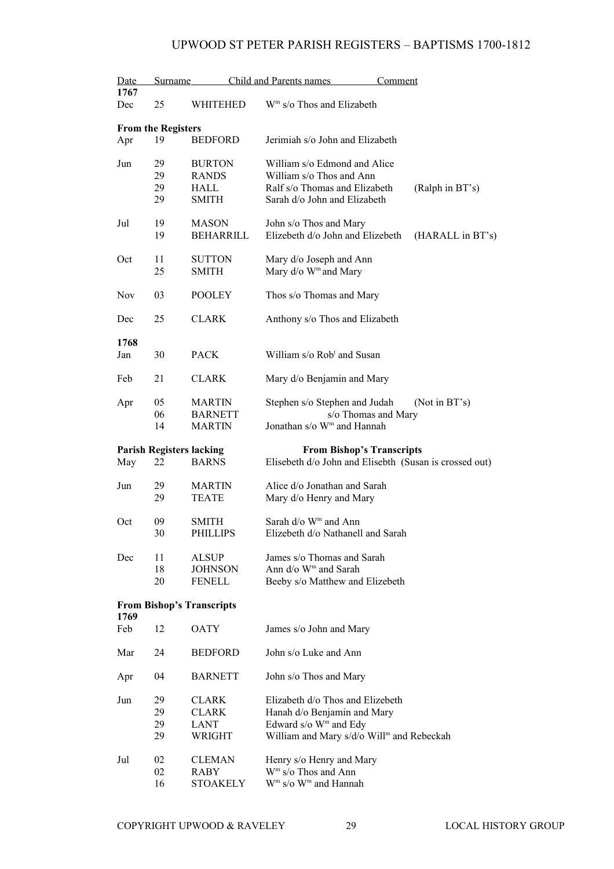| Date | Surname                   |                                                 | Child and Parents names<br>Comment                                                         |  |  |
|------|---------------------------|-------------------------------------------------|--------------------------------------------------------------------------------------------|--|--|
| 1767 |                           |                                                 |                                                                                            |  |  |
| Dec  | 25                        | WHITEHED                                        | W <sup>m</sup> s/o Thos and Elizabeth                                                      |  |  |
|      | <b>From the Registers</b> |                                                 |                                                                                            |  |  |
| Apr  | 19                        | <b>BEDFORD</b>                                  | Jerimiah s/o John and Elizabeth                                                            |  |  |
| Jun  | 29                        | <b>BURTON</b>                                   | William s/o Edmond and Alice                                                               |  |  |
|      | 29                        | <b>RANDS</b>                                    | William s/o Thos and Ann                                                                   |  |  |
|      | 29                        | HALL                                            | Ralf s/o Thomas and Elizabeth<br>(Ralph in BT's)                                           |  |  |
|      | 29                        | <b>SMITH</b>                                    | Sarah d/o John and Elizabeth                                                               |  |  |
| Jul  | 19                        | <b>MASON</b>                                    | John s/o Thos and Mary                                                                     |  |  |
|      | 19                        | <b>BEHARRILL</b>                                | Elizebeth d/o John and Elizebeth<br>(HARALL in BT's)                                       |  |  |
| Oct  | 11                        | <b>SUTTON</b>                                   | Mary d/o Joseph and Ann                                                                    |  |  |
|      | 25                        | <b>SMITH</b>                                    | Mary d/o W <sup>m</sup> and Mary                                                           |  |  |
| Nov  | 03                        | <b>POOLEY</b>                                   | Thos s/o Thomas and Mary                                                                   |  |  |
| Dec  | 25                        | <b>CLARK</b>                                    | Anthony s/o Thos and Elizabeth                                                             |  |  |
| 1768 |                           |                                                 |                                                                                            |  |  |
| Jan  | 30                        | <b>PACK</b>                                     | William s/o Rob <sup>t</sup> and Susan                                                     |  |  |
| Feb  | 21                        | CLARK                                           | Mary d/o Benjamin and Mary                                                                 |  |  |
| Apr  | 05                        | <b>MARTIN</b>                                   | Stephen s/o Stephen and Judah<br>(Not in $BT's$ )                                          |  |  |
|      | 06                        | <b>BARNETT</b>                                  | s/o Thomas and Mary                                                                        |  |  |
|      | 14                        | <b>MARTIN</b>                                   | Jonathan s/o W <sup>m</sup> and Hannah                                                     |  |  |
|      |                           |                                                 |                                                                                            |  |  |
|      |                           |                                                 |                                                                                            |  |  |
| May  | 22                        | <b>Parish Registers lacking</b><br><b>BARNS</b> | <b>From Bishop's Transcripts</b><br>Elisebeth d/o John and Elisebth (Susan is crossed out) |  |  |
|      |                           |                                                 |                                                                                            |  |  |
| Jun  | 29<br>29                  | <b>MARTIN</b><br><b>TEATE</b>                   | Alice d/o Jonathan and Sarah<br>Mary d/o Henry and Mary                                    |  |  |
|      |                           |                                                 |                                                                                            |  |  |
| Oct  | 09<br>30                  | <b>SMITH</b><br><b>PHILLIPS</b>                 | Sarah d/o W <sup>m</sup> and Ann<br>Elizebeth d/o Nathanell and Sarah                      |  |  |
| Dec  | 11                        |                                                 |                                                                                            |  |  |
|      |                           | <b>ALSUP</b>                                    | James s/o Thomas and Sarah                                                                 |  |  |
|      | 18<br>20                  | <b>JOHNSON</b><br><b>FENELL</b>                 | Ann d/o W <sup>m</sup> and Sarah                                                           |  |  |
|      |                           |                                                 | Beeby s/o Matthew and Elizebeth                                                            |  |  |
| 1769 |                           | <b>From Bishop's Transcripts</b>                |                                                                                            |  |  |
| Feb  | 12                        | <b>OATY</b>                                     | James s/o John and Mary                                                                    |  |  |
| Mar  | 24                        | <b>BEDFORD</b>                                  | John s/o Luke and Ann                                                                      |  |  |
| Apr  | 04                        | <b>BARNETT</b>                                  | John s/o Thos and Mary                                                                     |  |  |
| Jun  | 29                        | <b>CLARK</b>                                    | Elizabeth d/o Thos and Elizebeth                                                           |  |  |
|      |                           |                                                 |                                                                                            |  |  |
|      | 29                        | <b>CLARK</b>                                    | Hanah d/o Benjamin and Mary                                                                |  |  |
|      | 29                        | <b>LANT</b>                                     | Edward s/o W <sup>m</sup> and Edy                                                          |  |  |
|      | 29                        | WRIGHT                                          | William and Mary s/d/o Will <sup>m</sup> and Rebeckah                                      |  |  |
| Jul  | 02                        | <b>CLEMAN</b>                                   | Henry s/o Henry and Mary                                                                   |  |  |
|      | 02<br>16                  | <b>RABY</b><br><b>STOAKELY</b>                  | $Wm$ s/o Thos and Ann<br>W <sup>m</sup> s/o W <sup>m</sup> and Hannah                      |  |  |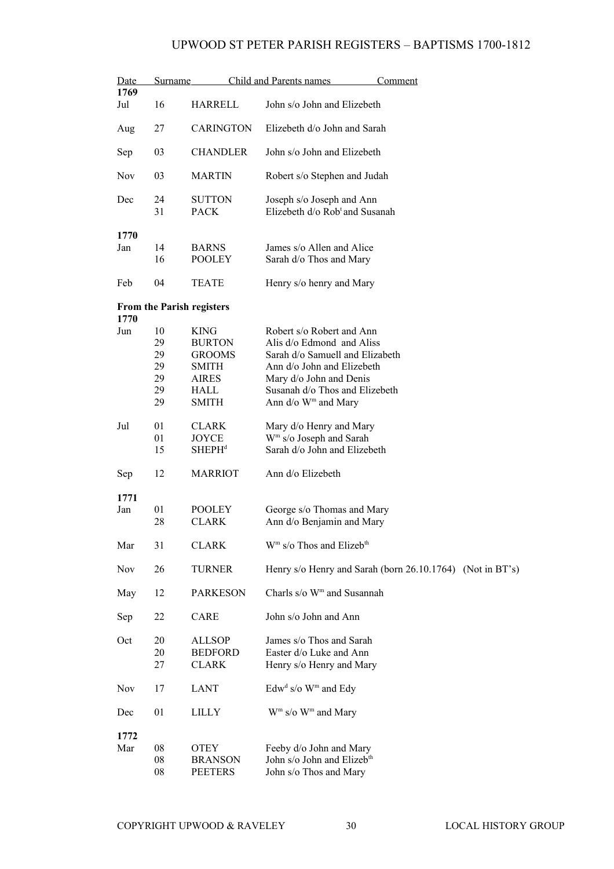| Date        | Surname  |                               | Child and Parents names<br>Comment                                      |  |  |
|-------------|----------|-------------------------------|-------------------------------------------------------------------------|--|--|
| 1769<br>Jul | 16       | HARRELL                       | John s/o John and Elizebeth                                             |  |  |
| Aug         | 27       | <b>CARINGTON</b>              | Elizebeth d/o John and Sarah                                            |  |  |
| Sep         | 03       | <b>CHANDLER</b>               | John s/o John and Elizebeth                                             |  |  |
| <b>Nov</b>  | 03       | <b>MARTIN</b>                 | Robert s/o Stephen and Judah                                            |  |  |
| Dec         | 24<br>31 | <b>SUTTON</b><br><b>PACK</b>  | Joseph s/o Joseph and Ann<br>Elizebeth d/o Rob <sup>t</sup> and Susanah |  |  |
| 1770        |          |                               |                                                                         |  |  |
| Jan         | 14<br>16 | <b>BARNS</b><br><b>POOLEY</b> | James s/o Allen and Alice<br>Sarah d/o Thos and Mary                    |  |  |
| Feb         | 04       | <b>TEATE</b>                  | Henry s/o henry and Mary                                                |  |  |
| 1770        |          | From the Parish registers     |                                                                         |  |  |
| Jun         | 10       | <b>KING</b>                   | Robert s/o Robert and Ann                                               |  |  |
|             | 29       | <b>BURTON</b>                 | Alis d/o Edmond and Aliss                                               |  |  |
|             | 29       | <b>GROOMS</b>                 | Sarah d/o Samuell and Elizabeth                                         |  |  |
|             | 29       | SMITH                         | Ann d/o John and Elizebeth                                              |  |  |
|             | 29       | AIRES                         | Mary d/o John and Denis                                                 |  |  |
|             | 29       | <b>HALL</b>                   | Susanah d/o Thos and Elizebeth                                          |  |  |
|             | 29       | SMITH                         | Ann d/o W <sup>m</sup> and Mary                                         |  |  |
| Jul         | 01       | <b>CLARK</b>                  | Mary d/o Henry and Mary                                                 |  |  |
|             | 01       | <b>JOYCE</b>                  | W <sup>m</sup> s/o Joseph and Sarah                                     |  |  |
|             | 15       | SHEPH <sup>d</sup>            | Sarah d/o John and Elizebeth                                            |  |  |
| Sep         | 12       | <b>MARRIOT</b>                | Ann d/o Elizebeth                                                       |  |  |
| 1771        |          |                               |                                                                         |  |  |
| Jan         | 01       | <b>POOLEY</b>                 | George s/o Thomas and Mary                                              |  |  |
|             | 28       | <b>CLARK</b>                  | Ann d/o Benjamin and Mary                                               |  |  |
| Mar         | 31       | <b>CLARK</b>                  | W <sup>m</sup> s/o Thos and Elizeb <sup>th</sup>                        |  |  |
| Nov         | 26       | <b>TURNER</b>                 | Henry s/o Henry and Sarah (born 26.10.1764) (Not in BT's)               |  |  |
| May         | 12       | <b>PARKESON</b>               | Charls s/o W <sup>m</sup> and Susannah                                  |  |  |
| Sep         | 22       | CARE                          | John s/o John and Ann                                                   |  |  |
| Oct         | 20       | <b>ALLSOP</b>                 | James s/o Thos and Sarah                                                |  |  |
|             | 20       | <b>BEDFORD</b>                | Easter d/o Luke and Ann                                                 |  |  |
|             | 27       | <b>CLARK</b>                  | Henry s/o Henry and Mary                                                |  |  |
| Nov         | 17       | LANT                          | $Edwd s/o Wm$ and $Edy$                                                 |  |  |
| Dec         | 01       | LILLY                         | $Wm$ s/o $Wm$ and Mary                                                  |  |  |
| 1772        |          |                               |                                                                         |  |  |
| Mar         | 08       | OTEY                          | Feeby d/o John and Mary                                                 |  |  |
|             | 08       | <b>BRANSON</b>                | John s/o John and Elizeb <sup>th</sup>                                  |  |  |
|             | 08       | <b>PEETERS</b>                | John s/o Thos and Mary                                                  |  |  |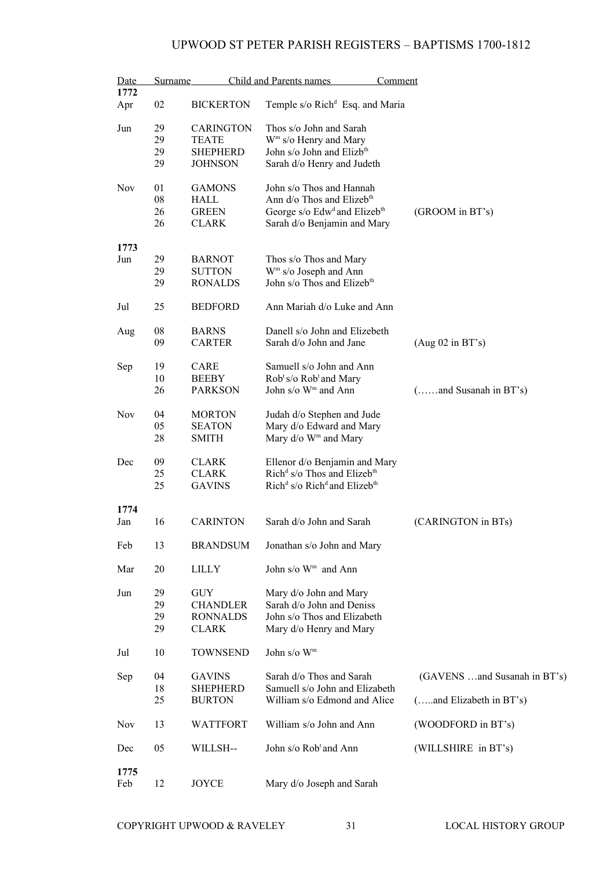| Date       | <b>Surname</b> | Child and Parents names |                                                                  | Comment                      |  |  |
|------------|----------------|-------------------------|------------------------------------------------------------------|------------------------------|--|--|
| 1772       |                |                         |                                                                  |                              |  |  |
| Apr        | 02             | <b>BICKERTON</b>        | Temple s/o Rich <sup>d</sup> Esq. and Maria                      |                              |  |  |
| Jun        | 29             | <b>CARINGTON</b>        | Thos s/o John and Sarah                                          |                              |  |  |
|            | 29             | <b>TEATE</b>            | W <sup>m</sup> s/o Henry and Mary                                |                              |  |  |
|            | 29             | <b>SHEPHERD</b>         | John s/o John and Elizb <sup>th</sup>                            |                              |  |  |
|            | 29             | <b>JOHNSON</b>          | Sarah d/o Henry and Judeth                                       |                              |  |  |
|            |                |                         |                                                                  |                              |  |  |
| <b>Nov</b> | 01             | <b>GAMONS</b>           | John s/o Thos and Hannah                                         |                              |  |  |
|            | 08             | HALL                    | Ann d/o Thos and Elizeb <sup>th</sup>                            |                              |  |  |
|            | 26             | <b>GREEN</b>            | George s/o Edw <sup>d</sup> and Elizeb <sup>th</sup>             | (GROOM in BT's)              |  |  |
|            | 26             | <b>CLARK</b>            | Sarah d/o Benjamin and Mary                                      |                              |  |  |
|            |                |                         |                                                                  |                              |  |  |
| 1773       |                |                         |                                                                  |                              |  |  |
| Jun        | 29             | <b>BARNOT</b>           | Thos s/o Thos and Mary                                           |                              |  |  |
|            | 29             | <b>SUTTON</b>           | W <sup>m</sup> s/o Joseph and Ann                                |                              |  |  |
|            | 29             | <b>RONALDS</b>          | John s/o Thos and Elizeb <sup>th</sup>                           |                              |  |  |
|            |                |                         |                                                                  |                              |  |  |
| Jul        | 25             | <b>BEDFORD</b>          | Ann Mariah d/o Luke and Ann                                      |                              |  |  |
|            |                |                         |                                                                  |                              |  |  |
| Aug        | 08             | <b>BARNS</b>            | Danell s/o John and Elizebeth                                    |                              |  |  |
|            | 09             | <b>CARTER</b>           | Sarah d/o John and Jane                                          | (Aug 02 in BT's)             |  |  |
|            |                |                         |                                                                  |                              |  |  |
| Sep        | 19             | CARE                    | Samuell s/o John and Ann                                         |                              |  |  |
|            | 10             | <b>BEEBY</b>            | Rob <sup>t</sup> s/o Rob <sup>t</sup> and Mary                   |                              |  |  |
|            | 26             | <b>PARKSON</b>          | John s/o W <sup>m</sup> and Ann                                  | $($ and Susanah in BT's)     |  |  |
|            |                |                         |                                                                  |                              |  |  |
| <b>Nov</b> | 04             | <b>MORTON</b>           | Judah d/o Stephen and Jude                                       |                              |  |  |
|            | 05             | <b>SEATON</b>           | Mary d/o Edward and Mary                                         |                              |  |  |
|            | 28             | <b>SMITH</b>            | Mary d/o W <sup>m</sup> and Mary                                 |                              |  |  |
|            |                |                         |                                                                  |                              |  |  |
| Dec        | 09             | <b>CLARK</b>            | Ellenor d/o Benjamin and Mary                                    |                              |  |  |
|            | 25             | <b>CLARK</b>            | Rich <sup>d</sup> s/o Thos and Elizeb <sup>th</sup>              |                              |  |  |
|            | 25             | <b>GAVINS</b>           | Rich <sup>d</sup> s/o Rich <sup>d</sup> and Elizeb <sup>th</sup> |                              |  |  |
|            |                |                         |                                                                  |                              |  |  |
| 1774       |                |                         |                                                                  |                              |  |  |
| Jan        | 16             | <b>CARINTON</b>         | Sarah d/o John and Sarah                                         | (CARINGTON in BTs)           |  |  |
|            |                |                         |                                                                  |                              |  |  |
| Feb        | 13             | <b>BRANDSUM</b>         | Jonathan s/o John and Mary                                       |                              |  |  |
|            |                |                         |                                                                  |                              |  |  |
| Mar        | 20             | <b>LILLY</b>            | John s/o W <sup>m</sup> and Ann                                  |                              |  |  |
|            |                |                         |                                                                  |                              |  |  |
| Jun        | 29             | GUY                     | Mary d/o John and Mary                                           |                              |  |  |
|            | 29             | <b>CHANDLER</b>         | Sarah d/o John and Deniss                                        |                              |  |  |
|            | 29             | <b>RONNALDS</b>         | John s/o Thos and Elizabeth                                      |                              |  |  |
|            | 29             | <b>CLARK</b>            | Mary d/o Henry and Mary                                          |                              |  |  |
|            |                |                         |                                                                  |                              |  |  |
| Jul        | 10             | <b>TOWNSEND</b>         | John s/o W <sup>m</sup>                                          |                              |  |  |
|            |                |                         |                                                                  |                              |  |  |
| Sep        | 04             | <b>GAVINS</b>           | Sarah d/o Thos and Sarah                                         | (GAVENS and Susanah in BT's) |  |  |
|            | 18             | <b>SHEPHERD</b>         | Samuell s/o John and Elizabeth                                   |                              |  |  |
|            | 25             | <b>BURTON</b>           | William s/o Edmond and Alice                                     | (and Elizabeth in BT's)      |  |  |
|            |                |                         |                                                                  |                              |  |  |
| <b>Nov</b> | 13             | <b>WATTFORT</b>         | William s/o John and Ann                                         | (WOODFORD in BT's)           |  |  |
|            |                |                         |                                                                  |                              |  |  |
| Dec        | 05             | WILLSH--                | John s/o Rob <sup>t</sup> and Ann                                | (WILLSHIRE in BT's)          |  |  |
|            |                |                         |                                                                  |                              |  |  |
| 1775       |                |                         |                                                                  |                              |  |  |
| Feb        | 12             | JOYCE                   | Mary d/o Joseph and Sarah                                        |                              |  |  |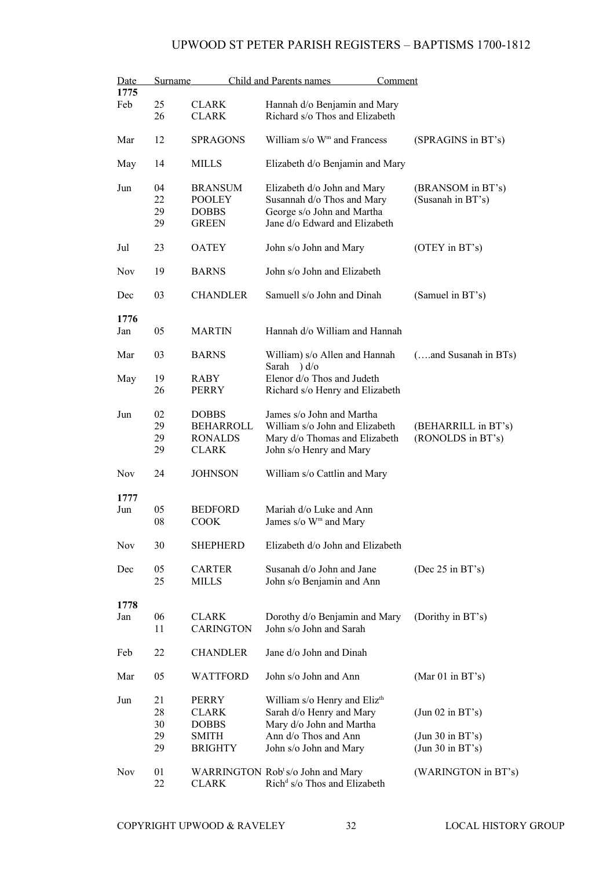| Date       | Surname |                  | Child and Parents names                       | Comment              |
|------------|---------|------------------|-----------------------------------------------|----------------------|
| 1775       |         |                  |                                               |                      |
| Feb        | 25      | <b>CLARK</b>     | Hannah d/o Benjamin and Mary                  |                      |
|            | 26      | <b>CLARK</b>     | Richard s/o Thos and Elizabeth                |                      |
|            |         |                  |                                               |                      |
| Mar        | 12      | <b>SPRAGONS</b>  | William s/o W <sup>m</sup> and Francess       | (SPRAGINS in BT's)   |
|            |         |                  |                                               |                      |
|            |         |                  |                                               |                      |
| May        | 14      | <b>MILLS</b>     | Elizabeth d/o Benjamin and Mary               |                      |
|            |         |                  |                                               |                      |
| Jun        | 04      | <b>BRANSUM</b>   | Elizabeth d/o John and Mary                   | (BRANSOM in BT's)    |
|            | 22      | <b>POOLEY</b>    | Susannah d/o Thos and Mary                    | (Susanah in BT's)    |
|            | 29      | <b>DOBBS</b>     | George s/o John and Martha                    |                      |
|            | 29      | <b>GREEN</b>     | Jane d/o Edward and Elizabeth                 |                      |
|            |         |                  |                                               |                      |
| Jul        | 23      | <b>OATEY</b>     | John s/o John and Mary                        | (OTEY in BT's)       |
|            |         |                  |                                               |                      |
|            |         |                  | John s/o John and Elizabeth                   |                      |
| <b>Nov</b> | 19      | <b>BARNS</b>     |                                               |                      |
|            |         |                  |                                               |                      |
| Dec        | 03      | <b>CHANDLER</b>  | Samuell s/o John and Dinah                    | (Samuel in BT's)     |
|            |         |                  |                                               |                      |
| 1776       |         |                  |                                               |                      |
| Jan        | 05      | <b>MARTIN</b>    | Hannah d/o William and Hannah                 |                      |
|            |         |                  |                                               |                      |
| Mar        | 03      | <b>BARNS</b>     | William) s/o Allen and Hannah                 | (and Susanah in BTs) |
|            |         |                  | Sarah $)d$ o                                  |                      |
|            | 19      | RABY             | Elenor d/o Thos and Judeth                    |                      |
| May        |         |                  |                                               |                      |
|            | 26      | <b>PERRY</b>     | Richard s/o Henry and Elizabeth               |                      |
|            |         |                  |                                               |                      |
| Jun        | 02      | <b>DOBBS</b>     | James s/o John and Martha                     |                      |
|            | 29      | <b>BEHARROLL</b> | William s/o John and Elizabeth                | (BEHARRILL in BT's)  |
|            | 29      | <b>RONALDS</b>   | Mary d/o Thomas and Elizabeth                 | (RONOLDS in BT's)    |
|            | 29      | <b>CLARK</b>     | John s/o Henry and Mary                       |                      |
|            |         |                  |                                               |                      |
| <b>Nov</b> | 24      | <b>JOHNSON</b>   | William s/o Cattlin and Mary                  |                      |
|            |         |                  |                                               |                      |
|            |         |                  |                                               |                      |
| 1777       |         |                  |                                               |                      |
| Jun        | 05      | <b>BEDFORD</b>   | Mariah d/o Luke and Ann                       |                      |
|            | 08      | <b>COOK</b>      | James s/o W <sup>m</sup> and Mary             |                      |
|            |         |                  |                                               |                      |
| <b>Nov</b> | 30      | <b>SHEPHERD</b>  | Elizabeth d/o John and Elizabeth              |                      |
|            |         |                  |                                               |                      |
| Dec        | 05      | <b>CARTER</b>    | Susanah d/o John and Jane                     | (Dec $25$ in BT's)   |
|            | 25      | <b>MILLS</b>     | John s/o Benjamin and Ann                     |                      |
|            |         |                  |                                               |                      |
|            |         |                  |                                               |                      |
| 1778       |         |                  |                                               |                      |
| Jan        | 06      | <b>CLARK</b>     | Dorothy d/o Benjamin and Mary                 | (Dorithy in BT's)    |
|            | 11      | <b>CARINGTON</b> | John s/o John and Sarah                       |                      |
|            |         |                  |                                               |                      |
| Feb        | 22      | <b>CHANDLER</b>  | Jane d/o John and Dinah                       |                      |
|            |         |                  |                                               |                      |
| Mar        | 05      | WATTFORD         | John s/o John and Ann                         | (Mar 01 in $BT's$ )  |
|            |         |                  |                                               |                      |
| Jun        | 21      | PERRY            | William s/o Henry and Eliz <sup>th</sup>      |                      |
|            |         |                  |                                               |                      |
|            | 28      | <b>CLARK</b>     | Sarah d/o Henry and Mary                      | (Jun 02 in BT's)     |
|            | 30      | <b>DOBBS</b>     | Mary d/o John and Martha                      |                      |
|            | 29      | <b>SMITH</b>     | Ann d/o Thos and Ann                          | (Jun 30 in BT's)     |
|            | 29      | <b>BRIGHTY</b>   | John s/o John and Mary                        | (Jun 30 in BT's)     |
|            |         |                  |                                               |                      |
| <b>Nov</b> | 01      |                  | WARRINGTON Rob <sup>t</sup> s/o John and Mary | (WARINGTON in BT's)  |
|            | 22      | <b>CLARK</b>     | Rich <sup>d</sup> s/o Thos and Elizabeth      |                      |
|            |         |                  |                                               |                      |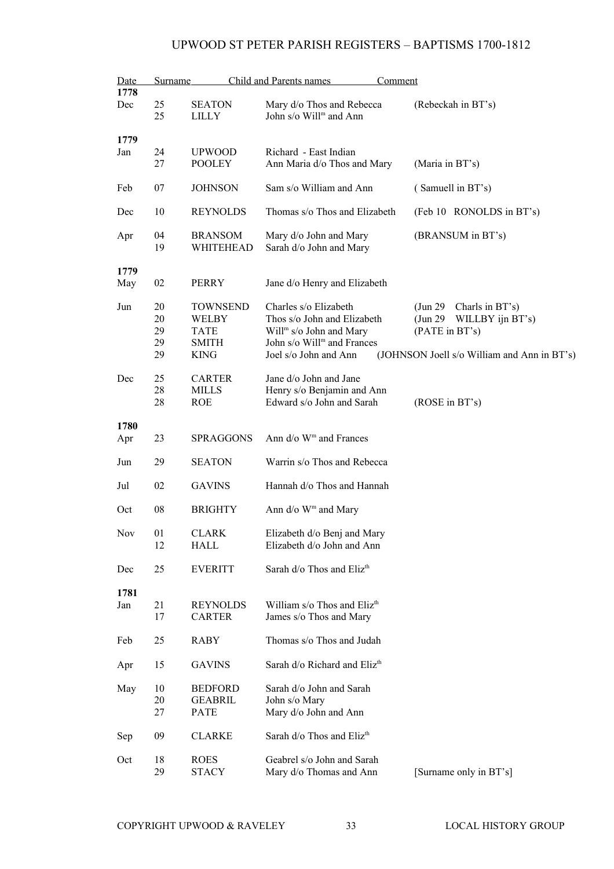| Date<br>Surname |                            |                                                                        | Child and Parents names<br>Comment                                                                                                                             |                                                                                                                                           |  |
|-----------------|----------------------------|------------------------------------------------------------------------|----------------------------------------------------------------------------------------------------------------------------------------------------------------|-------------------------------------------------------------------------------------------------------------------------------------------|--|
| 1778<br>Dec     | 25<br>25                   | <b>SEATON</b><br>LILLY                                                 | Mary d/o Thos and Rebecca<br>John s/o Will <sup>m</sup> and Ann                                                                                                | (Rebeckah in BT's)                                                                                                                        |  |
| 1779            |                            |                                                                        |                                                                                                                                                                |                                                                                                                                           |  |
| Jan             | 24<br>27                   | <b>UPWOOD</b><br><b>POOLEY</b>                                         | Richard - East Indian<br>Ann Maria d/o Thos and Mary                                                                                                           | (Maria in BT's)                                                                                                                           |  |
| Feb             | 07                         | <b>JOHNSON</b>                                                         | Sam s/o William and Ann                                                                                                                                        | (Samuell in BT's)                                                                                                                         |  |
| Dec             | 10                         | <b>REYNOLDS</b>                                                        | Thomas s/o Thos and Elizabeth                                                                                                                                  | (Feb 10 RONOLDS in BT's)                                                                                                                  |  |
| Apr             | 04<br>19                   | <b>BRANSOM</b><br>WHITEHEAD                                            | Mary d/o John and Mary<br>Sarah d/o John and Mary                                                                                                              | (BRANSUM in BT's)                                                                                                                         |  |
| 1779            |                            |                                                                        |                                                                                                                                                                |                                                                                                                                           |  |
| May             | 02                         | PERRY                                                                  | Jane d/o Henry and Elizabeth                                                                                                                                   |                                                                                                                                           |  |
| Jun             | 20<br>20<br>29<br>29<br>29 | <b>TOWNSEND</b><br>WELBY<br><b>TATE</b><br><b>SMITH</b><br><b>KING</b> | Charles s/o Elizabeth<br>Thos s/o John and Elizabeth<br>Will <sup>m</sup> s/o John and Mary<br>John s/o Will <sup>m</sup> and Frances<br>Joel s/o John and Ann | (Jun 29 Charls in BT's)<br>$\frac{\text{Jun } 29}{}$<br>WILLBY ijn BT's)<br>(PATE in BT's)<br>(JOHNSON Joell s/o William and Ann in BT's) |  |
| Dec             | 25<br>28<br>28             | <b>CARTER</b><br><b>MILLS</b><br><b>ROE</b>                            | Jane d/o John and Jane<br>Henry s/o Benjamin and Ann<br>Edward s/o John and Sarah                                                                              | (ROSE in BT's)                                                                                                                            |  |
| 1780<br>Apr     | 23                         | <b>SPRAGGONS</b>                                                       | Ann d/o W <sup>m</sup> and Frances                                                                                                                             |                                                                                                                                           |  |
| Jun             | 29                         | <b>SEATON</b>                                                          | Warrin s/o Thos and Rebecca                                                                                                                                    |                                                                                                                                           |  |
| Jul             | 02                         | <b>GAVINS</b>                                                          | Hannah d/o Thos and Hannah                                                                                                                                     |                                                                                                                                           |  |
| Oct             | 08                         | <b>BRIGHTY</b>                                                         | Ann $d$ /o W <sup>m</sup> and Mary                                                                                                                             |                                                                                                                                           |  |
| Nov             | 01<br>12                   | CLARK<br>HALL                                                          | Elizabeth d/o Benj and Mary<br>Elizabeth d/o John and Ann                                                                                                      |                                                                                                                                           |  |
| Dec             | 25                         | <b>EVERITT</b>                                                         | Sarah d/o Thos and Eliz <sup>th</sup>                                                                                                                          |                                                                                                                                           |  |
| 1781<br>Jan     | 21<br>17                   | <b>REYNOLDS</b><br><b>CARTER</b>                                       | William s/o Thos and Eliz <sup>th</sup><br>James s/o Thos and Mary                                                                                             |                                                                                                                                           |  |
| Feb             | 25                         | <b>RABY</b>                                                            | Thomas s/o Thos and Judah                                                                                                                                      |                                                                                                                                           |  |
| Apr             | 15                         | <b>GAVINS</b>                                                          | Sarah d/o Richard and Eliz <sup>th</sup>                                                                                                                       |                                                                                                                                           |  |
| May             | 10<br>20<br>27             | <b>BEDFORD</b><br><b>GEABRIL</b><br>PATE                               | Sarah d/o John and Sarah<br>John s/o Mary<br>Mary d/o John and Ann                                                                                             |                                                                                                                                           |  |
| Sep             | 09                         | <b>CLARKE</b>                                                          | Sarah d/o Thos and Eliz <sup>th</sup>                                                                                                                          |                                                                                                                                           |  |
| Oct             | 18<br>29                   | <b>ROES</b><br><b>STACY</b>                                            | Geabrel s/o John and Sarah<br>Mary d/o Thomas and Ann                                                                                                          | [Surname only in BT's]                                                                                                                    |  |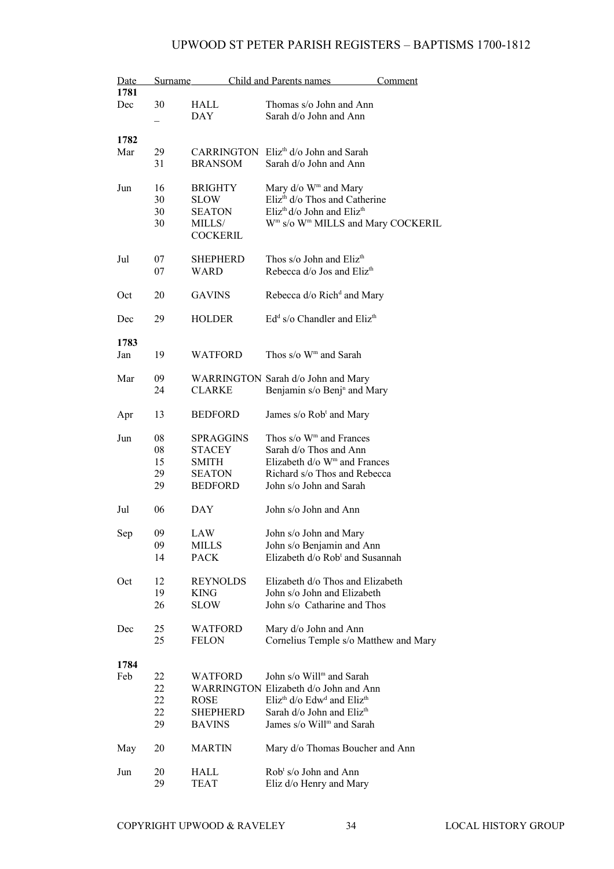| Date |    | Surname          | Child and Parents names                                        | Comment |
|------|----|------------------|----------------------------------------------------------------|---------|
| 1781 |    |                  |                                                                |         |
| Dec  | 30 | HALL             | Thomas s/o John and Ann                                        |         |
|      |    | <b>DAY</b>       | Sarah d/o John and Ann                                         |         |
|      |    |                  |                                                                |         |
| 1782 |    |                  |                                                                |         |
| Mar  | 29 |                  | CARRINGTON Eliz <sup>th</sup> d/o John and Sarah               |         |
|      | 31 | <b>BRANSOM</b>   | Sarah d/o John and Ann                                         |         |
|      |    |                  |                                                                |         |
| Jun  | 16 | <b>BRIGHTY</b>   | Mary d/o W <sup>m</sup> and Mary                               |         |
|      | 30 | SLOW             | Eliz <sup>th</sup> d/o Thos and Catherine                      |         |
|      | 30 | <b>SEATON</b>    | $E$ liz <sup>th</sup> d/o John and $E$ liz <sup>th</sup>       |         |
|      | 30 | MILLS/           | W <sup>m</sup> s/o W <sup>m</sup> MILLS and Mary COCKERIL      |         |
|      |    | <b>COCKERIL</b>  |                                                                |         |
|      |    |                  |                                                                |         |
| Jul  | 07 | <b>SHEPHERD</b>  | Thos s/o John and Eliz <sup>th</sup>                           |         |
|      | 07 | WARD             | Rebecca d/o Jos and Eliz <sup>th</sup>                         |         |
|      |    |                  |                                                                |         |
| Oct  | 20 | <b>GAVINS</b>    | Rebecca d/o Rich <sup>d</sup> and Mary                         |         |
|      |    |                  |                                                                |         |
| Dec  | 29 | <b>HOLDER</b>    | $Edd s/o$ Chandler and Eliz <sup>th</sup>                      |         |
|      |    |                  |                                                                |         |
| 1783 |    |                  |                                                                |         |
| Jan  | 19 | <b>WATFORD</b>   | Thos s/o W <sup>m</sup> and Sarah                              |         |
|      |    |                  |                                                                |         |
| Mar  | 09 |                  | WARRINGTON Sarah d/o John and Mary                             |         |
|      | 24 | <b>CLARKE</b>    | Benjamin s/o Benj <sup>n</sup> and Mary                        |         |
|      |    |                  |                                                                |         |
| Apr  | 13 | <b>BEDFORD</b>   | James s/o Rob <sup>t</sup> and Mary                            |         |
|      |    |                  |                                                                |         |
| Jun  | 08 | <b>SPRAGGINS</b> | Thos $s/\sigma$ W <sup>m</sup> and Frances                     |         |
|      | 08 | <b>STACEY</b>    | Sarah d/o Thos and Ann                                         |         |
|      | 15 | <b>SMITH</b>     | Elizabeth d/o W <sup>m</sup> and Frances                       |         |
|      | 29 | <b>SEATON</b>    | Richard s/o Thos and Rebecca                                   |         |
|      | 29 | <b>BEDFORD</b>   | John s/o John and Sarah                                        |         |
|      |    |                  |                                                                |         |
| Jul  | 06 | DAY              | John s/o John and Ann                                          |         |
|      |    |                  |                                                                |         |
| Sep  | 09 | LAW              | John s/o John and Mary                                         |         |
|      | 09 | MILLS            | John s/o Benjamin and Ann                                      |         |
|      | 14 | PACK             | Elizabeth d/o Rob <sup>t</sup> and Susannah                    |         |
|      |    |                  |                                                                |         |
| Oct  | 12 | REYNOLDS         | Elizabeth d/o Thos and Elizabeth                               |         |
|      | 19 | KING             | John s/o John and Elizabeth                                    |         |
|      | 26 | <b>SLOW</b>      | John s/o Catharine and Thos                                    |         |
|      |    |                  |                                                                |         |
| Dec  | 25 | <b>WATFORD</b>   | Mary d/o John and Ann                                          |         |
|      | 25 | FELON            | Cornelius Temple s/o Matthew and Mary                          |         |
|      |    |                  |                                                                |         |
| 1784 |    |                  |                                                                |         |
| Feb  | 22 | WATFORD          | John s/o Will <sup>m</sup> and Sarah                           |         |
|      | 22 |                  | WARRINGTON Elizabeth d/o John and Ann                          |         |
|      | 22 | ROSE             | Eliz <sup>th</sup> d/o Edw <sup>d</sup> and Eliz <sup>th</sup> |         |
|      | 22 | <b>SHEPHERD</b>  | Sarah d/o John and Eliz <sup>th</sup>                          |         |
|      | 29 | <b>BAVINS</b>    | James s/o Will <sup>m</sup> and Sarah                          |         |
|      |    |                  |                                                                |         |
| May  | 20 | MARTIN           | Mary d/o Thomas Boucher and Ann                                |         |
|      |    |                  |                                                                |         |
| Jun  | 20 | HALL             | $Robt s/o$ John and Ann                                        |         |
|      | 29 | <b>TEAT</b>      | Eliz d/o Henry and Mary                                        |         |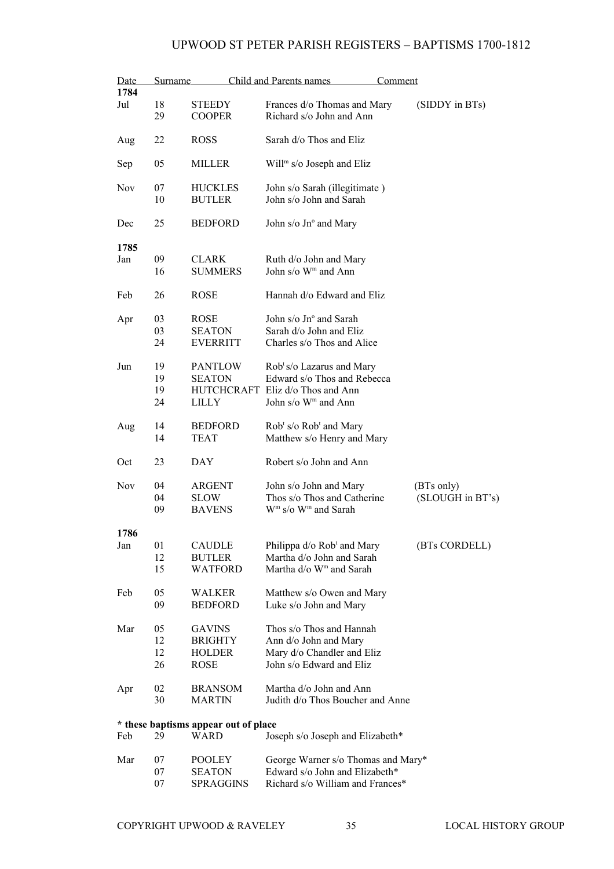| Date       | Surname |                                      | Child and Parents names<br>Comment                                |                  |
|------------|---------|--------------------------------------|-------------------------------------------------------------------|------------------|
| 1784       |         |                                      |                                                                   |                  |
| Jul        | 18      | <b>STEEDY</b>                        | Frances d/o Thomas and Mary                                       | (SIDDY in BTs)   |
|            | 29      | <b>COOPER</b>                        | Richard s/o John and Ann                                          |                  |
|            |         |                                      |                                                                   |                  |
| Aug        | 22      | <b>ROSS</b>                          | Sarah d/o Thos and Eliz                                           |                  |
|            |         |                                      |                                                                   |                  |
| Sep        | 05      | MILLER                               | Will <sup>m</sup> s/o Joseph and Eliz                             |                  |
|            |         |                                      |                                                                   |                  |
| <b>Nov</b> | 07      | <b>HUCKLES</b>                       | John s/o Sarah (illegitimate)                                     |                  |
|            | 10      | <b>BUTLER</b>                        | John s/o John and Sarah                                           |                  |
|            |         |                                      |                                                                   |                  |
| Dec        | 25      | <b>BEDFORD</b>                       | John s/o Jn° and Mary                                             |                  |
| 1785       |         |                                      |                                                                   |                  |
| Jan        | 09      | <b>CLARK</b>                         | Ruth d/o John and Mary                                            |                  |
|            | 16      | <b>SUMMERS</b>                       | John s/o W <sup>m</sup> and Ann                                   |                  |
|            |         |                                      |                                                                   |                  |
| Feb        | 26      | <b>ROSE</b>                          | Hannah d/o Edward and Eliz                                        |                  |
|            |         |                                      |                                                                   |                  |
| Apr        | 03      | <b>ROSE</b>                          | John $s/\sigma$ Jn $\degree$ and Sarah                            |                  |
|            | 03      | <b>SEATON</b>                        | Sarah d/o John and Eliz                                           |                  |
|            | 24      | <b>EVERRITT</b>                      | Charles s/o Thos and Alice                                        |                  |
|            |         |                                      |                                                                   |                  |
| Jun        | 19      | <b>PANTLOW</b>                       | Rob <sup>t</sup> s/o Lazarus and Mary                             |                  |
|            | 19      | <b>SEATON</b>                        | Edward s/o Thos and Rebecca                                       |                  |
|            | 19      | <b>HUTCHCRAFT</b>                    | Eliz d/o Thos and Ann                                             |                  |
|            | 24      | LILLY                                | John s/o W <sup>m</sup> and Ann                                   |                  |
|            |         |                                      |                                                                   |                  |
| Aug        | 14      | <b>BEDFORD</b>                       | Rob <sup>t</sup> s/o Rob <sup>t</sup> and Mary                    |                  |
|            | 14      | <b>TEAT</b>                          | Matthew s/o Henry and Mary                                        |                  |
|            |         |                                      |                                                                   |                  |
| Oct        | 23      | DAY                                  | Robert s/o John and Ann                                           |                  |
|            |         |                                      |                                                                   |                  |
| Nov        | 04      | ARGENT                               | John s/o John and Mary                                            | (BTs only)       |
|            | 04      | <b>SLOW</b>                          | Thos s/o Thos and Catherine                                       | (SLOUGH in BT's) |
|            | 09      | <b>BAVENS</b>                        | $\mathbf{W}^{\mathrm{m}}$ s/o $\mathbf{W}^{\mathrm{m}}$ and Sarah |                  |
|            |         |                                      |                                                                   |                  |
| 1786       |         |                                      |                                                                   |                  |
| Jan        | 01      | <b>CAUDLE</b>                        | Philippa d/o Rob <sup>t</sup> and Mary                            | (BTs CORDELL)    |
|            | 12      | BUTLER                               | Martha d/o John and Sarah                                         |                  |
|            | 15      | WATFORD                              | Martha d/o W <sup>m</sup> and Sarah                               |                  |
|            |         |                                      |                                                                   |                  |
| Feb        | 05      | <b>WALKER</b>                        | Matthew s/o Owen and Mary                                         |                  |
|            | 09      | <b>BEDFORD</b>                       | Luke s/o John and Mary                                            |                  |
| Mar        | 05      | <b>GAVINS</b>                        | Thos s/o Thos and Hannah                                          |                  |
|            | 12      |                                      |                                                                   |                  |
|            |         | <b>BRIGHTY</b>                       | Ann d/o John and Mary                                             |                  |
|            | 12      | <b>HOLDER</b>                        | Mary d/o Chandler and Eliz                                        |                  |
|            | 26      | <b>ROSE</b>                          | John s/o Edward and Eliz                                          |                  |
| Apr        | 02      | <b>BRANSOM</b>                       | Martha d/o John and Ann                                           |                  |
|            | 30      | <b>MARTIN</b>                        | Judith d/o Thos Boucher and Anne                                  |                  |
|            |         |                                      |                                                                   |                  |
|            |         | * these baptisms appear out of place |                                                                   |                  |
| Feb        | 29      | WARD                                 | Joseph s/o Joseph and Elizabeth*                                  |                  |
|            |         |                                      |                                                                   |                  |
| Mar        | 07      | POOLEY                               | George Warner s/o Thomas and Mary*                                |                  |
|            | 07      | <b>SEATON</b>                        | Edward s/o John and Elizabeth*                                    |                  |

07 SPRAGGINS Richard s/o William and Frances\*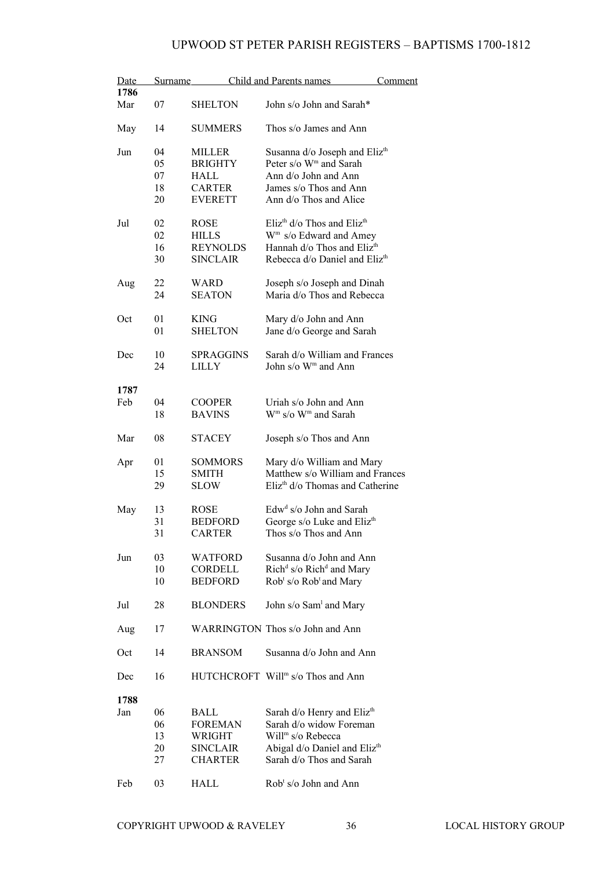| Date<br>1786 | Surname                    |                                                                       | Child and Parents names                                                                                                                                                            | Comment |
|--------------|----------------------------|-----------------------------------------------------------------------|------------------------------------------------------------------------------------------------------------------------------------------------------------------------------------|---------|
| Mar          | 07                         | <b>SHELTON</b>                                                        | John s/o John and Sarah*                                                                                                                                                           |         |
| May          | 14                         | <b>SUMMERS</b>                                                        | Thos s/o James and Ann                                                                                                                                                             |         |
| Jun          | 04<br>05<br>07<br>18<br>20 | MILLER<br><b>BRIGHTY</b><br>HALL<br><b>CARTER</b><br><b>EVERETT</b>   | Susanna d/o Joseph and Eliz <sup>th</sup><br>Peter s/o W <sup>m</sup> and Sarah<br>Ann d/o John and Ann<br>James s/o Thos and Ann<br>Ann d/o Thos and Alice                        |         |
| Jul          | 02<br>02<br>16<br>30       | <b>ROSE</b><br><b>HILLS</b><br><b>REYNOLDS</b><br><b>SINCLAIR</b>     | Eliz <sup>th</sup> $d$ /o Thos and Eliz <sup>th</sup><br>W <sup>m</sup> s/o Edward and Amey<br>Hannah d/o Thos and Eliz <sup>th</sup><br>Rebecca d/o Daniel and Eliz <sup>th</sup> |         |
| Aug          | 22<br>24                   | <b>WARD</b><br><b>SEATON</b>                                          | Joseph s/o Joseph and Dinah<br>Maria d/o Thos and Rebecca                                                                                                                          |         |
| Oct          | 01<br>01                   | <b>KING</b><br><b>SHELTON</b>                                         | Mary d/o John and Ann<br>Jane d/o George and Sarah                                                                                                                                 |         |
| Dec          | 10<br>24                   | <b>SPRAGGINS</b><br><b>LILLY</b>                                      | Sarah d/o William and Frances<br>John s/o W <sup>m</sup> and Ann                                                                                                                   |         |
| 1787<br>Feb  | 04<br>18                   | <b>COOPER</b><br><b>BAVINS</b>                                        | Uriah s/o John and Ann<br>W <sup>m</sup> s/o W <sup>m</sup> and Sarah                                                                                                              |         |
| Mar          | 08                         | <b>STACEY</b>                                                         | Joseph s/o Thos and Ann                                                                                                                                                            |         |
| Apr          | 01<br>15<br>29             | <b>SOMMORS</b><br><b>SMITH</b><br><b>SLOW</b>                         | Mary d/o William and Mary<br>Matthew s/o William and Frances<br>Eliz <sup>th</sup> d/o Thomas and Catherine                                                                        |         |
| May          | 13<br>31<br>31             | <b>ROSE</b><br><b>BEDFORD</b><br><b>CARTER</b>                        | Edw <sup>d</sup> s/o John and Sarah<br>George s/o Luke and Eliz <sup>th</sup><br>Thos s/o Thos and Ann                                                                             |         |
| Jun          | 03<br>10<br>10             | <b>WATFORD</b><br>CORDELL<br><b>BEDFORD</b>                           | Susanna d/o John and Ann<br>Rich <sup>d</sup> s/o Rich <sup>d</sup> and Mary<br>Rob <sup>t</sup> s/o Rob <sup>t</sup> and Mary                                                     |         |
| Jul          | 28                         | <b>BLONDERS</b>                                                       | John s/o Sam <sup>1</sup> and Mary                                                                                                                                                 |         |
| Aug          | 17                         |                                                                       | WARRINGTON Thos s/o John and Ann                                                                                                                                                   |         |
| Oct          | 14                         | <b>BRANSOM</b>                                                        | Susanna d/o John and Ann                                                                                                                                                           |         |
| Dec          | 16                         |                                                                       | HUTCHCROFT Will <sup>m</sup> s/o Thos and Ann                                                                                                                                      |         |
| 1788<br>Jan  | 06<br>06<br>13<br>20<br>27 | BALL<br><b>FOREMAN</b><br>WRIGHT<br><b>SINCLAIR</b><br><b>CHARTER</b> | Sarah d/o Henry and Eliz <sup>th</sup><br>Sarah d/o widow Foreman<br>Will <sup>m</sup> s/o Rebecca<br>Abigal d/o Daniel and Eliz <sup>th</sup><br>Sarah d/o Thos and Sarah         |         |
| Feb          | 03                         | HALL                                                                  | Rob <sup>t</sup> s/o John and Ann                                                                                                                                                  |         |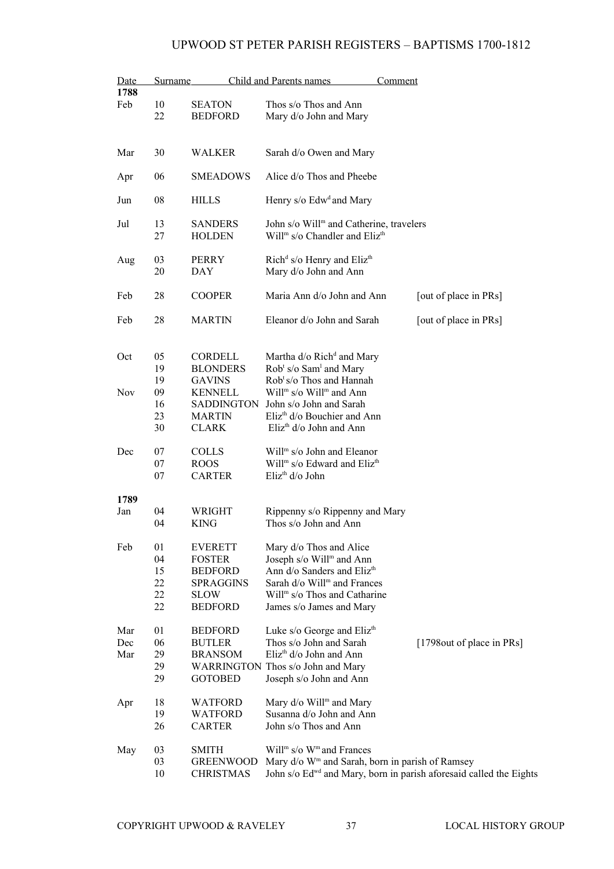| Date       | <b>Surname</b> |                            | Child and Parents names<br>Comment                                                                           |                            |
|------------|----------------|----------------------------|--------------------------------------------------------------------------------------------------------------|----------------------------|
| 1788       |                |                            |                                                                                                              |                            |
| Feb        | 10             | <b>SEATON</b>              | Thos s/o Thos and Ann                                                                                        |                            |
|            | 22             | <b>BEDFORD</b>             | Mary d/o John and Mary                                                                                       |                            |
|            |                |                            |                                                                                                              |                            |
| Mar        | 30             | WALKER                     | Sarah d/o Owen and Mary                                                                                      |                            |
|            |                |                            |                                                                                                              |                            |
| Apr        | 06             | <b>SMEADOWS</b>            | Alice d/o Thos and Pheebe                                                                                    |                            |
| Jun        | 08             | <b>HILLS</b>               | Henry s/o Edw <sup>d</sup> and Mary                                                                          |                            |
|            |                |                            |                                                                                                              |                            |
| Jul        | 13             | <b>SANDERS</b>             | John s/o Will <sup>m</sup> and Catherine, travelers<br>Will <sup>m</sup> s/o Chandler and Eliz <sup>th</sup> |                            |
|            | 27             | <b>HOLDEN</b>              |                                                                                                              |                            |
| Aug        | 03             | <b>PERRY</b>               | Rich <sup>d</sup> s/o Henry and Eliz <sup>th</sup>                                                           |                            |
|            | 20             | <b>DAY</b>                 | Mary d/o John and Ann                                                                                        |                            |
|            |                |                            |                                                                                                              |                            |
| Feb        | 28             | <b>COOPER</b>              | Maria Ann d/o John and Ann                                                                                   | [out of place in PRs]      |
| Feb        | 28             | <b>MARTIN</b>              | Eleanor d/o John and Sarah                                                                                   | [out of place in PRs]      |
|            |                |                            |                                                                                                              |                            |
|            |                |                            |                                                                                                              |                            |
| Oct        | 05<br>19       | CORDELL<br><b>BLONDERS</b> | Martha d/o Rich <sup>d</sup> and Mary<br>Rob <sup>t</sup> s/o Sam <sup>1</sup> and Mary                      |                            |
|            | 19             | <b>GAVINS</b>              | Rob <sup>t</sup> s/o Thos and Hannah                                                                         |                            |
| <b>Nov</b> | 09             | <b>KENNELL</b>             | Will <sup>m</sup> s/o Will <sup>m</sup> and Ann                                                              |                            |
|            | 16             | SADDINGTON                 | John s/o John and Sarah                                                                                      |                            |
|            | 23             | <b>MARTIN</b>              | Eliz <sup>th</sup> d/o Bouchier and Ann                                                                      |                            |
|            | 30             | <b>CLARK</b>               | Eliz <sup>th</sup> d/o John and Ann                                                                          |                            |
| Dec        | 07             | <b>COLLS</b>               | Will <sup>m</sup> s/o John and Eleanor                                                                       |                            |
|            | 07             | <b>ROOS</b>                | Will <sup>m</sup> s/o Edward and Eliz <sup>th</sup>                                                          |                            |
|            | 07             | <b>CARTER</b>              | Eliz <sup>th</sup> d/o John                                                                                  |                            |
|            |                |                            |                                                                                                              |                            |
| 1789       |                |                            |                                                                                                              |                            |
| Jan        | 04             | WRIGHT                     | Rippenny s/o Rippenny and Mary                                                                               |                            |
|            | 04             | <b>KING</b>                | Thos s/o John and Ann                                                                                        |                            |
| Feb        | 01             | <b>EVERETT</b>             | Mary d/o Thos and Alice                                                                                      |                            |
|            | 04             | <b>FOSTER</b>              | Joseph s/o Will <sup>m</sup> and Ann                                                                         |                            |
|            | 15             | <b>BEDFORD</b>             | Ann d/o Sanders and Eliz <sup>th</sup>                                                                       |                            |
|            | 22             | <b>SPRAGGINS</b>           | Sarah d/o Will <sup>m</sup> and Frances                                                                      |                            |
|            | 22             | <b>SLOW</b>                | Will <sup>m</sup> s/o Thos and Catharine                                                                     |                            |
|            | 22             | <b>BEDFORD</b>             | James s/o James and Mary                                                                                     |                            |
| Mar        | 01             | <b>BEDFORD</b>             | Luke s/o George and Eliz <sup>th</sup>                                                                       |                            |
| Dec        | 06             | <b>BUTLER</b>              | Thos s/o John and Sarah                                                                                      | [1798 out of place in PRs] |
| Mar        | 29             | <b>BRANSOM</b>             | $E$ liz <sup>th</sup> d/o John and Ann                                                                       |                            |
|            | 29             |                            | WARRINGTON Thos s/o John and Mary                                                                            |                            |
|            | 29             | <b>GOTOBED</b>             | Joseph s/o John and Ann                                                                                      |                            |
| Apr        | 18             | <b>WATFORD</b>             | Mary d/o Will <sup>m</sup> and Mary                                                                          |                            |
|            | 19             | <b>WATFORD</b>             | Susanna d/o John and Ann                                                                                     |                            |
|            | 26             | <b>CARTER</b>              | John s/o Thos and Ann                                                                                        |                            |
| May        | 03             | <b>SMITH</b>               | Will <sup>m</sup> s/o W <sup>m</sup> and Frances                                                             |                            |
|            | 03             | <b>GREENWOOD</b>           | Mary d/o W <sup>m</sup> and Sarah, born in parish of Ramsey                                                  |                            |
|            | 10             | <b>CHRISTMAS</b>           | John s/o Ed <sup>wd</sup> and Mary, born in parish aforesaid called the Eights                               |                            |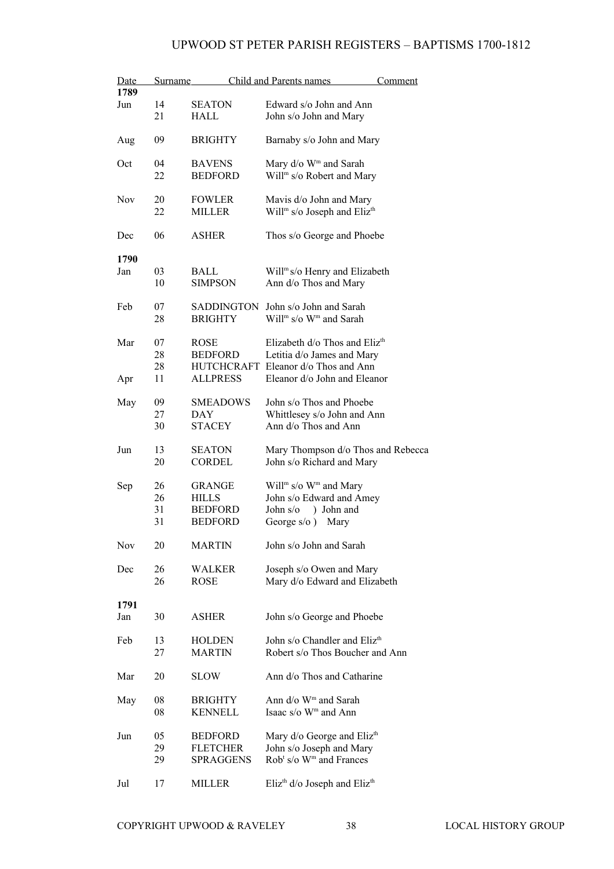| Date<br>1789 | Surname |                   | <b>Child and Parents names</b>                          | <u>Comment</u> |
|--------------|---------|-------------------|---------------------------------------------------------|----------------|
|              | 14      |                   |                                                         |                |
| Jun          |         | <b>SEATON</b>     | Edward s/o John and Ann                                 |                |
|              | 21      | HALL              | John s/o John and Mary                                  |                |
| Aug          | 09      | <b>BRIGHTY</b>    | Barnaby s/o John and Mary                               |                |
| Oct          | 04      | <b>BAVENS</b>     |                                                         |                |
|              |         |                   | Mary d/o W <sup>m</sup> and Sarah                       |                |
|              | 22      | <b>BEDFORD</b>    | Will <sup>m</sup> s/o Robert and Mary                   |                |
|              |         |                   |                                                         |                |
| <b>Nov</b>   | 20      | <b>FOWLER</b>     | Mavis d/o John and Mary                                 |                |
|              | 22      | <b>MILLER</b>     | Will <sup>m</sup> s/o Joseph and Eliz <sup>th</sup>     |                |
|              |         |                   |                                                         |                |
| Dec          | 06      | <b>ASHER</b>      | Thos s/o George and Phoebe                              |                |
|              |         |                   |                                                         |                |
| 1790         |         |                   |                                                         |                |
| Jan          | 03      | BALL              | Will <sup>m</sup> s/o Henry and Elizabeth               |                |
|              | 10      | <b>SIMPSON</b>    | Ann d/o Thos and Mary                                   |                |
|              |         |                   |                                                         |                |
| Feb          | 07      | SADDINGTON        | John s/o John and Sarah                                 |                |
|              | 28      | <b>BRIGHTY</b>    | Will <sup>m</sup> s/o W <sup>m</sup> and Sarah          |                |
|              |         |                   |                                                         |                |
|              |         |                   |                                                         |                |
| Mar          | 07      | <b>ROSE</b>       | Elizabeth d/o Thos and Eliz <sup>th</sup>               |                |
|              | 28      | <b>BEDFORD</b>    | Letitia d/o James and Mary                              |                |
|              | 28      | <b>HUTCHCRAFT</b> | Eleanor d/o Thos and Ann                                |                |
| Apr          | 11      | <b>ALLPRESS</b>   | Eleanor d/o John and Eleanor                            |                |
|              |         |                   |                                                         |                |
| May          | 09      | <b>SMEADOWS</b>   | John s/o Thos and Phoebe                                |                |
|              | 27      | DAY               | Whittlesey s/o John and Ann                             |                |
|              | 30      | <b>STACEY</b>     | Ann d/o Thos and Ann                                    |                |
|              |         |                   |                                                         |                |
| Jun          | 13      | SEATON            | Mary Thompson d/o Thos and Rebecca                      |                |
|              | 20      | CORDEL            | John s/o Richard and Mary                               |                |
|              |         |                   |                                                         |                |
| Sep          | 26      | <b>GRANGE</b>     | Will <sup>m</sup> s/o $Wm$ and Mary                     |                |
|              | 26      | <b>HILLS</b>      | John s/o Edward and Amey                                |                |
|              |         |                   |                                                         |                |
|              | 31      | <b>BEDFORD</b>    | John s/o<br>) John and                                  |                |
|              | 31      | <b>BEDFORD</b>    | George $s/\sigma$ )<br>Mary                             |                |
|              |         |                   |                                                         |                |
| Nov          | 20      | <b>MARTIN</b>     | John s/o John and Sarah                                 |                |
|              |         |                   |                                                         |                |
| Dec          | 26      | <b>WALKER</b>     | Joseph s/o Owen and Mary                                |                |
|              | 26      | <b>ROSE</b>       | Mary d/o Edward and Elizabeth                           |                |
|              |         |                   |                                                         |                |
| 1791         |         |                   |                                                         |                |
| Jan          | 30      | <b>ASHER</b>      | John s/o George and Phoebe                              |                |
|              |         |                   |                                                         |                |
| Feb          | 13      | <b>HOLDEN</b>     | John s/o Chandler and Eliz <sup>th</sup>                |                |
|              | 27      | <b>MARTIN</b>     | Robert s/o Thos Boucher and Ann                         |                |
|              |         |                   |                                                         |                |
| Mar          | 20      | <b>SLOW</b>       | Ann d/o Thos and Catharine                              |                |
|              |         |                   |                                                         |                |
|              |         |                   |                                                         |                |
| May          | 08      | <b>BRIGHTY</b>    | Ann d/o W <sup>m</sup> and Sarah                        |                |
|              | 08      | <b>KENNELL</b>    | Isaac s/o W <sup>m</sup> and Ann                        |                |
|              |         |                   |                                                         |                |
| Jun          | 05      | <b>BEDFORD</b>    | Mary d/o George and Eliz <sup>th</sup>                  |                |
|              | 29      | <b>FLETCHER</b>   | John s/o Joseph and Mary                                |                |
|              | 29      | SPRAGGENS         | Rob <sup>t</sup> s/o W <sup>m</sup> and Frances         |                |
|              |         |                   |                                                         |                |
| Jul          | 17      | <b>MILLER</b>     | Eliz <sup>th</sup> $d$ /o Joseph and Eliz <sup>th</sup> |                |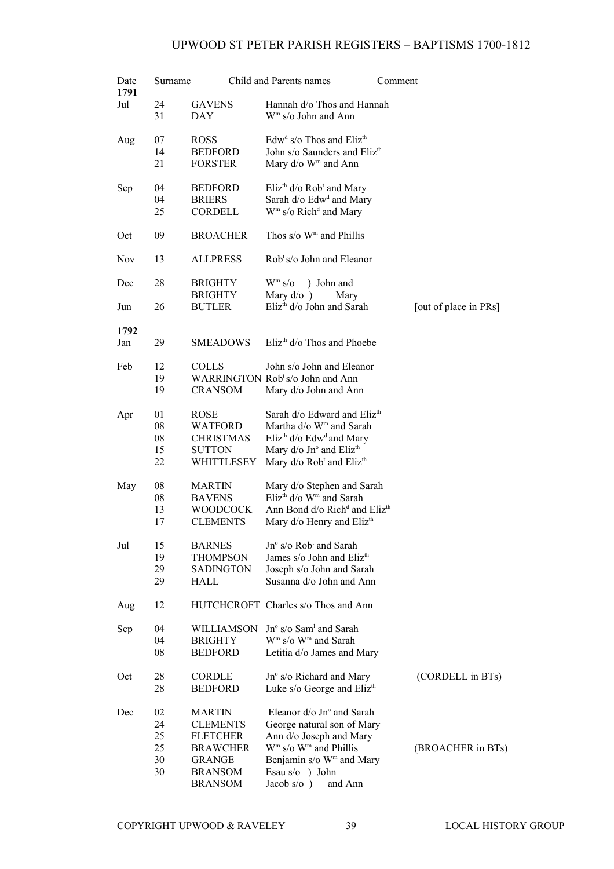| Date       | <b>Surname</b> |                  | Child and Parents names                               | <b>Comment</b>        |
|------------|----------------|------------------|-------------------------------------------------------|-----------------------|
| 1791       |                |                  |                                                       |                       |
| Jul        | 24             | <b>GAVENS</b>    | Hannah d/o Thos and Hannah                            |                       |
|            | 31             | DAY              | $Wm$ s/o John and Ann                                 |                       |
| Aug        | 07             | <b>ROSS</b>      | Edw <sup>d</sup> s/o Thos and Eliz <sup>th</sup>      |                       |
|            | 14             | <b>BEDFORD</b>   | John s/o Saunders and Eliz <sup>th</sup>              |                       |
|            | 21             | <b>FORSTER</b>   | Mary d/o W <sup>m</sup> and Ann                       |                       |
| Sep        | 04             | <b>BEDFORD</b>   | Eliz <sup>th</sup> $d$ /o Rob <sup>t</sup> and Mary   |                       |
|            | 04             | <b>BRIERS</b>    | Sarah d/o Edw <sup>d</sup> and Mary                   |                       |
|            | 25             | <b>CORDELL</b>   | $Wm$ s/o Rich <sup>d</sup> and Mary                   |                       |
| Oct        | 09             | <b>BROACHER</b>  | Thos $s/\sigma$ W <sup>m</sup> and Phillis            |                       |
| <b>Nov</b> | 13             | <b>ALLPRESS</b>  | $Robt s/o$ John and Eleanor                           |                       |
| Dec        | 28             | <b>BRIGHTY</b>   | $W^m s$ /0<br>) John and                              |                       |
|            |                | <b>BRIGHTY</b>   | Mary $d$ / $o$ )<br>Mary                              |                       |
| Jun        | 26             | <b>BUTLER</b>    | Eliz <sup>th</sup> d/o John and Sarah                 | [out of place in PRs] |
| 1792       |                |                  |                                                       |                       |
| Jan        | 29             | SMEADOWS         | $E$ liz <sup>th</sup> d/o Thos and Phoebe             |                       |
| Feb        | 12             | <b>COLLS</b>     | John s/o John and Eleanor                             |                       |
|            | 19             |                  | WARRINGTON Rob <sup>t</sup> s/o John and Ann          |                       |
|            | 19             | <b>CRANSOM</b>   | Mary d/o John and Ann                                 |                       |
| Apr        | 01             | <b>ROSE</b>      | Sarah d/o Edward and Eliz <sup>th</sup>               |                       |
|            | 08             | WATFORD          | Martha d/o W <sup>m</sup> and Sarah                   |                       |
|            | 08             | <b>CHRISTMAS</b> | Eliz <sup>th</sup> d/o Edw <sup>d</sup> and Mary      |                       |
|            | 15             | <b>SUTTON</b>    | Mary d/o Jn° and Eliz <sup>th</sup>                   |                       |
|            | 22             | WHITTLESEY       | Mary d/o Rob <sup>t</sup> and Eliz <sup>th</sup>      |                       |
| May        | 08             | <b>MARTIN</b>    | Mary d/o Stephen and Sarah                            |                       |
|            | 08             | <b>BAVENS</b>    | Eliz <sup>th</sup> d/o W <sup>m</sup> and Sarah       |                       |
|            | 13             | <b>WOODCOCK</b>  | Ann Bond d/o Rich <sup>d</sup> and Eliz <sup>th</sup> |                       |
|            | 17             | <b>CLEMENTS</b>  | Mary d/o Henry and Eliz <sup>th</sup>                 |                       |
| Jul        | 15             | <b>BARNES</b>    | $Jn^{\circ}$ s/o Rob <sup>t</sup> and Sarah           |                       |
|            | 19             | THOMPSON         | James s/o John and Eliz <sup>th</sup>                 |                       |
|            | 29             | SADINGTON        | Joseph s/o John and Sarah                             |                       |
|            | 29             | HALL             | Susanna d/o John and Ann                              |                       |
| Aug        | 12             |                  | HUTCHCROFT Charles s/o Thos and Ann                   |                       |
| Sep        | 04             | WILLIAMSON       | $Jn^{\circ}$ s/o Sam <sup>1</sup> and Sarah           |                       |
|            | 04             | <b>BRIGHTY</b>   | $Wm$ s/o $Wm$ and Sarah                               |                       |
|            | 08             | <b>BEDFORD</b>   | Letitia d/o James and Mary                            |                       |
| Oct        | 28             | <b>CORDLE</b>    | Jn° s/o Richard and Mary                              | (CORDELL in BTs)      |
|            | 28             | <b>BEDFORD</b>   | Luke s/o George and Eliz <sup>th</sup>                |                       |
| Dec        | 02             | <b>MARTIN</b>    | Eleanor $d$ /o Jn $\degree$ and Sarah                 |                       |
|            | 24             | <b>CLEMENTS</b>  | George natural son of Mary                            |                       |
|            | 25             | <b>FLETCHER</b>  | Ann d/o Joseph and Mary                               |                       |
|            | 25             | <b>BRAWCHER</b>  | $Wm$ s/o $Wm$ and Phillis                             | (BROACHER in BTs)     |
|            | 30             | <b>GRANGE</b>    | Benjamin s/o W <sup>m</sup> and Mary                  |                       |
|            | 30             | <b>BRANSOM</b>   | Esau s/o ) John                                       |                       |
|            |                | <b>BRANSOM</b>   | Jacob s/o $)$<br>and Ann                              |                       |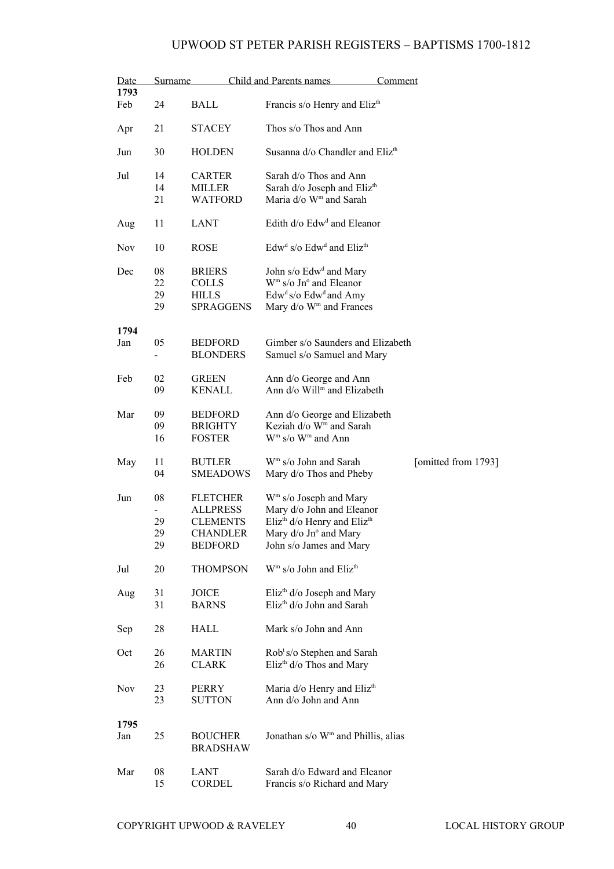| Date<br>1793 | <b>Surname</b> |                 | Child and Parents names                                      | Comment             |
|--------------|----------------|-----------------|--------------------------------------------------------------|---------------------|
| Feb          | 24             | <b>BALL</b>     | Francis s/o Henry and Eliz <sup>th</sup>                     |                     |
| Apr          | 21             | <b>STACEY</b>   | Thos s/o Thos and Ann                                        |                     |
| Jun          | 30             | <b>HOLDEN</b>   | Susanna d/o Chandler and Eliz <sup>th</sup>                  |                     |
| Jul          | 14             | <b>CARTER</b>   | Sarah d/o Thos and Ann                                       |                     |
|              | 14             | <b>MILLER</b>   | Sarah d/o Joseph and Eliz <sup>th</sup>                      |                     |
|              | 21             | <b>WATFORD</b>  | Maria d/o W <sup>m</sup> and Sarah                           |                     |
| Aug          | 11             | <b>LANT</b>     | Edith d/o Edw <sup>d</sup> and Eleanor                       |                     |
| <b>Nov</b>   | 10             | <b>ROSE</b>     | Edw <sup>d</sup> s/o Edw <sup>d</sup> and Eliz <sup>th</sup> |                     |
| Dec          | 08             | <b>BRIERS</b>   | John s/o Edw <sup>d</sup> and Mary                           |                     |
|              | 22             | <b>COLLS</b>    | $Wm$ s/o Jn <sup>o</sup> and Eleanor                         |                     |
|              | 29             | <b>HILLS</b>    | $Edwd s/o Edwd and Amy$                                      |                     |
|              | 29             | SPRAGGENS       | Mary d/o W <sup>m</sup> and Frances                          |                     |
|              |                |                 |                                                              |                     |
| 1794         |                |                 |                                                              |                     |
|              |                |                 | Gimber s/o Saunders and Elizabeth                            |                     |
| Jan          | 05             | <b>BEDFORD</b>  |                                                              |                     |
|              |                | <b>BLONDERS</b> | Samuel s/o Samuel and Mary                                   |                     |
| Feb          | 02             | <b>GREEN</b>    | Ann d/o George and Ann                                       |                     |
|              | 09             | <b>KENALL</b>   | Ann d/o Will <sup>m</sup> and Elizabeth                      |                     |
|              |                |                 |                                                              |                     |
| Mar          | 09             | <b>BEDFORD</b>  | Ann d/o George and Elizabeth                                 |                     |
|              | 09             | <b>BRIGHTY</b>  | Keziah d/o W <sup>m</sup> and Sarah                          |                     |
|              | 16             | <b>FOSTER</b>   | $Wm$ s/o $Wm$ and Ann                                        |                     |
|              |                |                 |                                                              |                     |
| May          | 11             | <b>BUTLER</b>   | $Wm$ s/o John and Sarah                                      | [omitted from 1793] |
|              | 04             | <b>SMEADOWS</b> |                                                              |                     |
|              |                |                 | Mary d/o Thos and Pheby                                      |                     |
| Jun          | 08             | <b>FLETCHER</b> | W <sup>m</sup> s/o Joseph and Mary                           |                     |
|              |                | <b>ALLPRESS</b> | Mary d/o John and Eleanor                                    |                     |
|              |                |                 |                                                              |                     |
|              | 29             | <b>CLEMENTS</b> | Eliz <sup>th</sup> d/o Henry and Eliz <sup>th</sup>          |                     |
|              | 29             | <b>CHANDLER</b> | Mary d/o Jn° and Mary                                        |                     |
|              | 29             | <b>BEDFORD</b>  | John s/o James and Mary                                      |                     |
| Jul          | 20             | <b>THOMPSON</b> | W <sup>m</sup> s/o John and Eliz <sup>th</sup>               |                     |
|              |                |                 |                                                              |                     |
| Aug          | 31             | <b>JOICE</b>    | Eliz <sup>th</sup> $d$ /o Joseph and Mary                    |                     |
|              | 31             | <b>BARNS</b>    | Eliz <sup>th</sup> d/o John and Sarah                        |                     |
| Sep          | 28             | HALL            | Mark s/o John and Ann                                        |                     |
|              |                |                 |                                                              |                     |
| Oct          | 26             | <b>MARTIN</b>   | Rob <sup>t</sup> s/o Stephen and Sarah                       |                     |
|              | 26             | <b>CLARK</b>    | $Elizth d/o$ Thos and Mary                                   |                     |
|              |                |                 |                                                              |                     |
| <b>Nov</b>   | 23             | <b>PERRY</b>    | Maria d/o Henry and Eliz <sup>th</sup>                       |                     |
|              | 23             | <b>SUTTON</b>   | Ann d/o John and Ann                                         |                     |
|              |                |                 |                                                              |                     |
| 1795         |                |                 |                                                              |                     |
| Jan          | 25             | <b>BOUCHER</b>  | Jonathan s/o W <sup>m</sup> and Phillis, alias               |                     |
|              |                | <b>BRADSHAW</b> |                                                              |                     |
|              |                |                 |                                                              |                     |
| Mar          | 08             | <b>LANT</b>     | Sarah d/o Edward and Eleanor                                 |                     |
|              | 15             | <b>CORDEL</b>   | Francis s/o Richard and Mary                                 |                     |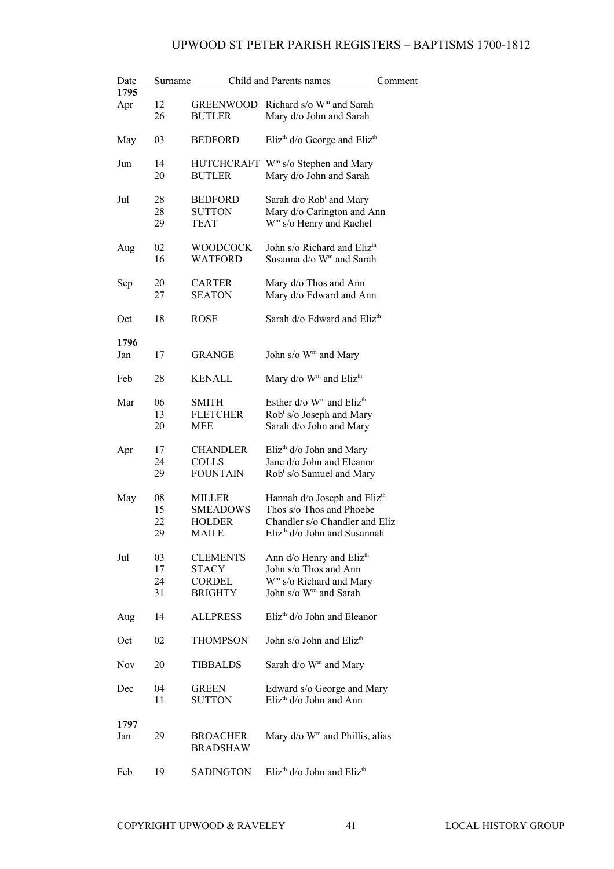| Date<br>1795 | Surname              |                                                                    | <b>Child and Parents names</b>                                                                                                                     | Comment |
|--------------|----------------------|--------------------------------------------------------------------|----------------------------------------------------------------------------------------------------------------------------------------------------|---------|
| Apr          | 12<br>26             | <b>GREENWOOD</b><br><b>BUTLER</b>                                  | Richard s/o W <sup>m</sup> and Sarah<br>Mary d/o John and Sarah                                                                                    |         |
| May          | 03                   | <b>BEDFORD</b>                                                     | Eliz <sup>th</sup> d/o George and Eliz <sup>th</sup>                                                                                               |         |
| Jun          | 14<br>20             | <b>BUTLER</b>                                                      | HUTCHCRAFT W <sup>m</sup> s/o Stephen and Mary<br>Mary d/o John and Sarah                                                                          |         |
| Jul          | 28<br>28<br>29       | <b>BEDFORD</b><br><b>SUTTON</b><br><b>TEAT</b>                     | Sarah d/o Rob <sup>t</sup> and Mary<br>Mary d/o Carington and Ann<br>W <sup>m</sup> s/o Henry and Rachel                                           |         |
| Aug          | 02<br>16             | <b>WOODCOCK</b><br><b>WATFORD</b>                                  | John s/o Richard and Eliz <sup>th</sup><br>Susanna d/o W <sup>m</sup> and Sarah                                                                    |         |
| Sep          | 20<br>27             | <b>CARTER</b><br><b>SEATON</b>                                     | Mary d/o Thos and Ann<br>Mary d/o Edward and Ann                                                                                                   |         |
| Oct          | 18                   | <b>ROSE</b>                                                        | Sarah d/o Edward and Eliz <sup>th</sup>                                                                                                            |         |
| 1796<br>Jan  | 17                   | <b>GRANGE</b>                                                      | John s/o W <sup>m</sup> and Mary                                                                                                                   |         |
| Feb          | 28                   | <b>KENALL</b>                                                      | Mary d/o W <sup>m</sup> and Eliz <sup>th</sup>                                                                                                     |         |
| Mar          | 06<br>13<br>20       | <b>SMITH</b><br><b>FLETCHER</b><br>MEE                             | Esther d/o W <sup>m</sup> and Eliz <sup>th</sup><br>Rob <sup>t</sup> s/o Joseph and Mary<br>Sarah d/o John and Mary                                |         |
| Apr          | 17<br>24<br>29       | <b>CHANDLER</b><br><b>COLLS</b><br><b>FOUNTAIN</b>                 | $E$ liz <sup>th</sup> d/o John and Mary<br>Jane d/o John and Eleanor<br>Rob <sup>t</sup> s/o Samuel and Mary                                       |         |
| May          | 08<br>15<br>22<br>29 | <b>MILLER</b><br><b>SMEADOWS</b><br><b>HOLDER</b><br><b>MAILE</b>  | Hannah d/o Joseph and Eliz <sup>th</sup><br>Thos s/o Thos and Phoebe<br>Chandler s/o Chandler and Eliz<br>Eliz <sup>th</sup> d/o John and Susannah |         |
| Jul          | 03<br>17<br>24<br>31 | <b>CLEMENTS</b><br><b>STACY</b><br><b>CORDEL</b><br><b>BRIGHTY</b> | Ann d/o Henry and Eliz <sup>th</sup><br>John s/o Thos and Ann<br>W <sup>m</sup> s/o Richard and Mary<br>John s/o W <sup>m</sup> and Sarah          |         |
| Aug          | 14                   | <b>ALLPRESS</b>                                                    | Eliz <sup>th</sup> d/o John and Eleanor                                                                                                            |         |
| Oct          | 02                   | <b>THOMPSON</b>                                                    | John s/o John and Eliz <sup>th</sup>                                                                                                               |         |
| <b>Nov</b>   | 20                   | <b>TIBBALDS</b>                                                    | Sarah d/o W <sup>m</sup> and Mary                                                                                                                  |         |
| Dec          | 04<br>11             | <b>GREEN</b><br><b>SUTTON</b>                                      | Edward s/o George and Mary<br>Eliz <sup>th</sup> d/o John and Ann                                                                                  |         |
| 1797<br>Jan  | 29                   | <b>BROACHER</b><br><b>BRADSHAW</b>                                 | Mary $d$ /o W <sup>m</sup> and Phillis, alias                                                                                                      |         |
| Feb          | 19                   | <b>SADINGTON</b>                                                   | Eliz <sup>th</sup> d/o John and Eliz <sup>th</sup>                                                                                                 |         |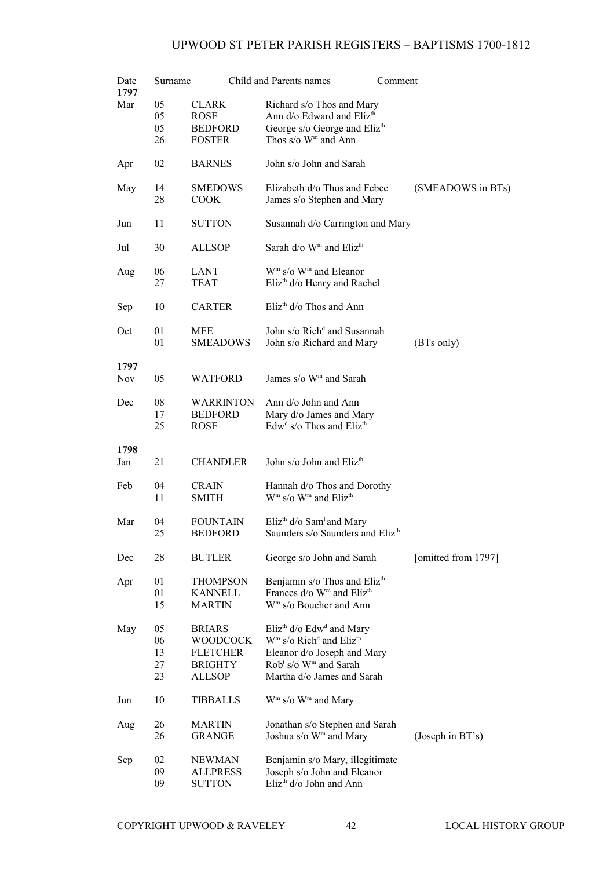| Date<br>1797 | <b>Surname</b> |                  | Child and Parents names                             | <u>Comment</u>      |
|--------------|----------------|------------------|-----------------------------------------------------|---------------------|
|              |                |                  |                                                     |                     |
| Mar          | 05             | <b>CLARK</b>     | Richard s/o Thos and Mary                           |                     |
|              | 05             | ROSE             | Ann d/o Edward and Eliz <sup>th</sup>               |                     |
|              | 05             | <b>BEDFORD</b>   | George s/o George and Eliz <sup>th</sup>            |                     |
|              | 26             | <b>FOSTER</b>    | Thos s/o W <sup>m</sup> and Ann                     |                     |
|              |                |                  |                                                     |                     |
| Apr          | 02             | <b>BARNES</b>    | John s/o John and Sarah                             |                     |
| May          | 14             | <b>SMEDOWS</b>   | Elizabeth d/o Thos and Febee                        | (SMEADOWS in BTs)   |
|              |                |                  |                                                     |                     |
|              | 28             | <b>COOK</b>      | James s/o Stephen and Mary                          |                     |
| Jun          | 11             | <b>SUTTON</b>    | Susannah d/o Carrington and Mary                    |                     |
| Jul          | 30             | <b>ALLSOP</b>    | Sarah d/o W <sup>m</sup> and Eliz <sup>th</sup>     |                     |
| Aug          | 06             | LANT             | W <sup>m</sup> s/o W <sup>m</sup> and Eleanor       |                     |
|              | 27             | TEAT             | Eliz <sup>th</sup> d/o Henry and Rachel             |                     |
|              |                |                  |                                                     |                     |
| Sep          | 10             | <b>CARTER</b>    | $E$ liz <sup>th</sup> d/o Thos and Ann              |                     |
| Oct          | 01             | MEE              | John s/o Rich <sup>d</sup> and Susannah             |                     |
|              |                |                  |                                                     |                     |
|              | 01             | <b>SMEADOWS</b>  | John s/o Richard and Mary                           | (BTs only)          |
|              |                |                  |                                                     |                     |
| 1797         |                |                  |                                                     |                     |
| <b>Nov</b>   | 05             | WATFORD          | James s/o W <sup>m</sup> and Sarah                  |                     |
|              |                |                  |                                                     |                     |
| Dec          | 08             | <b>WARRINTON</b> | Ann d/o John and Ann                                |                     |
|              | 17             | <b>BEDFORD</b>   | Mary d/o James and Mary                             |                     |
|              |                |                  |                                                     |                     |
|              | 25             | <b>ROSE</b>      | Edw <sup>d</sup> s/o Thos and Eliz <sup>th</sup>    |                     |
|              |                |                  |                                                     |                     |
| 1798         |                |                  |                                                     |                     |
| Jan          | 21             | <b>CHANDLER</b>  | John s/o John and Eliz <sup>th</sup>                |                     |
|              |                |                  |                                                     |                     |
| Feb          | 04             | <b>CRAIN</b>     | Hannah d/o Thos and Dorothy                         |                     |
|              | 11             | <b>SMITH</b>     | $Wm$ s/o $Wm$ and Eliz <sup>th</sup>                |                     |
|              |                |                  |                                                     |                     |
| Mar          | 04             | <b>FOUNTAIN</b>  |                                                     |                     |
|              |                |                  | Eliz <sup>th</sup> $d$ /o Sam <sup>1</sup> and Mary |                     |
|              | 25             | <b>BEDFORD</b>   | Saunders s/o Saunders and Eliz <sup>th</sup>        |                     |
|              |                |                  |                                                     |                     |
| Dec          | 28             | <b>BUTLER</b>    | George s/o John and Sarah                           | [omitted from 1797] |
| Apr          | 01             | <b>THOMPSON</b>  | Benjamin s/o Thos and Eliz <sup>th</sup>            |                     |
|              |                |                  |                                                     |                     |
|              | 01             | <b>KANNELL</b>   | Frances d/o W <sup>m</sup> and Eliz <sup>th</sup>   |                     |
|              | 15             | MARTIN           | W <sup>m</sup> s/o Boucher and Ann                  |                     |
|              |                |                  |                                                     |                     |
| May          | 05             | <b>BRIARS</b>    | Eliz <sup>th</sup> d/o Edw <sup>d</sup> and Mary    |                     |
|              | 06             | <b>WOODCOCK</b>  | $Wm$ s/o Rich <sup>d</sup> and Eliz <sup>th</sup>   |                     |
|              | 13             | <b>FLETCHER</b>  | Eleanor d/o Joseph and Mary                         |                     |
|              | 27             | <b>BRIGHTY</b>   | Rob <sup>t</sup> s/o W <sup>m</sup> and Sarah       |                     |
|              | 23             | <b>ALLSOP</b>    | Martha d/o James and Sarah                          |                     |
|              |                |                  |                                                     |                     |
| Jun          | 10             | <b>TIBBALLS</b>  | $Wm$ s/o $Wm$ and Mary                              |                     |
| Aug          | 26             | <b>MARTIN</b>    | Jonathan s/o Stephen and Sarah                      |                     |
|              | 26             |                  |                                                     |                     |
|              |                | <b>GRANGE</b>    | Joshua s/o W <sup>m</sup> and Mary                  | (Joseph in $BT's$ ) |
| Sep          | 02             | <b>NEWMAN</b>    | Benjamin s/o Mary, illegitimate                     |                     |
|              |                |                  |                                                     |                     |
|              | 09             | <b>ALLPRESS</b>  | Joseph s/o John and Eleanor                         |                     |
|              | 09             | <b>SUTTON</b>    | Eliz <sup>th</sup> d/o John and Ann                 |                     |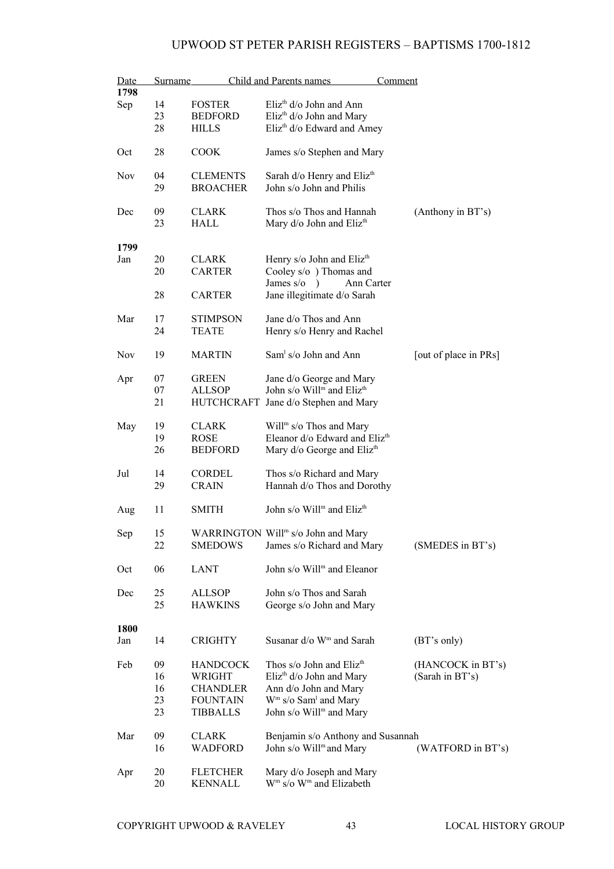| Date       | Surname |                 | Child and Parents names                                                       | Comment               |
|------------|---------|-----------------|-------------------------------------------------------------------------------|-----------------------|
| 1798       |         |                 |                                                                               |                       |
| Sep        | 14      | <b>FOSTER</b>   | Eliz <sup>th</sup> d/o John and Ann                                           |                       |
|            | 23      | <b>BEDFORD</b>  | Eliz <sup>th</sup> d/o John and Mary                                          |                       |
|            | 28      | <b>HILLS</b>    | Eliz <sup>th</sup> d/o Edward and Amey                                        |                       |
| Oct        | 28      | <b>COOK</b>     | James s/o Stephen and Mary                                                    |                       |
| Nov        | 04      | <b>CLEMENTS</b> | Sarah d/o Henry and Eliz <sup>th</sup>                                        |                       |
|            | 29      | <b>BROACHER</b> | John s/o John and Philis                                                      |                       |
| Dec        | 09      | <b>CLARK</b>    | Thos s/o Thos and Hannah                                                      | (Anthony in BT's)     |
|            | 23      | HALL            | Mary d/o John and Eliz <sup>th</sup>                                          |                       |
| 1799       |         |                 |                                                                               |                       |
| Jan        | 20      | <b>CLARK</b>    | Henry s/o John and Eliz <sup>th</sup>                                         |                       |
|            | 20      | <b>CARTER</b>   | Cooley s/o ) Thomas and                                                       |                       |
|            | 28      | <b>CARTER</b>   | James $s$ / $\circ$<br>Ann Carter<br>$\lambda$<br>Jane illegitimate d/o Sarah |                       |
| Mar        | 17      | <b>STIMPSON</b> | Jane d/o Thos and Ann                                                         |                       |
|            | 24      | <b>TEATE</b>    | Henry s/o Henry and Rachel                                                    |                       |
| <b>Nov</b> | 19      | <b>MARTIN</b>   | $Sam1 s/o$ John and Ann                                                       | [out of place in PRs] |
| Apr        | 07      | <b>GREEN</b>    | Jane d/o George and Mary                                                      |                       |
|            | 07      | <b>ALLSOP</b>   | John s/o Will <sup>m</sup> and Eliz <sup>th</sup>                             |                       |
|            | 21      |                 | HUTCHCRAFT Jane d/o Stephen and Mary                                          |                       |
| May        | 19      | <b>CLARK</b>    | Will <sup>m</sup> s/o Thos and Mary                                           |                       |
|            | 19      | ROSE            | Eleanor d/o Edward and Eliz <sup>th</sup>                                     |                       |
|            | 26      | <b>BEDFORD</b>  | Mary d/o George and Eliz <sup>th</sup>                                        |                       |
| Jul        | 14      | <b>CORDEL</b>   | Thos s/o Richard and Mary                                                     |                       |
|            | 29      | <b>CRAIN</b>    | Hannah d/o Thos and Dorothy                                                   |                       |
|            |         |                 |                                                                               |                       |
| Aug        | 11      | SMITH           | John s/o Will <sup>m</sup> and Eliz <sup>th</sup>                             |                       |
| Sep        | 15      |                 | WARRINGTON Will <sup>m</sup> s/o John and Mary                                |                       |
|            | 22      | <b>SMEDOWS</b>  | James s/o Richard and Mary                                                    | (SMEDES in BT's)      |
|            |         |                 |                                                                               |                       |
| Oct        | 06      | <b>LANT</b>     | John s/o Will <sup>m</sup> and Eleanor                                        |                       |
| Dec        | 25      | <b>ALLSOP</b>   | John s/o Thos and Sarah                                                       |                       |
|            | 25      | <b>HAWKINS</b>  | George s/o John and Mary                                                      |                       |
| 1800       |         |                 |                                                                               |                       |
| Jan        | 14      | CRIGHTY         | Susanar d/o W <sup>m</sup> and Sarah                                          | (BT's only)           |
| Feb        | 09      | <b>HANDCOCK</b> | Thos s/o John and Eliz <sup>th</sup>                                          | (HANCOCK in BT's)     |
|            | 16      | WRIGHT          | Eliz <sup>th</sup> d/o John and Mary                                          | (Sarah in BT's)       |
|            | 16      | <b>CHANDLER</b> | Ann d/o John and Mary                                                         |                       |
|            | 23      | <b>FOUNTAIN</b> | $Wm$ s/o Sam <sup>1</sup> and Mary                                            |                       |
|            | 23      | <b>TIBBALLS</b> | John s/o Will <sup>m</sup> and Mary                                           |                       |
| Mar        | 09      | <b>CLARK</b>    | Benjamin s/o Anthony and Susannah                                             |                       |
|            | 16      | <b>WADFORD</b>  | John s/o Will <sup>m</sup> and Mary                                           | (WATFORD in BT's)     |
| Apr        | 20      | <b>FLETCHER</b> | Mary d/o Joseph and Mary                                                      |                       |
|            | 20      | KENNALL         | W <sup>m</sup> s/o W <sup>m</sup> and Elizabeth                               |                       |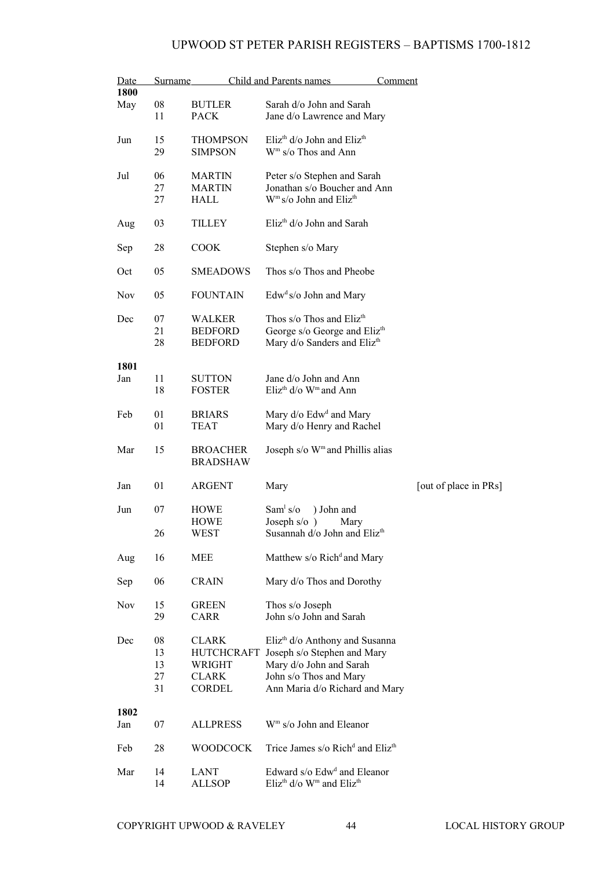| <u>Date</u> | Surname    |                 | Child and Parents names                                            | Comment               |
|-------------|------------|-----------------|--------------------------------------------------------------------|-----------------------|
| 1800        |            |                 |                                                                    |                       |
| May         | ${\bf 08}$ | <b>BUTLER</b>   | Sarah d/o John and Sarah                                           |                       |
|             | 11         | <b>PACK</b>     | Jane d/o Lawrence and Mary                                         |                       |
|             |            |                 |                                                                    |                       |
| Jun         | 15         | <b>THOMPSON</b> | Eliz <sup>th</sup> d/o John and Eliz <sup>th</sup>                 |                       |
|             | 29         | <b>SIMPSON</b>  | W <sup>m</sup> s/o Thos and Ann                                    |                       |
|             |            |                 |                                                                    |                       |
| Jul         | 06         | <b>MARTIN</b>   | Peter s/o Stephen and Sarah                                        |                       |
|             | 27         | <b>MARTIN</b>   | Jonathan s/o Boucher and Ann                                       |                       |
|             | 27         | HALL            | $Wm s/o$ John and Eliz <sup>th</sup>                               |                       |
|             |            |                 |                                                                    |                       |
| Aug         | 03         | TILLEY          | Eliz <sup>th</sup> d/o John and Sarah                              |                       |
|             |            |                 |                                                                    |                       |
| Sep         | 28         | <b>COOK</b>     | Stephen s/o Mary                                                   |                       |
|             |            |                 |                                                                    |                       |
| Oct         | 05         | <b>SMEADOWS</b> | Thos s/o Thos and Pheobe                                           |                       |
|             |            |                 |                                                                    |                       |
| <b>Nov</b>  | 05         | <b>FOUNTAIN</b> | $Edwd s/o$ John and Mary                                           |                       |
|             |            |                 |                                                                    |                       |
| Dec         | 07         | WALKER          | Thos s/o Thos and $Elizth$                                         |                       |
|             | 21         | <b>BEDFORD</b>  | George s/o George and Eliz <sup>th</sup>                           |                       |
|             | 28         | <b>BEDFORD</b>  | Mary d/o Sanders and Eliz <sup>th</sup>                            |                       |
|             |            |                 |                                                                    |                       |
| 1801        |            |                 |                                                                    |                       |
| Jan         | 11         | <b>SUTTON</b>   | Jane d/o John and Ann                                              |                       |
|             | 18         | <b>FOSTER</b>   | Eliz <sup>th</sup> $d$ /o W <sup>m</sup> and Ann                   |                       |
|             |            |                 |                                                                    |                       |
| Feb         | 01         | <b>BRIARS</b>   | Mary d/o Edw <sup>d</sup> and Mary                                 |                       |
|             | 01         | <b>TEAT</b>     | Mary d/o Henry and Rachel                                          |                       |
|             |            |                 |                                                                    |                       |
| Mar         | 15         | <b>BROACHER</b> | Joseph s/o W <sup>m</sup> and Phillis alias                        |                       |
|             |            | <b>BRADSHAW</b> |                                                                    |                       |
|             |            |                 |                                                                    |                       |
| Jan         | 01         | <b>ARGENT</b>   | Mary                                                               | [out of place in PRs] |
|             |            |                 |                                                                    |                       |
| Jun         | 07         | HOWE            | Sam <sup>1</sup> s/o<br>) John and                                 |                       |
|             |            | HOWE            | Joseph $s/o$ )<br>Mary                                             |                       |
|             | 26         | WEST            | Susannah d/o John and Eliz <sup>th</sup>                           |                       |
|             |            |                 |                                                                    |                       |
| Aug         | 16         | MEE             | Matthew s/o Rich <sup>d</sup> and Mary                             |                       |
|             |            |                 |                                                                    |                       |
| Sep         | 06         | <b>CRAIN</b>    | Mary d/o Thos and Dorothy                                          |                       |
|             |            |                 |                                                                    |                       |
| <b>Nov</b>  | 15         | <b>GREEN</b>    | Thos s/o Joseph                                                    |                       |
|             | 29         | <b>CARR</b>     | John s/o John and Sarah                                            |                       |
|             |            |                 |                                                                    |                       |
| Dec         | 08         | <b>CLARK</b>    | Eliz <sup>th</sup> d/o Anthony and Susanna                         |                       |
|             | 13         |                 | HUTCHCRAFT Joseph s/o Stephen and Mary                             |                       |
|             | 13         | WRIGHT          | Mary d/o John and Sarah                                            |                       |
|             | 27         | <b>CLARK</b>    | John s/o Thos and Mary                                             |                       |
|             | 31         | <b>CORDEL</b>   | Ann Maria d/o Richard and Mary                                     |                       |
|             |            |                 |                                                                    |                       |
| 1802        |            |                 |                                                                    |                       |
| Jan         | 07         | <b>ALLPRESS</b> | W <sup>m</sup> s/o John and Eleanor                                |                       |
|             |            |                 |                                                                    |                       |
| Feb         | 28         | <b>WOODCOCK</b> | Trice James s/o Rich <sup>d</sup> and Eliz <sup>th</sup>           |                       |
| Mar         | 14         | LANT            | Edward s/o Edw <sup>d</sup> and Eleanor                            |                       |
|             | 14         | <b>ALLSOP</b>   | $E$ liz <sup>th</sup> d/o W <sup>m</sup> and $E$ liz <sup>th</sup> |                       |
|             |            |                 |                                                                    |                       |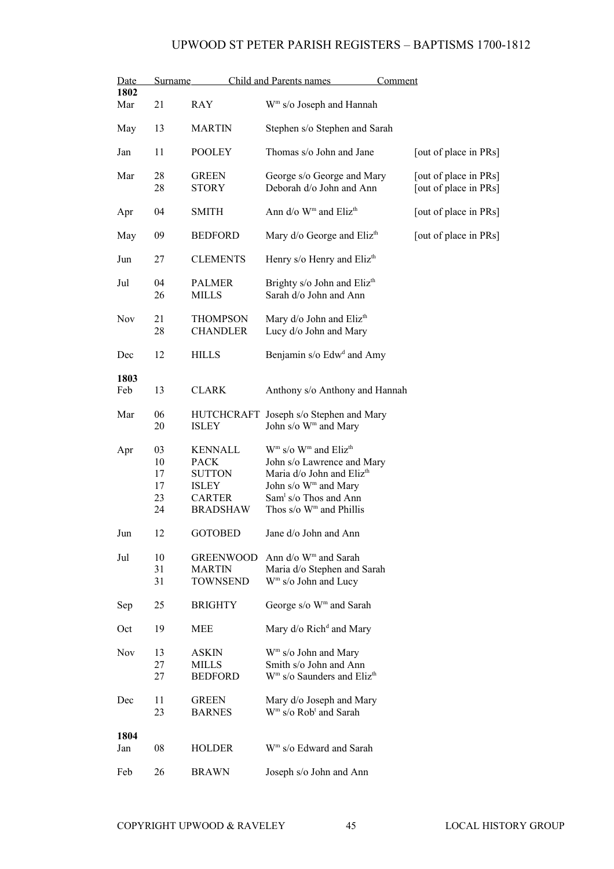| Date        | Surname                          |                                                                                                    | Child and Parents names<br>Comment                                                                                                                                                                                                 |                                                |
|-------------|----------------------------------|----------------------------------------------------------------------------------------------------|------------------------------------------------------------------------------------------------------------------------------------------------------------------------------------------------------------------------------------|------------------------------------------------|
| 1802<br>Mar | 21                               | <b>RAY</b>                                                                                         | W <sup>m</sup> s/o Joseph and Hannah                                                                                                                                                                                               |                                                |
| May         | 13                               | <b>MARTIN</b>                                                                                      | Stephen s/o Stephen and Sarah                                                                                                                                                                                                      |                                                |
| Jan         | 11                               | <b>POOLEY</b>                                                                                      | Thomas s/o John and Jane                                                                                                                                                                                                           | [out of place in PRs]                          |
| Mar         | 28<br>28                         | <b>GREEN</b><br>STORY                                                                              | George s/o George and Mary<br>Deborah d/o John and Ann                                                                                                                                                                             | [out of place in PRs]<br>[out of place in PRs] |
| Apr         | 04                               | <b>SMITH</b>                                                                                       | Ann d/o W <sup>m</sup> and Eliz <sup>th</sup>                                                                                                                                                                                      | [out of place in PRs]                          |
| May         | 09                               | <b>BEDFORD</b>                                                                                     | Mary d/o George and Eliz <sup>th</sup>                                                                                                                                                                                             | [out of place in PRs]                          |
| Jun         | 27                               | <b>CLEMENTS</b>                                                                                    | Henry s/o Henry and Eliz <sup>th</sup>                                                                                                                                                                                             |                                                |
| Jul         | 04<br>26                         | <b>PALMER</b><br>MILLS                                                                             | Brighty s/o John and Eliz <sup>th</sup><br>Sarah d/o John and Ann                                                                                                                                                                  |                                                |
| <b>Nov</b>  | 21<br>28                         | <b>THOMPSON</b><br><b>CHANDLER</b>                                                                 | Mary d/o John and Eliz <sup>th</sup><br>Lucy d/o John and Mary                                                                                                                                                                     |                                                |
| Dec         | 12                               | <b>HILLS</b>                                                                                       | Benjamin s/o Edw <sup>d</sup> and Amy                                                                                                                                                                                              |                                                |
| 1803<br>Feb | 13                               | <b>CLARK</b>                                                                                       | Anthony s/o Anthony and Hannah                                                                                                                                                                                                     |                                                |
| Mar         | 06<br>20                         | <b>HUTCHCRAFT</b><br><b>ISLEY</b>                                                                  | Joseph s/o Stephen and Mary<br>John s/o W <sup>m</sup> and Mary                                                                                                                                                                    |                                                |
| Apr         | 03<br>10<br>17<br>17<br>23<br>24 | <b>KENNALL</b><br><b>PACK</b><br><b>SUTTON</b><br><b>ISLEY</b><br><b>CARTER</b><br><b>BRADSHAW</b> | $Wm$ s/o $Wm$ and Eliz <sup>th</sup><br>John s/o Lawrence and Mary<br>Maria d/o John and Eliz <sup>th</sup><br>John s/o W <sup>m</sup> and Mary<br>Sam <sup>1</sup> s/o Thos and Ann<br>Thos $s/\sigma$ W <sup>m</sup> and Phillis |                                                |
| Jun         | 12                               | <b>GOTOBED</b>                                                                                     | Jane d/o John and Ann                                                                                                                                                                                                              |                                                |
| Jul         | 10<br>31<br>31                   | <b>GREENWOOD</b><br><b>MARTIN</b><br><b>TOWNSEND</b>                                               | Ann $d$ /o W <sup>m</sup> and Sarah<br>Maria d/o Stephen and Sarah<br>W <sup>m</sup> s/o John and Lucy                                                                                                                             |                                                |
| Sep         | 25                               | <b>BRIGHTY</b>                                                                                     | George s/o W <sup>m</sup> and Sarah                                                                                                                                                                                                |                                                |
| Oct         | 19                               | MEE                                                                                                | Mary d/o Rich <sup>d</sup> and Mary                                                                                                                                                                                                |                                                |
| <b>Nov</b>  | 13<br>27<br>27                   | ASKIN<br><b>MILLS</b><br><b>BEDFORD</b>                                                            | W <sup>m</sup> s/o John and Mary<br>Smith s/o John and Ann<br>W <sup>m</sup> s/o Saunders and Eliz <sup>th</sup>                                                                                                                   |                                                |
| Dec         | 11<br>23                         | <b>GREEN</b><br><b>BARNES</b>                                                                      | Mary d/o Joseph and Mary<br>W <sup>m</sup> s/o Rob <sup>t</sup> and Sarah                                                                                                                                                          |                                                |
| 1804<br>Jan | 08                               | <b>HOLDER</b>                                                                                      | W <sup>m</sup> s/o Edward and Sarah                                                                                                                                                                                                |                                                |
| Feb         | 26                               | <b>BRAWN</b>                                                                                       | Joseph s/o John and Ann                                                                                                                                                                                                            |                                                |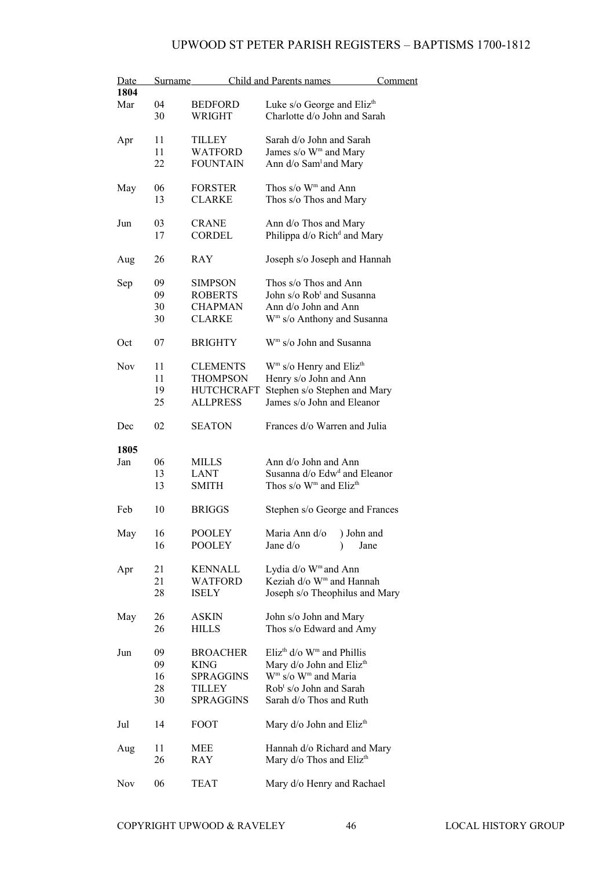| Date       | Surname |                   | <b>Child and Parents names</b>                       | <b>Comment</b> |
|------------|---------|-------------------|------------------------------------------------------|----------------|
| 1804       |         |                   |                                                      |                |
| Mar        | 04      | <b>BEDFORD</b>    | Luke s/o George and Eliz <sup>th</sup>               |                |
|            | 30      | WRIGHT            | Charlotte d/o John and Sarah                         |                |
| Apr        | 11      | TILLEY            | Sarah d/o John and Sarah                             |                |
|            | 11      | <b>WATFORD</b>    | James s/o W <sup>m</sup> and Mary                    |                |
|            | 22      | <b>FOUNTAIN</b>   | Ann d/o Sam <sup>1</sup> and Mary                    |                |
|            |         |                   |                                                      |                |
| May        | 06      | <b>FORSTER</b>    | Thos s/o W <sup>m</sup> and Ann                      |                |
|            | 13      | <b>CLARKE</b>     | Thos s/o Thos and Mary                               |                |
| Jun        | 03      | <b>CRANE</b>      | Ann d/o Thos and Mary                                |                |
|            | 17      | <b>CORDEL</b>     | Philippa d/o Rich <sup>d</sup> and Mary              |                |
| Aug        | 26      | RAY               | Joseph s/o Joseph and Hannah                         |                |
|            |         |                   |                                                      |                |
| Sep        | 09      | <b>SIMPSON</b>    | Thos s/o Thos and Ann                                |                |
|            | 09      | <b>ROBERTS</b>    | John s/o Rob <sup>t</sup> and Susanna                |                |
|            | 30      | <b>CHAPMAN</b>    | Ann d/o John and Ann                                 |                |
|            | 30      | <b>CLARKE</b>     | W <sup>m</sup> s/o Anthony and Susanna               |                |
| Oct        | 07      | <b>BRIGHTY</b>    | W <sup>m</sup> s/o John and Susanna                  |                |
| <b>Nov</b> | 11      | <b>CLEMENTS</b>   | $Wm$ s/o Henry and Eliz <sup>th</sup>                |                |
|            |         |                   |                                                      |                |
|            | 11      | <b>THOMPSON</b>   | Henry s/o John and Ann                               |                |
|            | 19      | <b>HUTCHCRAFT</b> | Stephen s/o Stephen and Mary                         |                |
|            | 25      | <b>ALLPRESS</b>   | James s/o John and Eleanor                           |                |
| Dec        | 02      | <b>SEATON</b>     | Frances d/o Warren and Julia                         |                |
| 1805       |         |                   |                                                      |                |
| Jan        | 06      | <b>MILLS</b>      | Ann d/o John and Ann                                 |                |
|            | 13      | LANT              | Susanna d/o Edw <sup>d</sup> and Eleanor             |                |
|            | 13      | <b>SMITH</b>      | Thos s/o W <sup>m</sup> and Eliz <sup>th</sup>       |                |
|            |         |                   |                                                      |                |
| Feb        | 10      | <b>BRIGGS</b>     | Stephen s/o George and Frances                       |                |
| May        | 16      | POOLEY            | Maria Ann d/o<br>) John and                          |                |
|            | 16      | <b>POOLEY</b>     | Jane d/o<br>$\mathcal{E}$                            | Jane           |
|            |         |                   |                                                      |                |
| Apr        | 21      | <b>KENNALL</b>    | Lydia d/o W <sup>m</sup> and Ann                     |                |
|            | 21      | WATFORD           | Keziah d/o W <sup>m</sup> and Hannah                 |                |
|            | 28      | ISELY             | Joseph s/o Theophilus and Mary                       |                |
| May        | 26      | ASKIN             | John s/o John and Mary                               |                |
|            | 26      | <b>HILLS</b>      | Thos s/o Edward and Amy                              |                |
|            |         |                   |                                                      |                |
| Jun        | 09      | <b>BROACHER</b>   | Eliz <sup>th</sup> $d$ /o W <sup>m</sup> and Phillis |                |
|            | 09      | <b>KING</b>       | Mary d/o John and Eliz <sup>th</sup>                 |                |
|            | 16      | <b>SPRAGGINS</b>  | W <sup>m</sup> s/o W <sup>m</sup> and Maria          |                |
|            | 28      | TILLEY            | Rob <sup>t</sup> s/o John and Sarah                  |                |
|            | 30      | <b>SPRAGGINS</b>  | Sarah d/o Thos and Ruth                              |                |
| Jul        | 14      | FOOT              | Mary d/o John and Eliz <sup>th</sup>                 |                |
|            |         |                   |                                                      |                |
| Aug        | 11      | MEE               | Hannah d/o Richard and Mary                          |                |
|            | 26      | RAY               | Mary d/o Thos and Eliz <sup>th</sup>                 |                |
| Nov        | 06      | <b>TEAT</b>       | Mary d/o Henry and Rachael                           |                |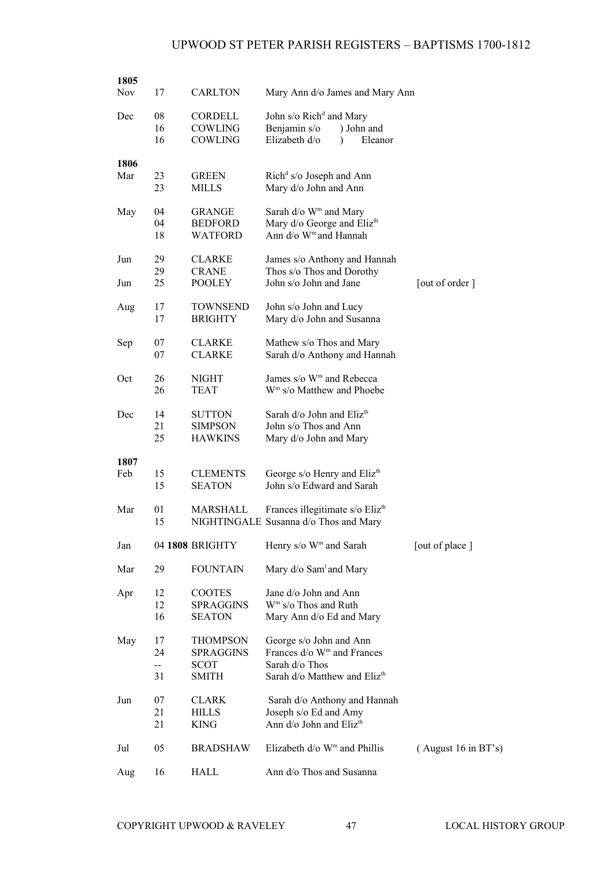| 1805<br>Nov | 17                       | <b>CARLTON</b>                                     | Mary Ann d/o James and Mary Ann                                                                                                 |                     |
|-------------|--------------------------|----------------------------------------------------|---------------------------------------------------------------------------------------------------------------------------------|---------------------|
| Dec         | 08<br>16<br>16           | <b>CORDELL</b><br><b>COWLING</b><br>COWLING        | John s/o Rich <sup>d</sup> and Mary<br>Benjamin s/o<br>) John and<br>Elizabeth d/o<br>Eleanor<br>$\lambda$                      |                     |
| 1806<br>Mar | 23<br>23                 | <b>GREEN</b><br><b>MILLS</b>                       | Rich <sup>d</sup> s/o Joseph and Ann<br>Mary d/o John and Ann                                                                   |                     |
| May         | 04<br>04<br>18           | <b>GRANGE</b><br><b>BEDFORD</b><br><b>WATFORD</b>  | Sarah d/o W <sup>m</sup> and Mary<br>Mary d/o George and Eliz <sup>th</sup><br>Ann d/o W <sup>m</sup> and Hannah                |                     |
| Jun         | 29<br>29                 | <b>CLARKE</b><br><b>CRANE</b>                      | James s/o Anthony and Hannah<br>Thos s/o Thos and Dorothy                                                                       |                     |
| Jun         | 25                       | <b>POOLEY</b>                                      | John s/o John and Jane                                                                                                          | [out of order]      |
| Aug         | 17<br>17                 | <b>TOWNSEND</b><br><b>BRIGHTY</b>                  | John s/o John and Lucy<br>Mary d/o John and Susanna                                                                             |                     |
| Sep         | 07<br>07                 | <b>CLARKE</b><br><b>CLARKE</b>                     | Mathew s/o Thos and Mary<br>Sarah d/o Anthony and Hannah                                                                        |                     |
| Oct         | 26<br>26                 | <b>NIGHT</b><br><b>TEAT</b>                        | James s/o W <sup>m</sup> and Rebecca<br>W <sup>m</sup> s/o Matthew and Phoebe                                                   |                     |
| Dec         | 14<br>21<br>25           | <b>SUTTON</b><br><b>SIMPSON</b><br><b>HAWKINS</b>  | Sarah d/o John and Eliz <sup>th</sup><br>John s/o Thos and Ann<br>Mary d/o John and Mary                                        |                     |
| 1807        |                          |                                                    |                                                                                                                                 |                     |
| Feb         | 15<br>15                 | <b>CLEMENTS</b><br><b>SEATON</b>                   | George s/o Henry and Eliz <sup>th</sup><br>John s/o Edward and Sarah                                                            |                     |
| Mar         | 01<br>15                 | MARSHALL                                           | Frances illegitimate s/o Eliz <sup>th</sup><br>NIGHTINGALE Susanna d/o Thos and Mary                                            |                     |
| Jan         |                          | 04 1808 BRIGHTY                                    | Henry s/o W <sup>m</sup> and Sarah                                                                                              | [out of place]      |
| Mar         | 29                       | <b>FOUNTAIN</b>                                    | Mary d/o Sam <sup>1</sup> and Mary                                                                                              |                     |
| Apr         | 12<br>12<br>16           | <b>COOTES</b><br><b>SPRAGGINS</b><br><b>SEATON</b> | Jane d/o John and Ann<br>$Wm$ s/o Thos and Ruth<br>Mary Ann d/o Ed and Mary                                                     |                     |
| May         | 17<br>24<br>$\sim$<br>31 | THOMPSON<br>SPRAGGINS<br><b>SCOT</b><br>SMITH      | George s/o John and Ann<br>Frances d/o W <sup>m</sup> and Frances<br>Sarah d/o Thos<br>Sarah d/o Matthew and Eliz <sup>th</sup> |                     |
| Jun         | 07<br>21<br>21           | <b>CLARK</b><br><b>HILLS</b><br><b>KING</b>        | Sarah d/o Anthony and Hannah<br>Joseph s/o Ed and Amy<br>Ann d/o John and Eliz <sup>th</sup>                                    |                     |
| Jul         | 05                       | <b>BRADSHAW</b>                                    | Elizabeth $d$ /o W <sup>m</sup> and Phillis                                                                                     | (August 16 in BT's) |
| Aug         | 16                       | HALL                                               | Ann d/o Thos and Susanna                                                                                                        |                     |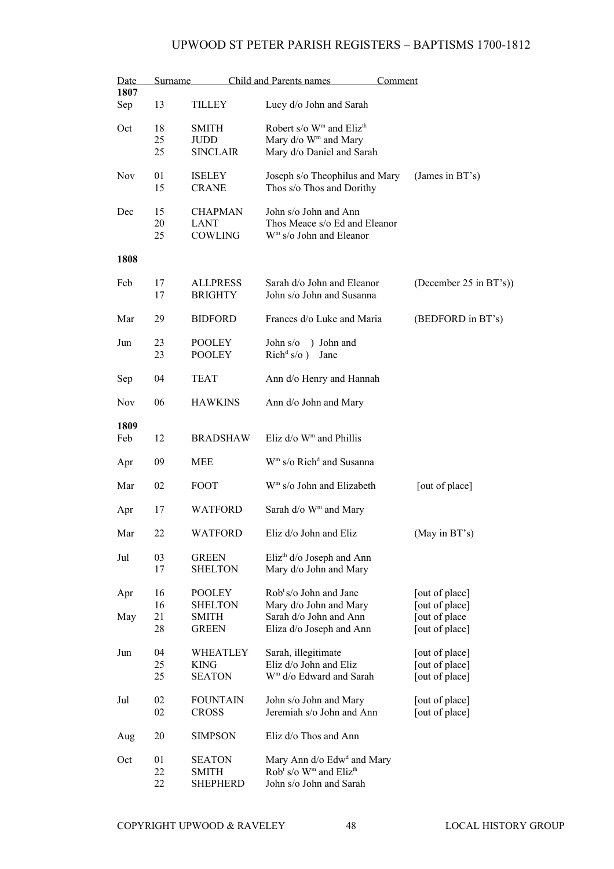| Date<br>1807 | Surname |                 | Child and Parents names                                    | Comment                |
|--------------|---------|-----------------|------------------------------------------------------------|------------------------|
| Sep          | 13      | <b>TILLEY</b>   | Lucy d/o John and Sarah                                    |                        |
| Oct          | 18      | <b>SMITH</b>    | Robert s/o W <sup>m</sup> and Eliz <sup>th</sup>           |                        |
|              | 25      | <b>JUDD</b>     | Mary d/o W <sup>m</sup> and Mary                           |                        |
|              | 25      | <b>SINCLAIR</b> | Mary d/o Daniel and Sarah                                  |                        |
| <b>Nov</b>   | 01      | <b>ISELEY</b>   | Joseph s/o Theophilus and Mary                             | (James in BT's)        |
|              | 15      | <b>CRANE</b>    | Thos s/o Thos and Dorithy                                  |                        |
| Dec          | 15      | <b>CHAPMAN</b>  | John s/o John and Ann                                      |                        |
|              | 20      | <b>LANT</b>     | Thos Meace s/o Ed and Eleanor                              |                        |
|              | 25      | COWLING         | W <sup>m</sup> s/o John and Eleanor                        |                        |
| 1808         |         |                 |                                                            |                        |
| Feb          | 17      | <b>ALLPRESS</b> | Sarah d/o John and Eleanor                                 | (December 25 in BT's)) |
|              | 17      | <b>BRIGHTY</b>  | John s/o John and Susanna                                  |                        |
| Mar          | 29      | <b>BIDFORD</b>  | Frances d/o Luke and Maria                                 | (BEDFORD in BT's)      |
| Jun          | 23      | <b>POOLEY</b>   | John s/o<br>) John and                                     |                        |
|              | 23      | <b>POOLEY</b>   | $\text{Rich}^d$ s/o)<br>Jane                               |                        |
| Sep          | 04      | TEAT            | Ann d/o Henry and Hannah                                   |                        |
|              |         |                 |                                                            |                        |
| <b>Nov</b>   | 06      | <b>HAWKINS</b>  | Ann d/o John and Mary                                      |                        |
| 1809         |         |                 |                                                            |                        |
| Feb          | 12      | <b>BRADSHAW</b> | Eliz $d$ /o W <sup>m</sup> and Phillis                     |                        |
| Apr          | 09      | <b>MEE</b>      | W <sup>m</sup> s/o Rich <sup>d</sup> and Susanna           |                        |
| Mar          | 02      | FOOT            | W <sup>m</sup> s/o John and Elizabeth                      | [out of place]         |
| Apr          | 17      | <b>WATFORD</b>  | Sarah $d$ /o W <sup>m</sup> and Mary                       |                        |
| Mar          | 22      | WATFORD         | Eliz d/o John and Eliz                                     | (May in BT's)          |
| Jul          | 03      | <b>GREEN</b>    | Eliz <sup>th</sup> $d$ /o Joseph and Ann                   |                        |
|              | 17      | <b>SHELTON</b>  | Mary d/o John and Mary                                     |                        |
| Apr          | 16      | <b>POOLEY</b>   | Rob <sup>t</sup> s/o John and Jane                         | [out of place]         |
|              | 16      | <b>SHELTON</b>  | Mary d/o John and Mary                                     | [out of place]         |
| May          | 21      | SMITH           | Sarah d/o John and Ann                                     | [out of place          |
|              | 28      | <b>GREEN</b>    | Eliza d/o Joseph and Ann                                   | [out of place]         |
| Jun          | 04      | WHEATLEY        | Sarah, illegitimate                                        | [out of place]         |
|              | 25      | <b>KING</b>     | Eliz d/o John and Eliz                                     | [out of place]         |
|              | 25      | <b>SEATON</b>   | W <sup>m</sup> d/o Edward and Sarah                        | [out of place]         |
| Jul          | 02      | <b>FOUNTAIN</b> | John s/o John and Mary                                     | [out of place]         |
|              | 02      | <b>CROSS</b>    | Jeremiah s/o John and Ann                                  | [out of place]         |
| Aug          | 20      | <b>SIMPSON</b>  | Eliz d/o Thos and Ann                                      |                        |
| Oct          | 01      | <b>SEATON</b>   | Mary Ann d/o Edw <sup>d</sup> and Mary                     |                        |
|              | 22      | <b>SMITH</b>    | Rob <sup>t</sup> s/o W <sup>m</sup> and Eliz <sup>th</sup> |                        |
|              | 22      | <b>SHEPHERD</b> | John s/o John and Sarah                                    |                        |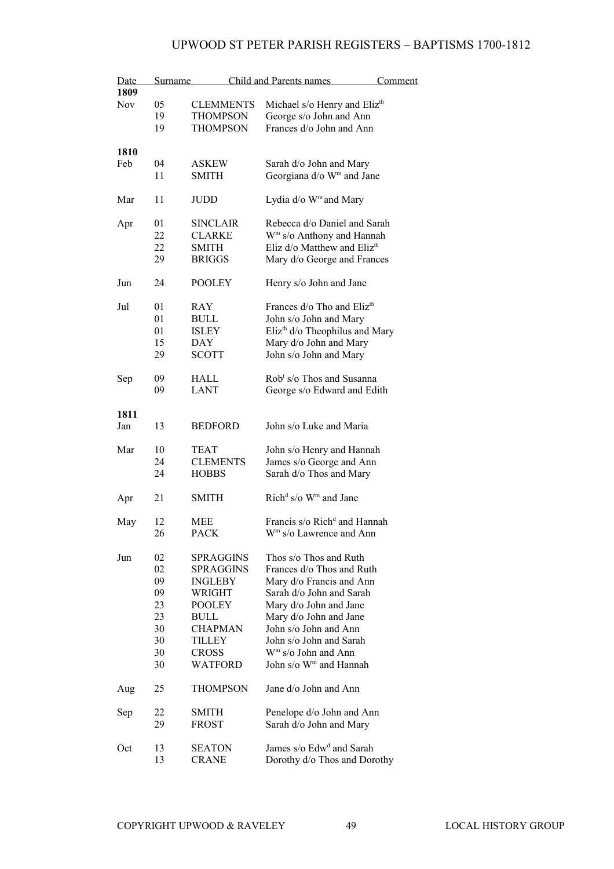| Date<br>1809 | Surname | Child and Parents names |                                            | <b>Comment</b> |  |
|--------------|---------|-------------------------|--------------------------------------------|----------------|--|
| <b>Nov</b>   | 05      | <b>CLEMMENTS</b>        | Michael s/o Henry and Eliz <sup>th</sup>   |                |  |
|              | 19      | THOMPSON                | George s/o John and Ann                    |                |  |
|              | 19      | <b>THOMPSON</b>         | Frances d/o John and Ann                   |                |  |
|              |         |                         |                                            |                |  |
| 1810         |         |                         |                                            |                |  |
| Feb          | 04      | ASKEW                   | Sarah d/o John and Mary                    |                |  |
|              | 11      | <b>SMITH</b>            | Georgiana d/o W <sup>m</sup> and Jane      |                |  |
|              |         |                         |                                            |                |  |
| Mar          | 11      | JUDD                    | Lydia d/o W <sup>m</sup> and Mary          |                |  |
|              |         |                         |                                            |                |  |
| Apr          | 01      | <b>SINCLAIR</b>         | Rebecca d/o Daniel and Sarah               |                |  |
|              | 22      | <b>CLARKE</b>           | W <sup>m</sup> s/o Anthony and Hannah      |                |  |
|              | 22      | <b>SMITH</b>            | Eliz $d$ /o Matthew and Eliz <sup>th</sup> |                |  |
|              | 29      | <b>BRIGGS</b>           | Mary d/o George and Frances                |                |  |
| Jun          | 24      | <b>POOLEY</b>           | Henry s/o John and Jane                    |                |  |
|              |         |                         |                                            |                |  |
| Jul          | 01      | <b>RAY</b>              | Frances d/o Tho and Eliz <sup>th</sup>     |                |  |
|              | 01      | <b>BULL</b>             | John s/o John and Mary                     |                |  |
|              | 01      | <b>ISLEY</b>            | Eliz <sup>th</sup> d/o Theophilus and Mary |                |  |
|              | 15      | DAY                     | Mary d/o John and Mary                     |                |  |
|              | 29      | <b>SCOTT</b>            | John s/o John and Mary                     |                |  |
| Sep          | 09      | HALL                    | Rob <sup>t</sup> s/o Thos and Susanna      |                |  |
|              | 09      | LANT                    |                                            |                |  |
|              |         |                         | George s/o Edward and Edith                |                |  |
| 1811         |         |                         |                                            |                |  |
| Jan          | 13      | <b>BEDFORD</b>          | John s/o Luke and Maria                    |                |  |
|              |         |                         |                                            |                |  |
| Mar          | 10      | <b>TEAT</b>             | John s/o Henry and Hannah                  |                |  |
|              | 24      | <b>CLEMENTS</b>         | James s/o George and Ann                   |                |  |
|              | 24      | <b>HOBBS</b>            | Sarah d/o Thos and Mary                    |                |  |
|              |         |                         |                                            |                |  |
| Apr          | 21      | <b>SMITH</b>            | Rich <sup>d</sup> s/o $Wm$ and Jane        |                |  |
|              | 12      | MEE                     | Francis s/o Rich <sup>d</sup> and Hannah   |                |  |
| May          |         |                         |                                            |                |  |
|              | 26      | PACK                    | W <sup>m</sup> s/o Lawrence and Ann        |                |  |
| Jun          | 02      | SPRAGGINS               | Thos s/o Thos and Ruth                     |                |  |
|              | 02      | <b>SPRAGGINS</b>        | Frances d/o Thos and Ruth                  |                |  |
|              | 09      | INGLEBY                 | Mary d/o Francis and Ann                   |                |  |
|              | 09      | WRIGHT                  | Sarah d/o John and Sarah                   |                |  |
|              | 23      | <b>POOLEY</b>           | Mary d/o John and Jane                     |                |  |
|              | 23      | <b>BULL</b>             | Mary d/o John and Jane                     |                |  |
|              | 30      | <b>CHAPMAN</b>          | John s/o John and Ann                      |                |  |
|              |         |                         |                                            |                |  |
|              | 30      | TILLEY                  | John s/o John and Sarah                    |                |  |
|              | 30      | <b>CROSS</b>            | W <sup>m</sup> s/o John and Ann            |                |  |
|              | 30      | <b>WATFORD</b>          | John s/o W <sup>m</sup> and Hannah         |                |  |
| Aug          | 25      | <b>THOMPSON</b>         | Jane d/o John and Ann                      |                |  |
| Sep          | 22      | <b>SMITH</b>            | Penelope d/o John and Ann                  |                |  |
|              | 29      | <b>FROST</b>            | Sarah d/o John and Mary                    |                |  |
|              |         |                         |                                            |                |  |
| Oct          | 13      | <b>SEATON</b>           | James s/o Edw <sup>d</sup> and Sarah       |                |  |
|              | 13      | <b>CRANE</b>            | Dorothy d/o Thos and Dorothy               |                |  |